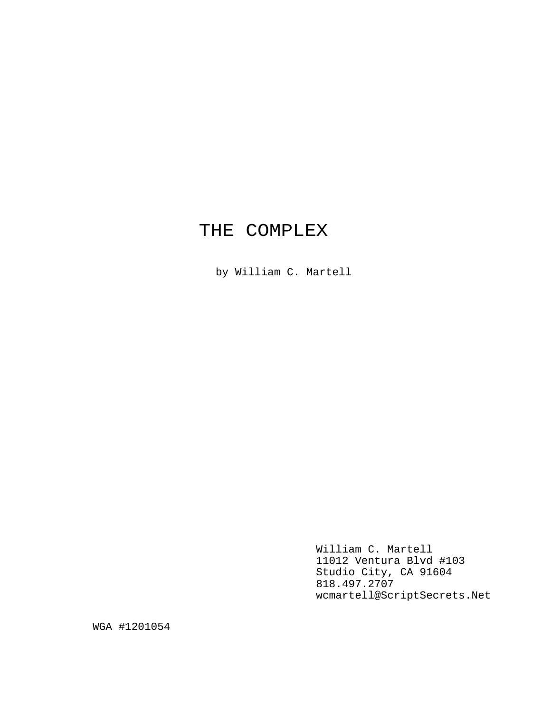# THE COMPLEX

by William C. Martell

William C. Martell 11012 Ventura Blvd #103 Studio City, CA 91604 818.497.2707 wcmartell@ScriptSecrets.Net

WGA #1201054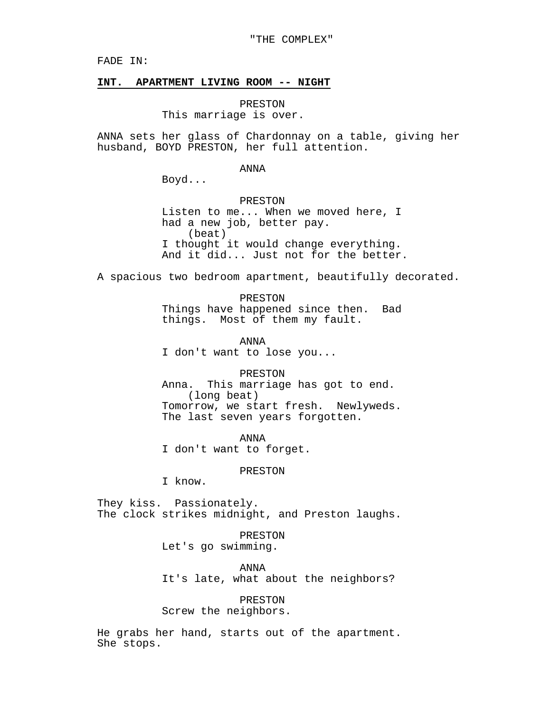FADE IN:

#### **INT. APARTMENT LIVING ROOM -- NIGHT**

PRESTON This marriage is over.

ANNA sets her glass of Chardonnay on a table, giving her husband, BOYD PRESTON, her full attention.

ANNA

Boyd...

PRESTON Listen to me... When we moved here, I had a new job, better pay. (beat) I thought it would change everything. And it did... Just not for the better.

A spacious two bedroom apartment, beautifully decorated.

PRESTON Things have happened since then. Bad things. Most of them my fault.

ANNA I don't want to lose you...

PRESTON Anna. This marriage has got to end. (long beat) Tomorrow, we start fresh. Newlyweds. The last seven years forgotten.

ANNA I don't want to forget.

PRESTON

I know.

They kiss. Passionately. The clock strikes midnight, and Preston laughs.

> PRESTON Let's go swimming.

ANNA It's late, what about the neighbors?

PRESTON Screw the neighbors.

He grabs her hand, starts out of the apartment. She stops.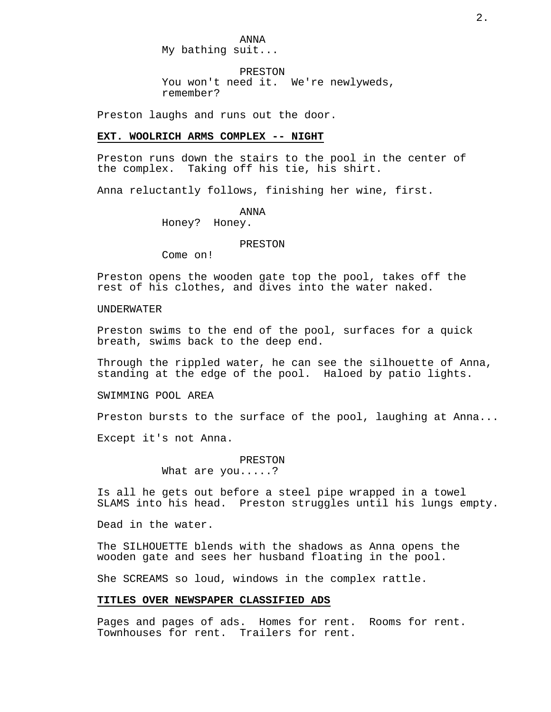ANNA My bathing suit...

PRESTON You won't need it. We're newlyweds, remember?

Preston laughs and runs out the door.

# **EXT. WOOLRICH ARMS COMPLEX -- NIGHT**

Preston runs down the stairs to the pool in the center of the complex. Taking off his tie, his shirt.

Anna reluctantly follows, finishing her wine, first.

ANNA

Honey? Honey.

#### PRESTON

Come on!

Preston opens the wooden gate top the pool, takes off the rest of his clothes, and dives into the water naked.

# UNDERWATER

Preston swims to the end of the pool, surfaces for a quick breath, swims back to the deep end.

Through the rippled water, he can see the silhouette of Anna, standing at the edge of the pool. Haloed by patio lights.

SWIMMING POOL AREA

Preston bursts to the surface of the pool, laughing at Anna...

Except it's not Anna.

PRESTON What are you.....?

Is all he gets out before a steel pipe wrapped in a towel SLAMS into his head. Preston struggles until his lungs empty.

Dead in the water.

The SILHOUETTE blends with the shadows as Anna opens the wooden gate and sees her husband floating in the pool.

She SCREAMS so loud, windows in the complex rattle.

#### **TITLES OVER NEWSPAPER CLASSIFIED ADS**

Pages and pages of ads. Homes for rent. Rooms for rent. Townhouses for rent. Trailers for rent.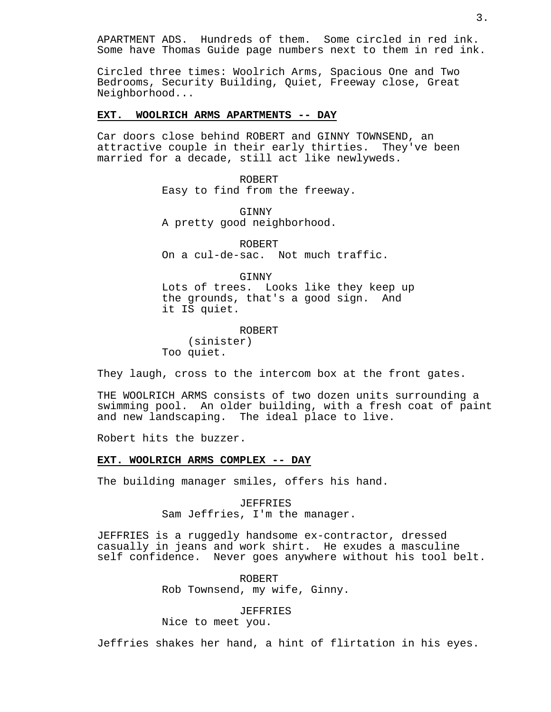APARTMENT ADS. Hundreds of them. Some circled in red ink. Some have Thomas Guide page numbers next to them in red ink.

Circled three times: Woolrich Arms, Spacious One and Two Bedrooms, Security Building, Quiet, Freeway close, Great Neighborhood...

# **EXT. WOOLRICH ARMS APARTMENTS -- DAY**

Car doors close behind ROBERT and GINNY TOWNSEND, an attractive couple in their early thirties. They've been married for a decade, still act like newlyweds.

> ROBERT Easy to find from the freeway.

**GINNY** A pretty good neighborhood.

ROBERT On a cul-de-sac. Not much traffic.

GINNY

Lots of trees. Looks like they keep up the grounds, that's a good sign. And it IS quiet.

ROBERT (sinister) Too quiet.

They laugh, cross to the intercom box at the front gates.

THE WOOLRICH ARMS consists of two dozen units surrounding a swimming pool. An older building, with a fresh coat of paint and new landscaping. The ideal place to live.

Robert hits the buzzer.

# **EXT. WOOLRICH ARMS COMPLEX -- DAY**

The building manager smiles, offers his hand.

JEFFRIES Sam Jeffries, I'm the manager.

JEFFRIES is a ruggedly handsome ex-contractor, dressed casually in jeans and work shirt. He exudes a masculine self confidence. Never goes anywhere without his tool belt.

> ROBERT Rob Townsend, my wife, Ginny.

> > JEFFRIES

Nice to meet you.

Jeffries shakes her hand, a hint of flirtation in his eyes.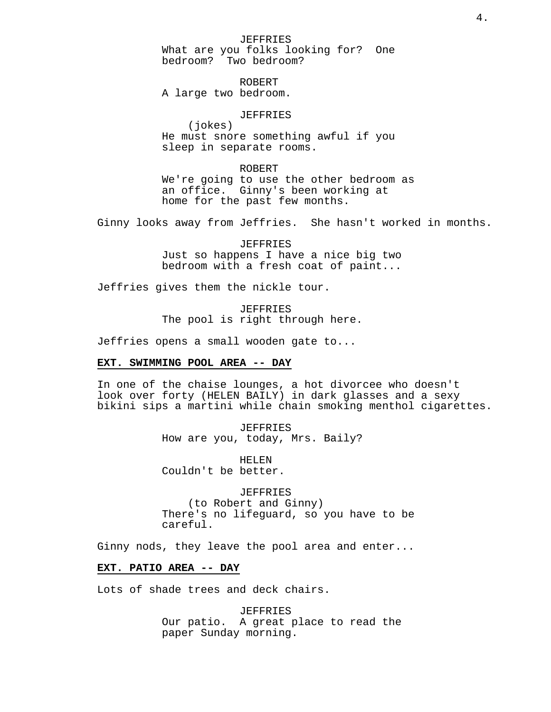JEFFRIES What are you folks looking for? One bedroom? Two bedroom?

ROBERT A large two bedroom.

# JEFFRIES

(jokes) He must snore something awful if you sleep in separate rooms.

ROBERT We're going to use the other bedroom as an office. Ginny's been working at home for the past few months.

Ginny looks away from Jeffries. She hasn't worked in months.

JEFFRIES Just so happens I have a nice big two bedroom with a fresh coat of paint...

Jeffries gives them the nickle tour.

JEFFRIES The pool is right through here.

Jeffries opens a small wooden gate to...

#### **EXT. SWIMMING POOL AREA -- DAY**

In one of the chaise lounges, a hot divorcee who doesn't look over forty (HELEN BAILY) in dark glasses and a sexy bikini sips a martini while chain smoking menthol cigarettes.

> JEFFRIES How are you, today, Mrs. Baily?

HELEN Couldn't be better.

JEFFRIES (to Robert and Ginny) There's no lifeguard, so you have to be careful.

Ginny nods, they leave the pool area and enter...

# **EXT. PATIO AREA -- DAY**

Lots of shade trees and deck chairs.

JEFFRIES Our patio. A great place to read the paper Sunday morning.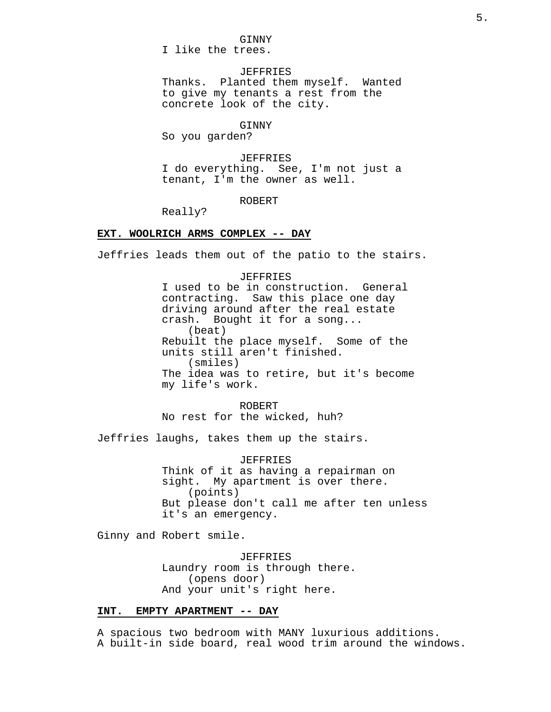# GINNY

I like the trees.

# **JEFFRIES**

Thanks. Planted them myself. Wanted to give my tenants a rest from the concrete look of the city.

#### GINNY

So you garden?

### JEFFRIES

I do everything. See, I'm not just a tenant, I'm the owner as well.

#### ROBERT

Really?

# **EXT. WOOLRICH ARMS COMPLEX -- DAY**

Jeffries leads them out of the patio to the stairs.

#### JEFFRIES

I used to be in construction. General contracting. Saw this place one day driving around after the real estate crash. Bought it for a song... (beat) Rebuilt the place myself. Some of the units still aren't finished. (smiles) The idea was to retire, but it's become my life's work.

ROBERT No rest for the wicked, huh?

Jeffries laughs, takes them up the stairs.

### JEFFRIES

Think of it as having a repairman on sight. My apartment is over there. (points) But please don't call me after ten unless it's an emergency.

Ginny and Robert smile.

JEFFRIES Laundry room is through there. (opens door) And your unit's right here.

# **INT. EMPTY APARTMENT -- DAY**

A spacious two bedroom with MANY luxurious additions. A built-in side board, real wood trim around the windows.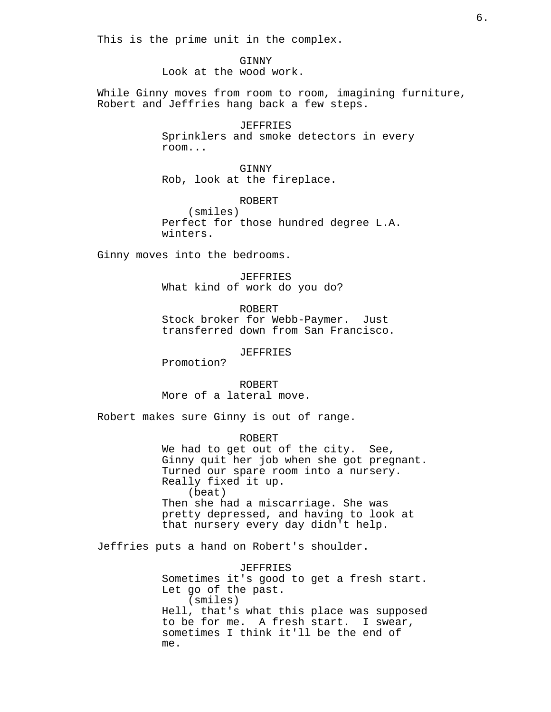This is the prime unit in the complex.

GINNY Look at the wood work.

While Ginny moves from room to room, imagining furniture, Robert and Jeffries hang back a few steps.

> JEFFRIES Sprinklers and smoke detectors in every room...

GINNY Rob, look at the fireplace.

ROBERT (smiles) Perfect for those hundred degree L.A. winters.

Ginny moves into the bedrooms.

JEFFRIES What kind of work do you do?

ROBERT Stock broker for Webb-Paymer. Just transferred down from San Francisco.

JEFFRIES

Promotion?

ROBERT More of a lateral move.

Robert makes sure Ginny is out of range.

ROBERT We had to get out of the city. See, Ginny quit her job when she got pregnant. Turned our spare room into a nursery. Really fixed it up. (beat) Then she had a miscarriage. She was pretty depressed, and having to look at that nursery every day didn't help.

Jeffries puts a hand on Robert's shoulder.

JEFFRIES Sometimes it's good to get a fresh start. Let go of the past. (smiles) Hell, that's what this place was supposed to be for me. A fresh start. I swear, sometimes I think it'll be the end of me.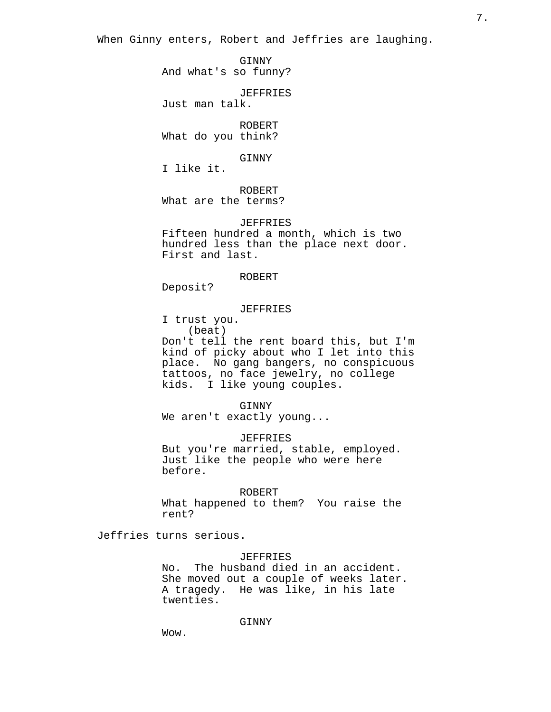When Ginny enters, Robert and Jeffries are laughing.

GINNY And what's so funny?

JEFFRIES

Just man talk.

ROBERT What do you think?

### GINNY

I like it.

ROBERT

What are the terms?

### JEFFRIES

Fifteen hundred a month, which is two hundred less than the place next door. First and last.

### ROBERT

Deposit?

# JEFFRIES

I trust you.

(beat)

Don't tell the rent board this, but I'm kind of picky about who I let into this place. No gang bangers, no conspicuous tattoos, no face jewelry, no college kids. I like young couples.

# GINNY

We aren't exactly young...

JEFFRIES

But you're married, stable, employed. Just like the people who were here before.

ROBERT

What happened to them? You raise the rent?

Jeffries turns serious.

### JEFFRIES

No. The husband died in an accident. She moved out a couple of weeks later. A tragedy. He was like, in his late twenties.

# GINNY

Wow.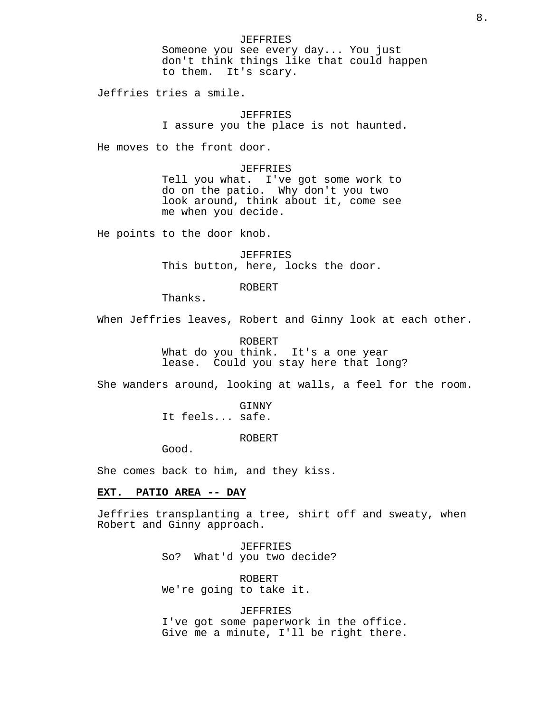JEFFRIES Someone you see every day... You just don't think things like that could happen to them. It's scary.

Jeffries tries a smile.

JEFFRIES I assure you the place is not haunted.

He moves to the front door.

JEFFRIES Tell you what. I've got some work to do on the patio. Why don't you two look around, think about it, come see me when you decide.

He points to the door knob.

JEFFRIES This button, here, locks the door.

ROBERT

Thanks.

When Jeffries leaves, Robert and Ginny look at each other.

ROBERT What do you think. It's a one year lease. Could you stay here that long?

She wanders around, looking at walls, a feel for the room.

GINNY It feels... safe.

ROBERT

Good.

She comes back to him, and they kiss.

# **EXT. PATIO AREA -- DAY**

Jeffries transplanting a tree, shirt off and sweaty, when Robert and Ginny approach.

> JEFFRIES So? What'd you two decide?

ROBERT We're going to take it.

JEFFRIES I've got some paperwork in the office. Give me a minute, I'll be right there.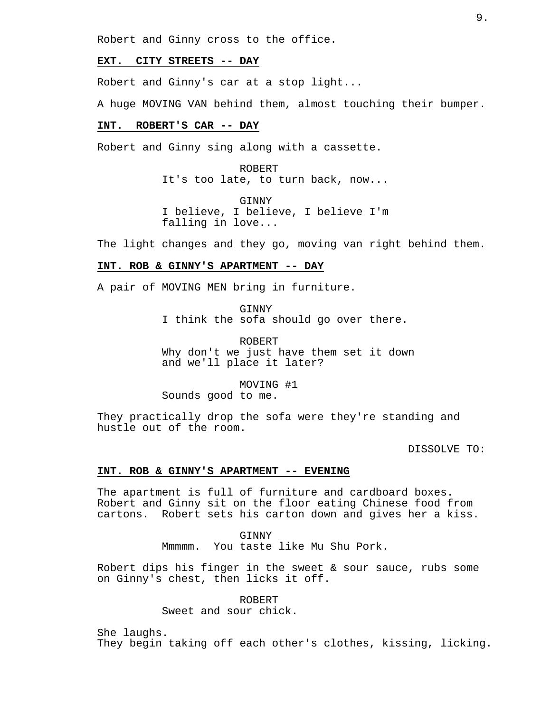Robert and Ginny cross to the office.

### **EXT. CITY STREETS -- DAY**

Robert and Ginny's car at a stop light...

A huge MOVING VAN behind them, almost touching their bumper.

#### **INT. ROBERT'S CAR -- DAY**

Robert and Ginny sing along with a cassette.

ROBERT It's too late, to turn back, now...

GINNY I believe, I believe, I believe I'm falling in love...

The light changes and they go, moving van right behind them.

# **INT. ROB & GINNY'S APARTMENT -- DAY**

A pair of MOVING MEN bring in furniture.

**GINNY** 

I think the sofa should go over there.

ROBERT Why don't we just have them set it down and we'll place it later?

MOVING #1 Sounds good to me.

They practically drop the sofa were they're standing and hustle out of the room.

DISSOLVE TO:

# **INT. ROB & GINNY'S APARTMENT -- EVENING**

The apartment is full of furniture and cardboard boxes. Robert and Ginny sit on the floor eating Chinese food from cartons. Robert sets his carton down and gives her a kiss.

> GINNY Mmmmm. You taste like Mu Shu Pork.

Robert dips his finger in the sweet & sour sauce, rubs some on Ginny's chest, then licks it off.

> ROBERT Sweet and sour chick.

She laughs.

They begin taking off each other's clothes, kissing, licking.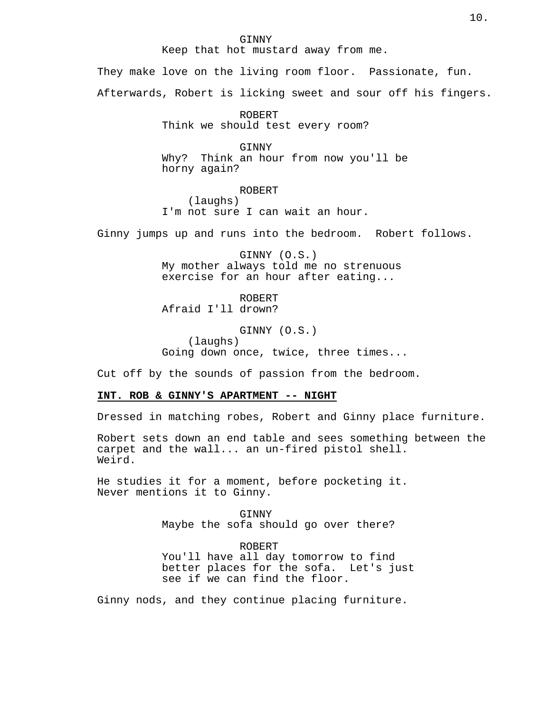#### GINNY

Keep that hot mustard away from me.

They make love on the living room floor. Passionate, fun. Afterwards, Robert is licking sweet and sour off his fingers.

> ROBERT Think we should test every room?

GINNY Why? Think an hour from now you'll be horny again?

ROBERT (laughs) I'm not sure I can wait an hour.

Ginny jumps up and runs into the bedroom. Robert follows.

GINNY (O.S.) My mother always told me no strenuous exercise for an hour after eating...

ROBERT Afraid I'll drown?

GINNY (O.S.) (laughs) Going down once, twice, three times...

Cut off by the sounds of passion from the bedroom.

# **INT. ROB & GINNY'S APARTMENT -- NIGHT**

Dressed in matching robes, Robert and Ginny place furniture.

Robert sets down an end table and sees something between the carpet and the wall... an un-fired pistol shell. Weird.

He studies it for a moment, before pocketing it. Never mentions it to Ginny.

> GINNY Maybe the sofa should go over there?

ROBERT You'll have all day tomorrow to find better places for the sofa. Let's just see if we can find the floor.

Ginny nods, and they continue placing furniture.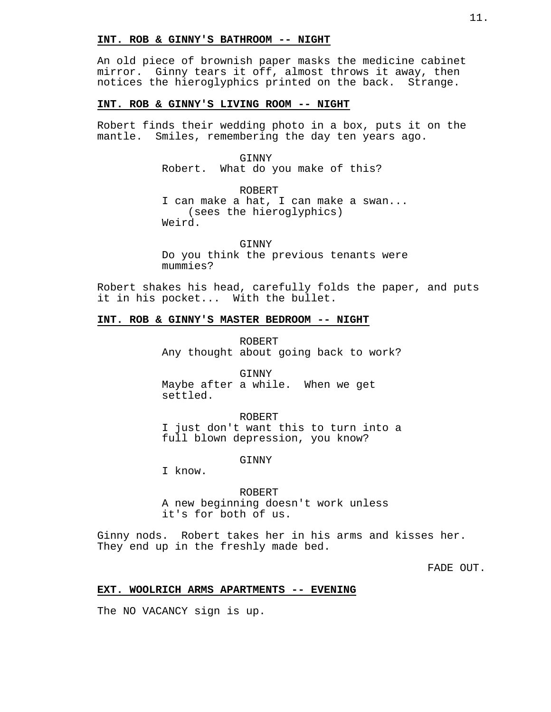### **INT. ROB & GINNY'S BATHROOM -- NIGHT**

An old piece of brownish paper masks the medicine cabinet mirror. Ginny tears it off, almost throws it away, then notices the hieroglyphics printed on the back. Strange.

# **INT. ROB & GINNY'S LIVING ROOM -- NIGHT**

Robert finds their wedding photo in a box, puts it on the mantle. Smiles, remembering the day ten years ago.

GINNY

Robert. What do you make of this?

ROBERT I can make a hat, I can make a swan... (sees the hieroglyphics) Weird.

GINNY Do you think the previous tenants were mummies?

Robert shakes his head, carefully folds the paper, and puts it in his pocket... With the bullet.

#### **INT. ROB & GINNY'S MASTER BEDROOM -- NIGHT**

ROBERT Any thought about going back to work?

GINNY Maybe after a while. When we get settled.

ROBERT I just don't want this to turn into a full blown depression, you know?

GINNY

I know.

ROBERT A new beginning doesn't work unless it's for both of us.

Ginny nods. Robert takes her in his arms and kisses her. They end up in the freshly made bed.

FADE OUT.

### **EXT. WOOLRICH ARMS APARTMENTS -- EVENING**

The NO VACANCY sign is up.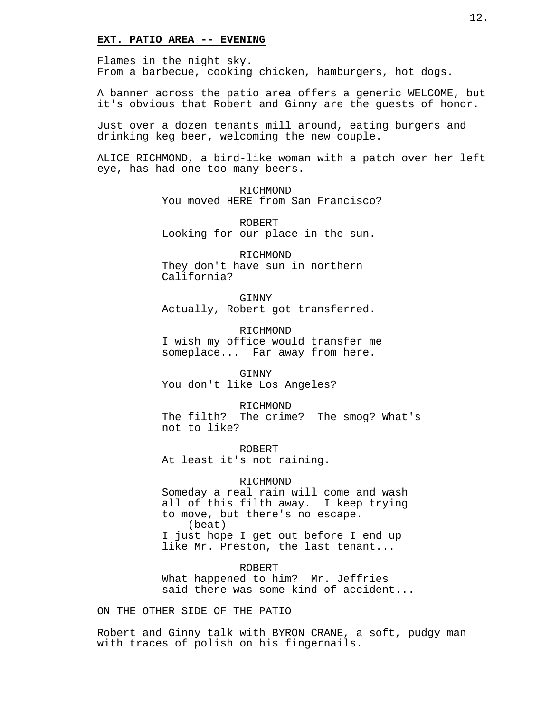### **EXT. PATIO AREA -- EVENING**

Flames in the night sky. From a barbecue, cooking chicken, hamburgers, hot dogs.

A banner across the patio area offers a generic WELCOME, but it's obvious that Robert and Ginny are the guests of honor.

Just over a dozen tenants mill around, eating burgers and drinking keg beer, welcoming the new couple.

ALICE RICHMOND, a bird-like woman with a patch over her left eye, has had one too many beers.

> RICHMOND You moved HERE from San Francisco?

ROBERT Looking for our place in the sun.

RICHMOND They don't have sun in northern California?

GINNY Actually, Robert got transferred.

RICHMOND I wish my office would transfer me someplace... Far away from here.

GINNY You don't like Los Angeles?

RICHMOND The filth? The crime? The smog? What's not to like?

ROBERT At least it's not raining.

### RICHMOND

Someday a real rain will come and wash all of this filth away. I keep trying to move, but there's no escape. (beat) I just hope I get out before I end up like Mr. Preston, the last tenant...

ROBERT What happened to him? Mr. Jeffries said there was some kind of accident...

ON THE OTHER SIDE OF THE PATIO

Robert and Ginny talk with BYRON CRANE, a soft, pudgy man with traces of polish on his fingernails.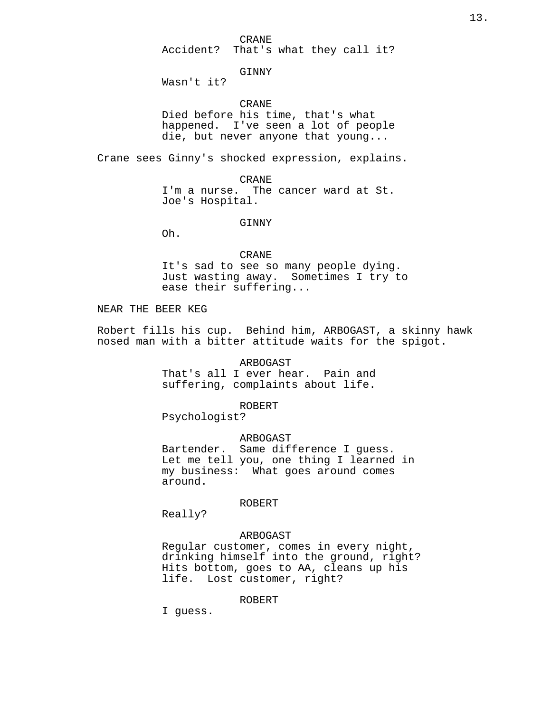CRANE

Accident? That's what they call it?

GINNY

Wasn't it?

CRANE

Died before his time, that's what happened. I've seen a lot of people die, but never anyone that young...

Crane sees Ginny's shocked expression, explains.

CRANE I'm a nurse. The cancer ward at St. Joe's Hospital.

GINNY

Oh.

### CRANE

It's sad to see so many people dying. Just wasting away. Sometimes I try to ease their suffering...

# NEAR THE BEER KEG

Robert fills his cup. Behind him, ARBOGAST, a skinny hawk nosed man with a bitter attitude waits for the spigot.

ARBOGAST

That's all I ever hear. Pain and suffering, complaints about life.

ROBERT

Psychologist?

#### ARBOGAST

Bartender. Same difference I guess. Let me tell you, one thing I learned in my business: What goes around comes around.

# ROBERT

Really?

### ARBOGAST

Regular customer, comes in every night, drinking himself into the ground, right? Hits bottom, goes to AA, cleans up his life. Lost customer, right?

#### ROBERT

I guess.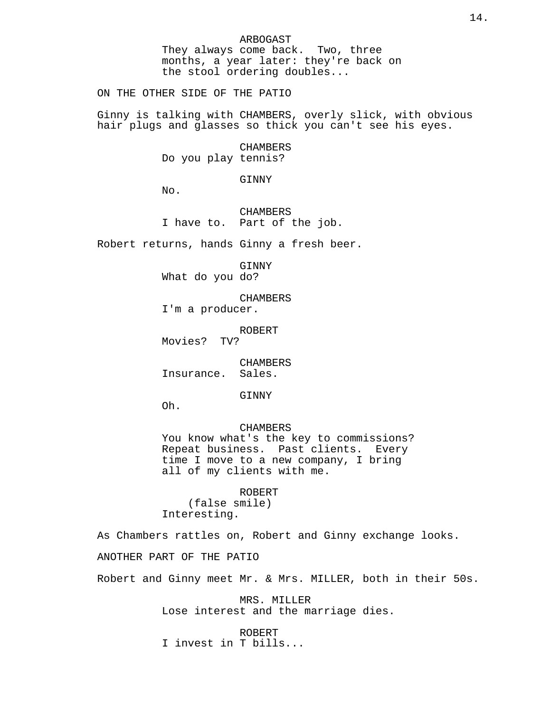ARBOGAST They always come back. Two, three months, a year later: they're back on the stool ordering doubles...

ON THE OTHER SIDE OF THE PATIO

Ginny is talking with CHAMBERS, overly slick, with obvious hair plugs and glasses so thick you can't see his eyes.

> CHAMBERS Do you play tennis?

> > GINNY

 $N<sub>0</sub>$ .

**CHAMBERS** I have to. Part of the job.

Robert returns, hands Ginny a fresh beer.

GINNY What do you do?

CHAMBERS I'm a producer.

ROBERT

Movies? TV?

CHAMBERS Insurance. Sales.

GINNY

Oh.

#### CHAMBERS

You know what's the key to commissions? Repeat business. Past clients. Every time I move to a new company, I bring all of my clients with me.

ROBERT (false smile) Interesting.

As Chambers rattles on, Robert and Ginny exchange looks.

ANOTHER PART OF THE PATIO

Robert and Ginny meet Mr. & Mrs. MILLER, both in their 50s.

MRS. MILLER Lose interest and the marriage dies.

ROBERT

I invest in T bills...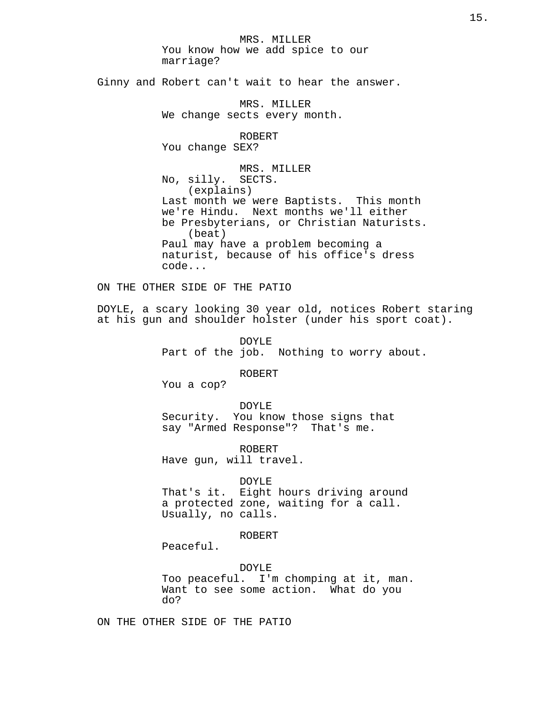MRS. MILLER You know how we add spice to our marriage?

Ginny and Robert can't wait to hear the answer.

MRS. MILLER We change sects every month.

ROBERT

You change SEX?

MRS. MILLER No, silly. SECTS. (explains) Last month we were Baptists. This month we're Hindu. Next months we'll either be Presbyterians, or Christian Naturists. (beat) Paul may have a problem becoming a naturist, because of his office's dress code...

ON THE OTHER SIDE OF THE PATIO

DOYLE, a scary looking 30 year old, notices Robert staring at his gun and shoulder holster (under his sport coat).

> DOYLE Part of the job. Nothing to worry about.

> > ROBERT

You a cop?

DOYLE Security. You know those signs that say "Armed Response"? That's me.

ROBERT Have gun, will travel.

DOYLE

That's it. Eight hours driving around a protected zone, waiting for a call. Usually, no calls.

ROBERT

Peaceful.

DOYLE Too peaceful. I'm chomping at it, man. Want to see some action. What do you do?

ON THE OTHER SIDE OF THE PATIO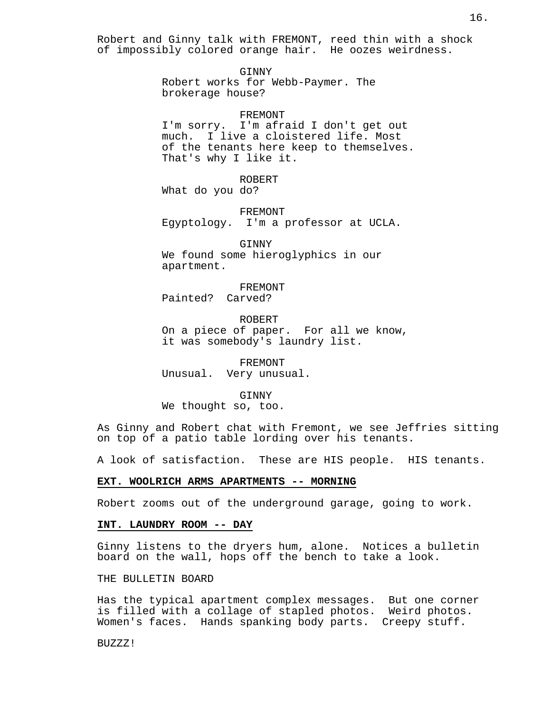Robert and Ginny talk with FREMONT, reed thin with a shock of impossibly colored orange hair. He oozes weirdness.

> GINNY Robert works for Webb-Paymer. The brokerage house?

### FREMONT

I'm sorry. I'm afraid I don't get out much. I live a cloistered life. Most of the tenants here keep to themselves. That's why I like it.

ROBERT What do you do?

FREMONT Egyptology. I'm a professor at UCLA.

GINNY We found some hieroglyphics in our apartment.

FREMONT Painted? Carved?

ROBERT On a piece of paper. For all we know, it was somebody's laundry list.

FREMONT Unusual. Very unusual.

#### GINNY

We thought so, too.

As Ginny and Robert chat with Fremont, we see Jeffries sitting on top of a patio table lording over his tenants.

A look of satisfaction. These are HIS people. HIS tenants.

#### **EXT. WOOLRICH ARMS APARTMENTS -- MORNING**

Robert zooms out of the underground garage, going to work.

#### **INT. LAUNDRY ROOM -- DAY**

Ginny listens to the dryers hum, alone. Notices a bulletin board on the wall, hops off the bench to take a look.

# THE BULLETIN BOARD

Has the typical apartment complex messages. But one corner is filled with a collage of stapled photos. Weird photos. Women's faces. Hands spanking body parts. Creepy stuff.

BUZZZ!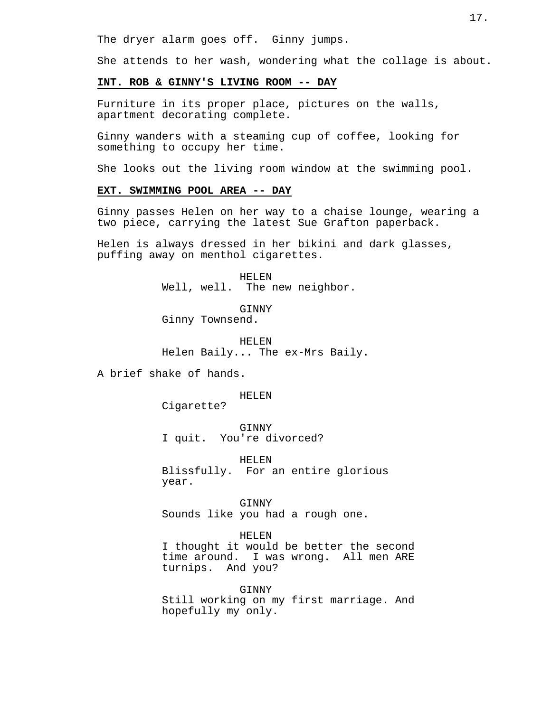The dryer alarm goes off. Ginny jumps.

She attends to her wash, wondering what the collage is about.

### **INT. ROB & GINNY'S LIVING ROOM -- DAY**

Furniture in its proper place, pictures on the walls, apartment decorating complete.

Ginny wanders with a steaming cup of coffee, looking for something to occupy her time.

She looks out the living room window at the swimming pool.

# **EXT. SWIMMING POOL AREA -- DAY**

Ginny passes Helen on her way to a chaise lounge, wearing a two piece, carrying the latest Sue Grafton paperback.

Helen is always dressed in her bikini and dark glasses, puffing away on menthol cigarettes.

> HELEN Well, well. The new neighbor.

**GINNY** Ginny Townsend.

HELEN Helen Baily... The ex-Mrs Baily.

A brief shake of hands.

HELEN

Cigarette?

GINNY

I quit. You're divorced?

HELEN

Blissfully. For an entire glorious year.

GINNY Sounds like you had a rough one.

#### HELEN

I thought it would be better the second time around. I was wrong. All men ARE turnips. And you?

GINNY

Still working on my first marriage. And hopefully my only.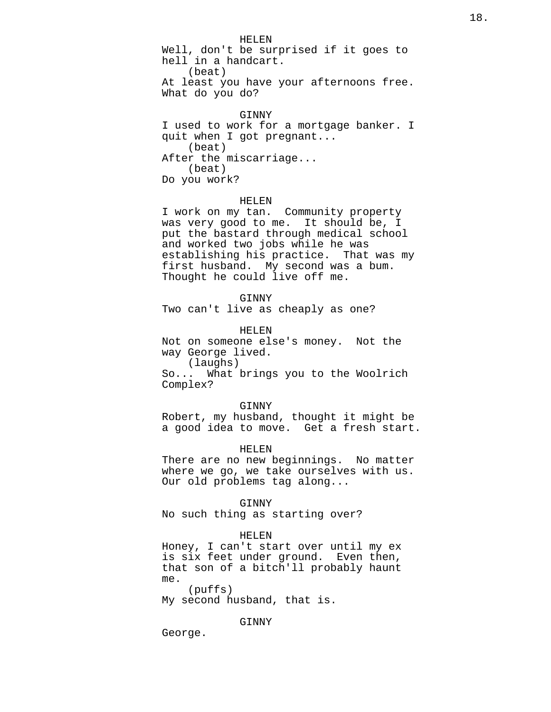HELEN Well, don't be surprised if it goes to hell in a handcart. (beat) At least you have your afternoons free. What do you do?

#### GINNY

I used to work for a mortgage banker. I quit when I got pregnant... (beat) After the miscarriage... (beat) Do you work?

#### HELEN

I work on my tan. Community property was very good to me. It should be, I put the bastard through medical school and worked two jobs while he was establishing his practice. That was my first husband. My second was a bum. Thought he could live off me.

GINNY Two can't live as cheaply as one?

HELEN Not on someone else's money. Not the way George lived. (laughs) So... What brings you to the Woolrich

Complex? GINNY

Robert, my husband, thought it might be a good idea to move. Get a fresh start.

HELEN

There are no new beginnings. No matter where we go, we take ourselves with us. Our old problems tag along...

GINNY

No such thing as starting over?

#### HELEN

Honey, I can't start over until my ex is six feet under ground. Even then, that son of a bitch'll probably haunt me.

(puffs) My second husband, that is.

GINNY

George.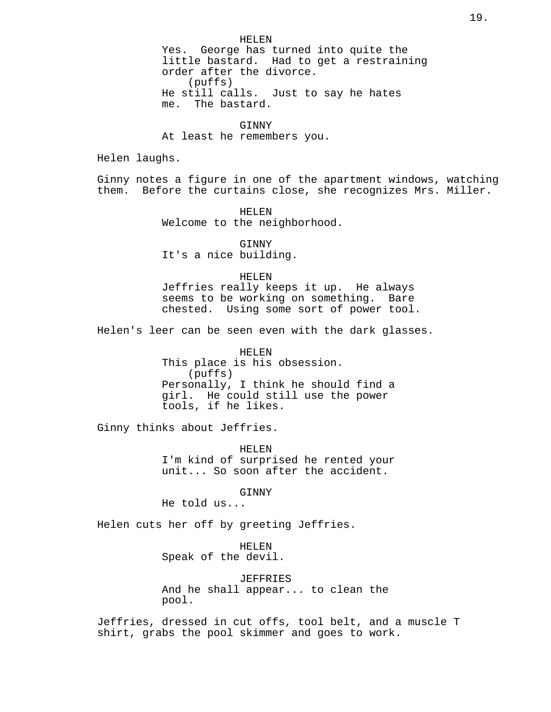#### **GINNY**

At least he remembers you.

Helen laughs.

Ginny notes a figure in one of the apartment windows, watching them. Before the curtains close, she recognizes Mrs. Miller.

> HELEN Welcome to the neighborhood.

GINNY It's a nice building.

### HELEN

Jeffries really keeps it up. He always seems to be working on something. Bare chested. Using some sort of power tool.

Helen's leer can be seen even with the dark glasses.

HELEN This place is his obsession. (puffs) Personally, I think he should find a girl. He could still use the power tools, if he likes.

Ginny thinks about Jeffries.

HELEN I'm kind of surprised he rented your unit... So soon after the accident.

GINNY

He told us...

Helen cuts her off by greeting Jeffries.

HELEN Speak of the devil.

JEFFRIES

And he shall appear... to clean the pool.

Jeffries, dressed in cut offs, tool belt, and a muscle T shirt, grabs the pool skimmer and goes to work.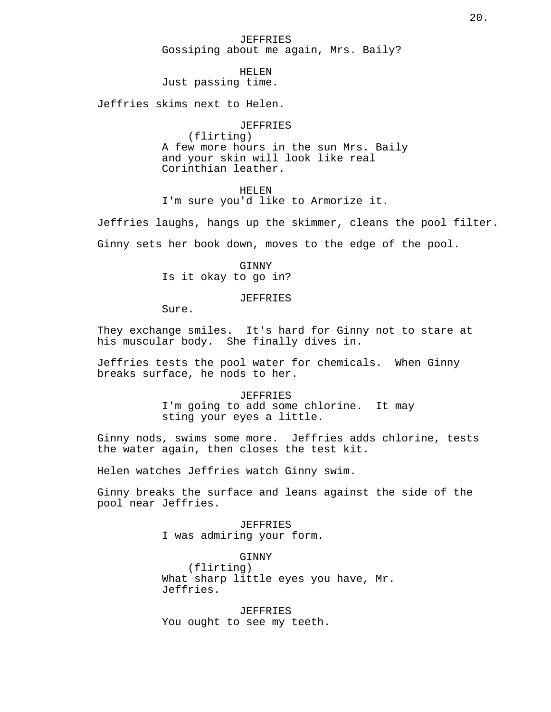# JEFFRIES Gossiping about me again, Mrs. Baily?

#### HELEN

Just passing time.

Jeffries skims next to Helen.

#### JEFFRIES

(flirting) A few more hours in the sun Mrs. Baily and your skin will look like real Corinthian leather.

# HELEN

I'm sure you'd like to Armorize it.

Jeffries laughs, hangs up the skimmer, cleans the pool filter.

Ginny sets her book down, moves to the edge of the pool.

GINNY Is it okay to go in?

#### JEFFRIES

Sure.

They exchange smiles. It's hard for Ginny not to stare at his muscular body. She finally dives in.

Jeffries tests the pool water for chemicals. When Ginny breaks surface, he nods to her.

# JEFFRIES I'm going to add some chlorine. It may sting your eyes a little.

Ginny nods, swims some more. Jeffries adds chlorine, tests the water again, then closes the test kit.

Helen watches Jeffries watch Ginny swim.

Ginny breaks the surface and leans against the side of the pool near Jeffries.

> JEFFRIES I was admiring your form.

GINNY (flirting) What sharp little eyes you have, Mr. Jeffries.

JEFFRIES You ought to see my teeth.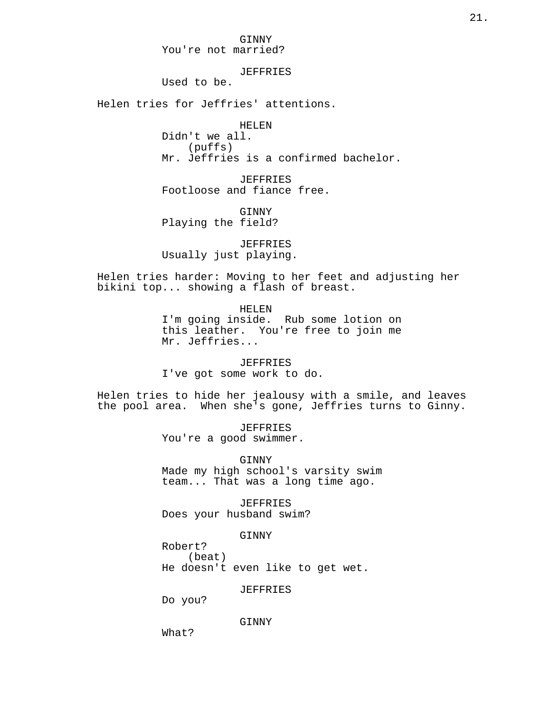# JEFFRIES

Used to be.

Helen tries for Jeffries' attentions.

HELEN

Didn't we all. (puffs) Mr. Jeffries is a confirmed bachelor.

JEFFRIES Footloose and fiance free.

GINNY Playing the field?

JEFFRIES Usually just playing.

Helen tries harder: Moving to her feet and adjusting her bikini top... showing a flash of breast.

HELEN

I'm going inside. Rub some lotion on this leather. You're free to join me Mr. Jeffries...

JEFFRIES

I've got some work to do.

Helen tries to hide her jealousy with a smile, and leaves the pool area. When she's gone, Jeffries turns to Ginny.

> JEFFRIES You're a good swimmer.

GINNY Made my high school's varsity swim team... That was a long time ago.

JEFFRIES Does your husband swim?

GINNY

Robert? (beat) He doesn't even like to get wet.

JEFFRIES

Do you?

GINNY

What?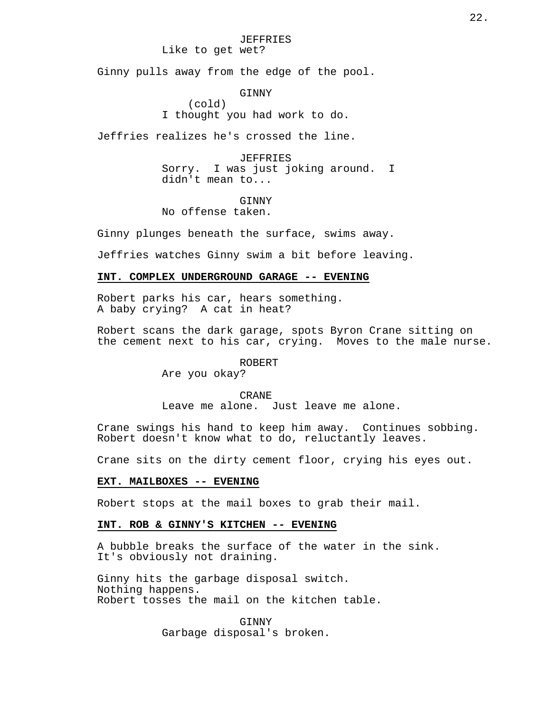# JEFFRIES

Like to get wet?

Ginny pulls away from the edge of the pool.

GINNY

(cold) I thought you had work to do.

Jeffries realizes he's crossed the line.

JEFFRIES Sorry. I was just joking around. I didn't mean to...

**GINNY** 

No offense taken.

Ginny plunges beneath the surface, swims away.

Jeffries watches Ginny swim a bit before leaving.

# **INT. COMPLEX UNDERGROUND GARAGE -- EVENING**

Robert parks his car, hears something. A baby crying? A cat in heat?

Robert scans the dark garage, spots Byron Crane sitting on the cement next to his car, crying. Moves to the male nurse.

ROBERT

Are you okay?

# CRANE

Leave me alone. Just leave me alone.

Crane swings his hand to keep him away. Continues sobbing. Robert doesn't know what to do, reluctantly leaves.

Crane sits on the dirty cement floor, crying his eyes out.

#### **EXT. MAILBOXES -- EVENING**

Robert stops at the mail boxes to grab their mail.

# **INT. ROB & GINNY'S KITCHEN -- EVENING**

A bubble breaks the surface of the water in the sink. It's obviously not draining.

Ginny hits the garbage disposal switch. Nothing happens. Robert tosses the mail on the kitchen table.

> **GINNY** Garbage disposal's broken.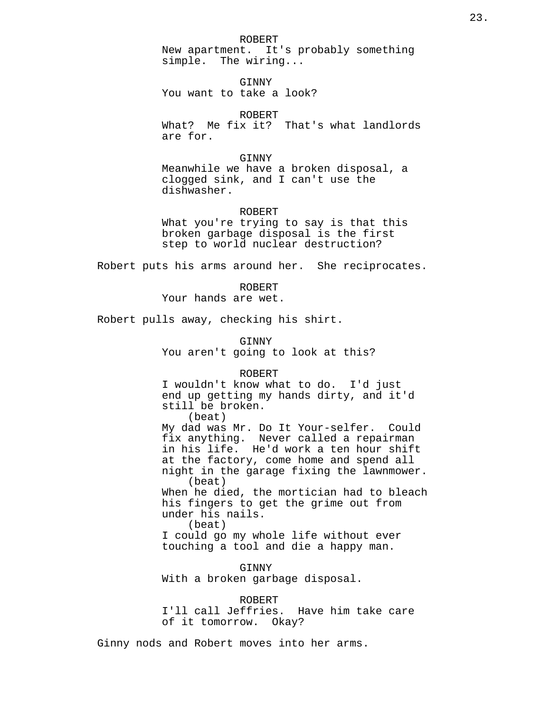ROBERT

New apartment. It's probably something simple. The wiring...

GINNY You want to take a look?

ROBERT What? Me fix it? That's what landlords are for.

### GINNY

Meanwhile we have a broken disposal, a clogged sink, and I can't use the dishwasher.

### ROBERT

What you're trying to say is that this broken garbage disposal is the first step to world nuclear destruction?

Robert puts his arms around her. She reciprocates.

ROBERT

Your hands are wet.

Robert pulls away, checking his shirt.

GINNY

You aren't going to look at this?

#### ROBERT

I wouldn't know what to do. I'd just end up getting my hands dirty, and it'd still be broken.

(beat)

My dad was Mr. Do It Your-selfer. Could fix anything. Never called a repairman in his life. He'd work a ten hour shift at the factory, come home and spend all night in the garage fixing the lawnmower. (beat) When he died, the mortician had to bleach his fingers to get the grime out from under his nails. (beat) I could go my whole life without ever touching a tool and die a happy man.

GINNY With a broken garbage disposal.

ROBERT I'll call Jeffries. Have him take care of it tomorrow. Okay?

Ginny nods and Robert moves into her arms.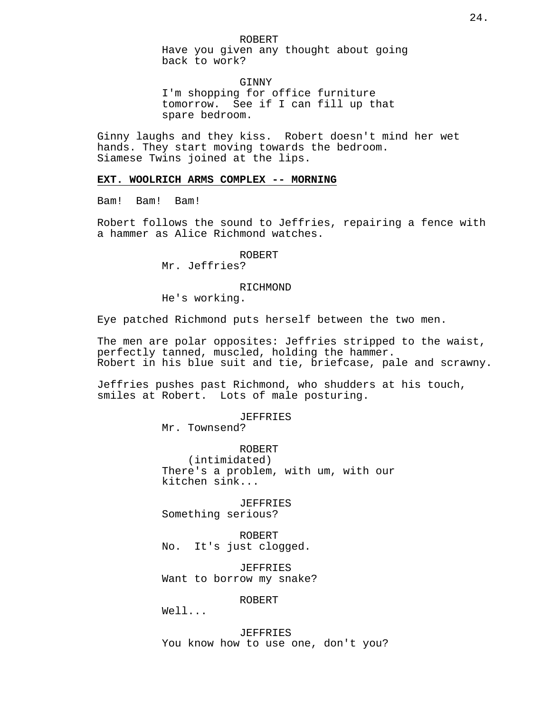Have you given any thought about going back to work?

GINNY I'm shopping for office furniture tomorrow. See if I can fill up that spare bedroom.

Ginny laughs and they kiss. Robert doesn't mind her wet hands. They start moving towards the bedroom. Siamese Twins joined at the lips.

## **EXT. WOOLRICH ARMS COMPLEX -- MORNING**

Bam! Bam! Bam!

Robert follows the sound to Jeffries, repairing a fence with a hammer as Alice Richmond watches.

# ROBERT

Mr. Jeffries?

# RICHMOND

He's working.

Eye patched Richmond puts herself between the two men.

The men are polar opposites: Jeffries stripped to the waist, perfectly tanned, muscled, holding the hammer. Robert in his blue suit and tie, briefcase, pale and scrawny.

Jeffries pushes past Richmond, who shudders at his touch, smiles at Robert. Lots of male posturing.

#### JEFFRIES

Mr. Townsend?

ROBERT (intimidated) There's a problem, with um, with our kitchen sink...

JEFFRIES Something serious?

ROBERT No. It's just clogged.

JEFFRIES Want to borrow my snake?

ROBERT

 $W \cap 1$ ...

JEFFRIES You know how to use one, don't you?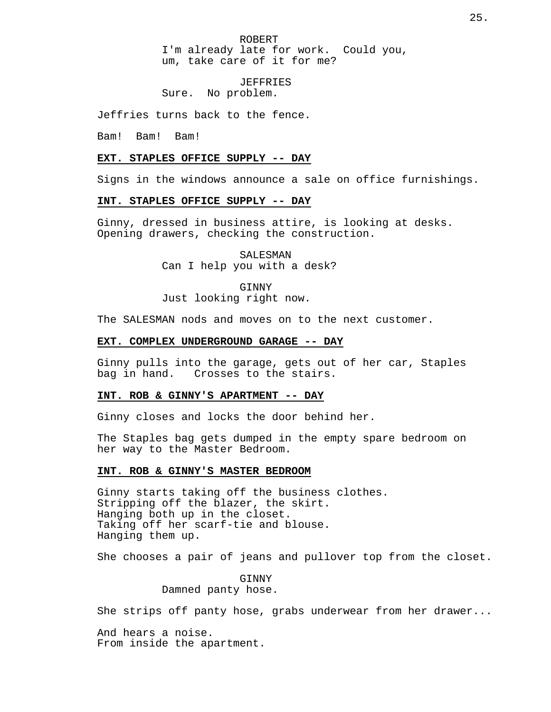ROBERT I'm already late for work. Could you, um, take care of it for me?

JEFFRIES Sure. No problem.

Jeffries turns back to the fence.

Bam! Bam! Bam!

# **EXT. STAPLES OFFICE SUPPLY -- DAY**

Signs in the windows announce a sale on office furnishings.

# **INT. STAPLES OFFICE SUPPLY -- DAY**

Ginny, dressed in business attire, is looking at desks. Opening drawers, checking the construction.

> SALESMAN Can I help you with a desk?

> > GINNY

Just looking right now.

The SALESMAN nods and moves on to the next customer.

# **EXT. COMPLEX UNDERGROUND GARAGE -- DAY**

Ginny pulls into the garage, gets out of her car, Staples bag in hand. Crosses to the stairs.

# **INT. ROB & GINNY'S APARTMENT -- DAY**

Ginny closes and locks the door behind her.

The Staples bag gets dumped in the empty spare bedroom on her way to the Master Bedroom.

### **INT. ROB & GINNY'S MASTER BEDROOM**

Ginny starts taking off the business clothes. Stripping off the blazer, the skirt. Hanging both up in the closet. Taking off her scarf-tie and blouse. Hanging them up.

She chooses a pair of jeans and pullover top from the closet.

GINNY Damned panty hose.

She strips off panty hose, grabs underwear from her drawer...

And hears a noise. From inside the apartment.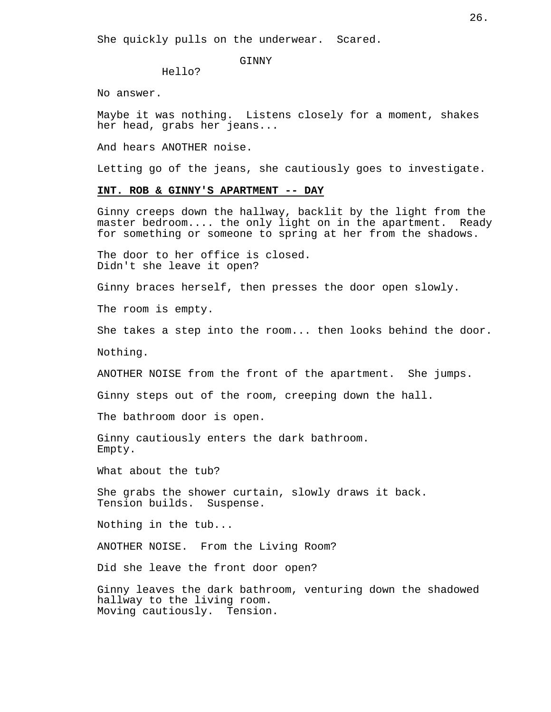She quickly pulls on the underwear. Scared.

GINNY

Hello?

No answer.

Maybe it was nothing. Listens closely for a moment, shakes her head, grabs her jeans...

And hears ANOTHER noise.

Letting go of the jeans, she cautiously goes to investigate.

# **INT. ROB & GINNY'S APARTMENT -- DAY**

Ginny creeps down the hallway, backlit by the light from the master bedroom.... the only light on in the apartment. Ready for something or someone to spring at her from the shadows.

The door to her office is closed. Didn't she leave it open?

Ginny braces herself, then presses the door open slowly.

The room is empty.

She takes a step into the room... then looks behind the door.

Nothing.

ANOTHER NOISE from the front of the apartment. She jumps.

Ginny steps out of the room, creeping down the hall.

The bathroom door is open.

Ginny cautiously enters the dark bathroom. Empty.

What about the tub?

She grabs the shower curtain, slowly draws it back. Tension builds. Suspense.

Nothing in the tub...

ANOTHER NOISE. From the Living Room?

Did she leave the front door open?

Ginny leaves the dark bathroom, venturing down the shadowed hallway to the living room. Moving cautiously. Tension.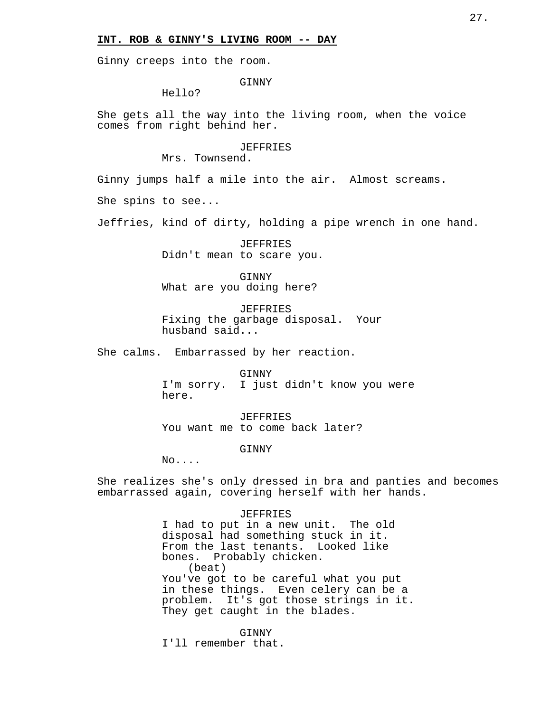### **INT. ROB & GINNY'S LIVING ROOM -- DAY**

Ginny creeps into the room.

GINNY

Hello?

She gets all the way into the living room, when the voice comes from right behind her.

> JEFFRIES Mrs. Townsend.

Ginny jumps half a mile into the air. Almost screams.

She spins to see...

Jeffries, kind of dirty, holding a pipe wrench in one hand.

JEFFRIES Didn't mean to scare you.

GINNY What are you doing here?

JEFFRIES Fixing the garbage disposal. Your husband said...

She calms. Embarrassed by her reaction.

GINNY I'm sorry. I just didn't know you were here.

JEFFRIES You want me to come back later?

**GINNY** 

No....

She realizes she's only dressed in bra and panties and becomes embarrassed again, covering herself with her hands.

JEFFRIES

I had to put in a new unit. The old disposal had something stuck in it. From the last tenants. Looked like bones. Probably chicken. (beat) You've got to be careful what you put in these things. Even celery can be a problem. It's got those strings in it. They get caught in the blades.

GINNY

I'll remember that.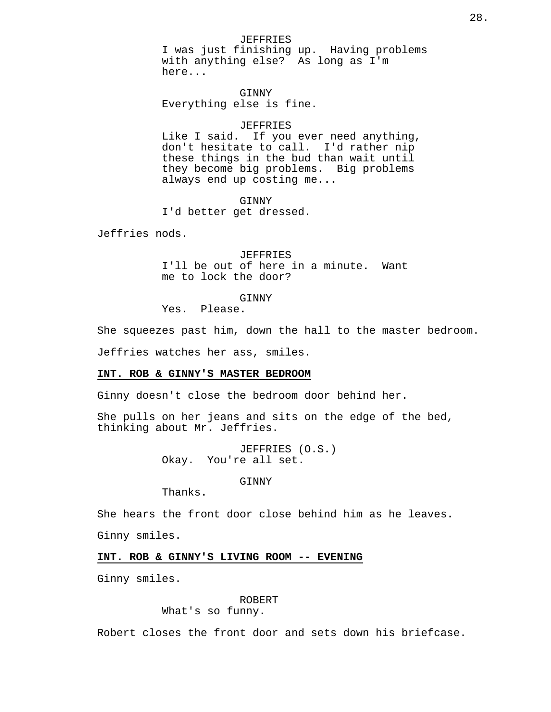JEFFRIES I was just finishing up. Having problems with anything else? As long as I'm here...

GINNY Everything else is fine.

### JEFFRIES

Like I said. If you ever need anything, don't hesitate to call. I'd rather nip these things in the bud than wait until they become big problems. Big problems always end up costing me...

#### GINNY

I'd better get dressed.

Jeffries nods.

JEFFRIES I'll be out of here in a minute. Want me to lock the door?

# GINNY

Yes. Please.

She squeezes past him, down the hall to the master bedroom.

Jeffries watches her ass, smiles.

# **INT. ROB & GINNY'S MASTER BEDROOM**

Ginny doesn't close the bedroom door behind her.

She pulls on her jeans and sits on the edge of the bed, thinking about Mr. Jeffries.

> JEFFRIES (O.S.) Okay. You're all set.

> > **GINNY**

Thanks.

She hears the front door close behind him as he leaves.

Ginny smiles.

### **INT. ROB & GINNY'S LIVING ROOM -- EVENING**

Ginny smiles.

### ROBERT

What's so funny.

Robert closes the front door and sets down his briefcase.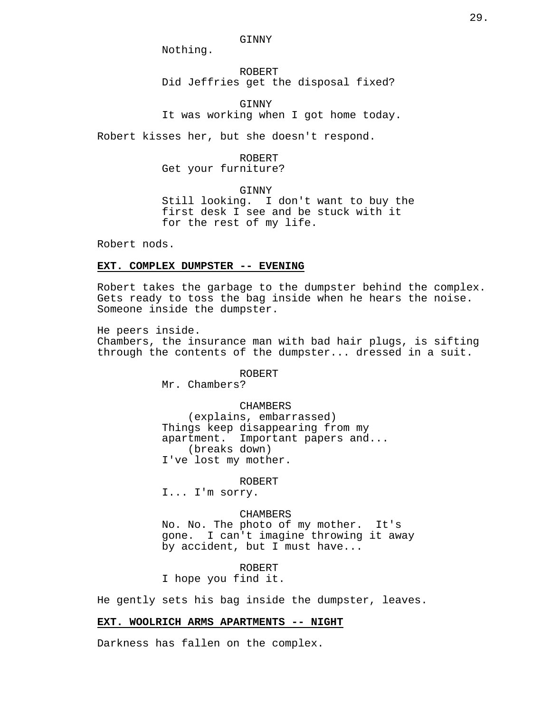GINNY

Nothing.

ROBERT Did Jeffries get the disposal fixed?

GINNY It was working when I got home today.

Robert kisses her, but she doesn't respond.

ROBERT

Get your furniture?

**GINNY** 

Still looking. I don't want to buy the first desk I see and be stuck with it for the rest of my life.

Robert nods.

# **EXT. COMPLEX DUMPSTER -- EVENING**

Robert takes the garbage to the dumpster behind the complex. Gets ready to toss the bag inside when he hears the noise. Someone inside the dumpster.

He peers inside. Chambers, the insurance man with bad hair plugs, is sifting through the contents of the dumpster... dressed in a suit.

ROBERT

Mr. Chambers?

CHAMBERS

(explains, embarrassed) Things keep disappearing from my apartment. Important papers and... (breaks down) I've lost my mother.

ROBERT

I... I'm sorry.

### CHAMBERS

No. No. The photo of my mother. It's gone. I can't imagine throwing it away by accident, but I must have...

ROBERT

I hope you find it.

He gently sets his bag inside the dumpster, leaves.

# **EXT. WOOLRICH ARMS APARTMENTS -- NIGHT**

Darkness has fallen on the complex.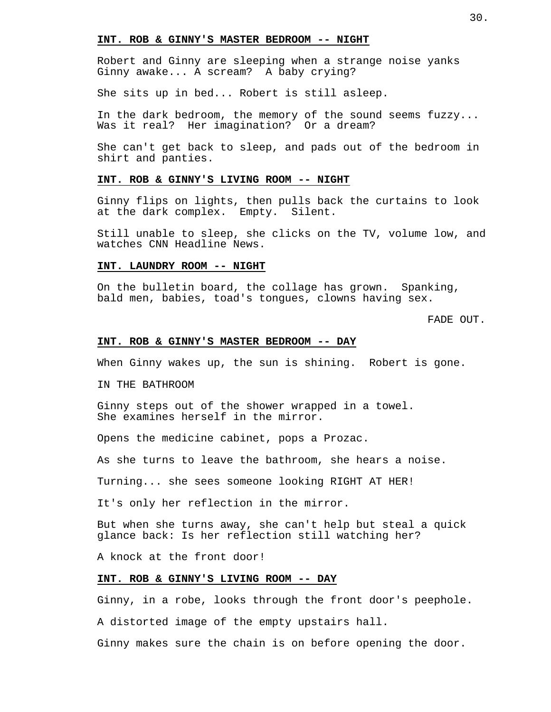# **INT. ROB & GINNY'S MASTER BEDROOM -- NIGHT**

Robert and Ginny are sleeping when a strange noise yanks Ginny awake... A scream? A baby crying?

She sits up in bed... Robert is still asleep.

In the dark bedroom, the memory of the sound seems fuzzy... Was it real? Her imagination? Or a dream?

She can't get back to sleep, and pads out of the bedroom in shirt and panties.

# **INT. ROB & GINNY'S LIVING ROOM -- NIGHT**

Ginny flips on lights, then pulls back the curtains to look at the dark complex. Empty. Silent.

Still unable to sleep, she clicks on the TV, volume low, and watches CNN Headline News.

# **INT. LAUNDRY ROOM -- NIGHT**

On the bulletin board, the collage has grown. Spanking, bald men, babies, toad's tongues, clowns having sex.

FADE OUT.

### **INT. ROB & GINNY'S MASTER BEDROOM -- DAY**

When Ginny wakes up, the sun is shining. Robert is gone.

IN THE BATHROOM

Ginny steps out of the shower wrapped in a towel. She examines herself in the mirror.

Opens the medicine cabinet, pops a Prozac.

As she turns to leave the bathroom, she hears a noise.

Turning... she sees someone looking RIGHT AT HER!

It's only her reflection in the mirror.

But when she turns away, she can't help but steal a quick glance back: Is her reflection still watching her?

A knock at the front door!

# **INT. ROB & GINNY'S LIVING ROOM -- DAY**

Ginny, in a robe, looks through the front door's peephole.

A distorted image of the empty upstairs hall.

Ginny makes sure the chain is on before opening the door.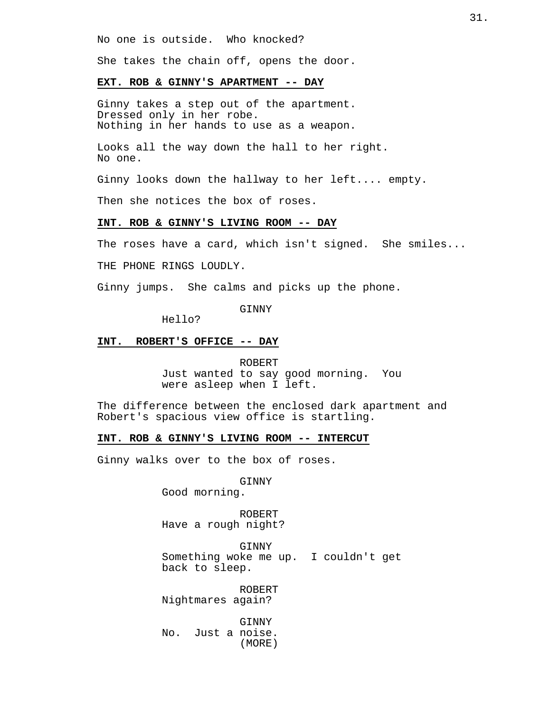No one is outside. Who knocked?

She takes the chain off, opens the door.

#### **EXT. ROB & GINNY'S APARTMENT -- DAY**

Ginny takes a step out of the apartment. Dressed only in her robe. Nothing in her hands to use as a weapon.

Looks all the way down the hall to her right. No one.

Ginny looks down the hallway to her left.... empty.

Then she notices the box of roses.

# **INT. ROB & GINNY'S LIVING ROOM -- DAY**

The roses have a card, which isn't signed. She smiles...

THE PHONE RINGS LOUDLY.

Ginny jumps. She calms and picks up the phone.

**GINNY** 

Hello?

### **INT. ROBERT'S OFFICE -- DAY**

ROBERT Just wanted to say good morning. You were asleep when I left.

The difference between the enclosed dark apartment and Robert's spacious view office is startling.

#### **INT. ROB & GINNY'S LIVING ROOM -- INTERCUT**

Ginny walks over to the box of roses.

GINNY

Good morning.

ROBERT Have a rough night?

GINNY Something woke me up. I couldn't get back to sleep.

ROBERT Nightmares again?

GINNY No. Just a noise. (MORE)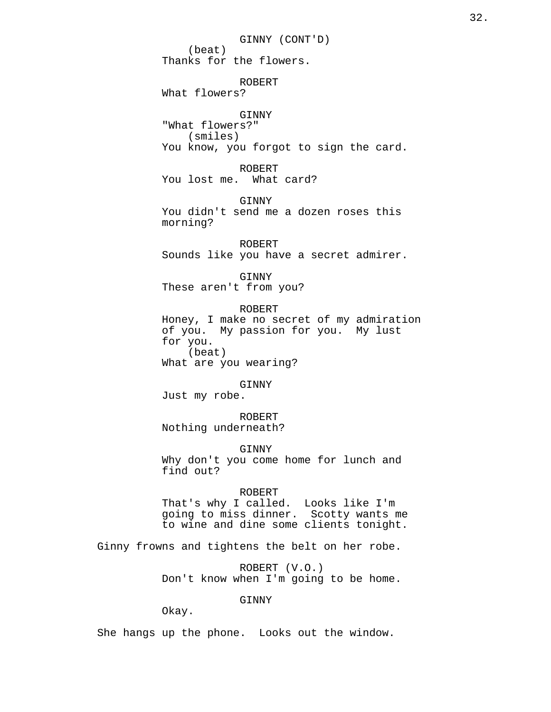GINNY (CONT'D) (beat) Thanks for the flowers. ROBERT What flowers? GINNY "What flowers?" (smiles) You know, you forgot to sign the card. ROBERT You lost me. What card? GINNY You didn't send me a dozen roses this morning? ROBERT Sounds like you have a secret admirer. GINNY These aren't from you? ROBERT Honey, I make no secret of my admiration of you. My passion for you. My lust for you. (beat) What are you wearing? GINNY Just my robe. ROBERT Nothing underneath? GINNY Why don't you come home for lunch and find out? ROBERT That's why I called. Looks like I'm going to miss dinner. Scotty wants me to wine and dine some clients tonight. Ginny frowns and tightens the belt on her robe. ROBERT (V.O.) Don't know when I'm going to be home.

GINNY

Okay.

She hangs up the phone. Looks out the window.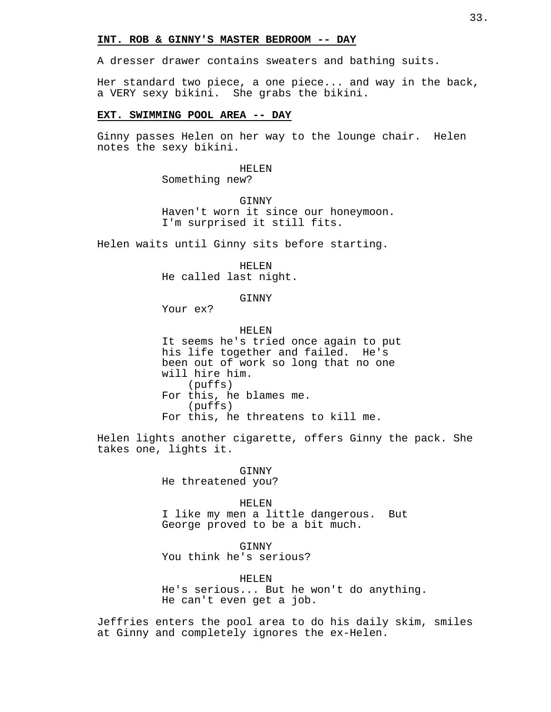### **INT. ROB & GINNY'S MASTER BEDROOM -- DAY**

A dresser drawer contains sweaters and bathing suits.

Her standard two piece, a one piece... and way in the back, a VERY sexy bikini. She grabs the bikini.

# **EXT. SWIMMING POOL AREA -- DAY**

Ginny passes Helen on her way to the lounge chair. Helen notes the sexy bikini.

> HELEN Something new?

GINNY Haven't worn it since our honeymoon. I'm surprised it still fits.

Helen waits until Ginny sits before starting.

HELEN He called last night.

GINNY

Your ex?

HELEN It seems he's tried once again to put his life together and failed. He's been out of work so long that no one will hire him. (puffs) For this, he blames me. (puffs) For this, he threatens to kill me.

Helen lights another cigarette, offers Ginny the pack. She takes one, lights it.

> GINNY He threatened you?

HELEN I like my men a little dangerous. But George proved to be a bit much.

**GINNY** You think he's serious?

HELEN

He's serious... But he won't do anything. He can't even get a job.

Jeffries enters the pool area to do his daily skim, smiles at Ginny and completely ignores the ex-Helen.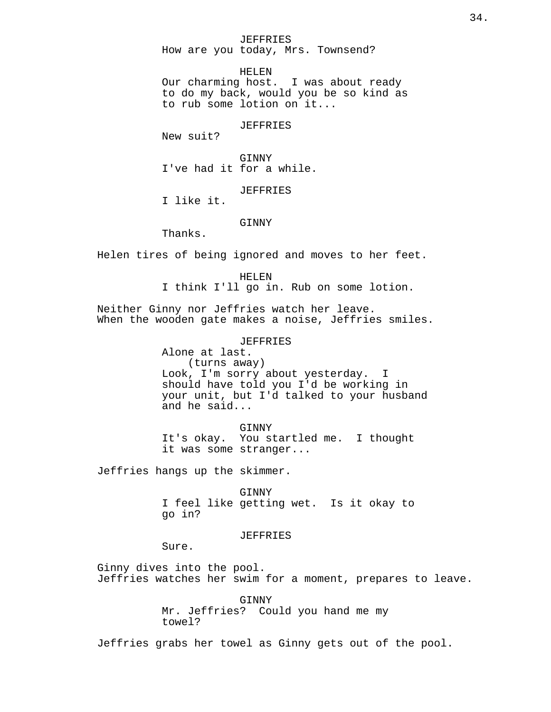#### JEFFRIES

How are you today, Mrs. Townsend?

HELEN

Our charming host. I was about ready to do my back, would you be so kind as to rub some lotion on it...

### JEFFRIES

New suit?

GINNY I've had it for a while.

# **JEFFRIES**

I like it.

# GINNY

Thanks.

Helen tires of being ignored and moves to her feet.

#### HELEN

I think I'll go in. Rub on some lotion.

Neither Ginny nor Jeffries watch her leave. When the wooden gate makes a noise, Jeffries smiles.

# JEFFRIES

Alone at last. (turns away) Look, I'm sorry about yesterday. I should have told you I'd be working in your unit, but I'd talked to your husband and he said...

GINNY It's okay. You startled me. I thought it was some stranger...

Jeffries hangs up the skimmer.

GINNY I feel like getting wet. Is it okay to go in?

### JEFFRIES

Sure.

Ginny dives into the pool. Jeffries watches her swim for a moment, prepares to leave.

> GINNY Mr. Jeffries? Could you hand me my towel?

Jeffries grabs her towel as Ginny gets out of the pool.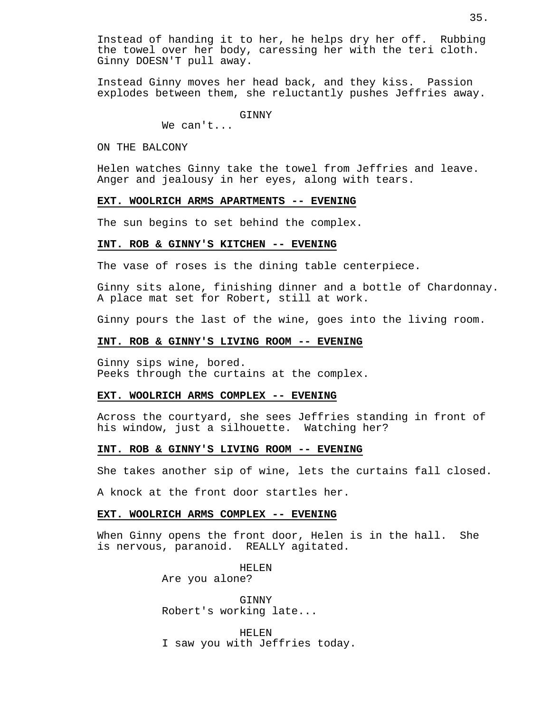Instead of handing it to her, he helps dry her off. Rubbing the towel over her body, caressing her with the teri cloth. Ginny DOESN'T pull away.

Instead Ginny moves her head back, and they kiss. Passion explodes between them, she reluctantly pushes Jeffries away.

GINNY

We can't...

ON THE BALCONY

Helen watches Ginny take the towel from Jeffries and leave. Anger and jealousy in her eyes, along with tears.

#### **EXT. WOOLRICH ARMS APARTMENTS -- EVENING**

The sun begins to set behind the complex.

#### **INT. ROB & GINNY'S KITCHEN -- EVENING**

The vase of roses is the dining table centerpiece.

Ginny sits alone, finishing dinner and a bottle of Chardonnay. A place mat set for Robert, still at work.

Ginny pours the last of the wine, goes into the living room.

# **INT. ROB & GINNY'S LIVING ROOM -- EVENING**

Ginny sips wine, bored. Peeks through the curtains at the complex.

# **EXT. WOOLRICH ARMS COMPLEX -- EVENING**

Across the courtyard, she sees Jeffries standing in front of his window, just a silhouette. Watching her?

# **INT. ROB & GINNY'S LIVING ROOM -- EVENING**

She takes another sip of wine, lets the curtains fall closed.

A knock at the front door startles her.

### **EXT. WOOLRICH ARMS COMPLEX -- EVENING**

When Ginny opens the front door, Helen is in the hall. She is nervous, paranoid. REALLY agitated.

> HELEN Are you alone?

GINNY Robert's working late...

HELEN I saw you with Jeffries today.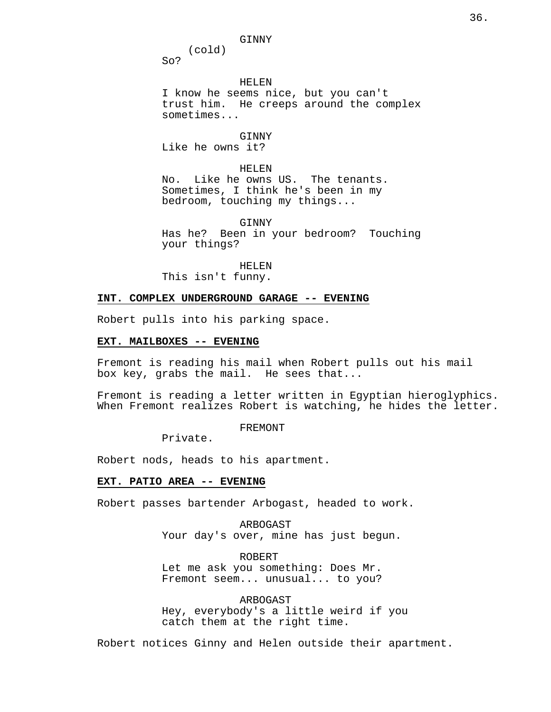GINNY

(cold)

So?

HELEN

I know he seems nice, but you can't trust him. He creeps around the complex sometimes...

#### GINNY

Like he owns it?

#### HELEN

No. Like he owns US. The tenants. Sometimes, I think he's been in my bedroom, touching my things...

GINNY

Has he? Been in your bedroom? Touching your things?

HELEN This isn't funny.

## **INT. COMPLEX UNDERGROUND GARAGE -- EVENING**

Robert pulls into his parking space.

### **EXT. MAILBOXES -- EVENING**

Fremont is reading his mail when Robert pulls out his mail box key, grabs the mail. He sees that...

Fremont is reading a letter written in Egyptian hieroglyphics. When Fremont realizes Robert is watching, he hides the letter.

FREMONT

Private.

Robert nods, heads to his apartment.

#### **EXT. PATIO AREA -- EVENING**

Robert passes bartender Arbogast, headed to work.

ARBOGAST Your day's over, mine has just begun.

ROBERT Let me ask you something: Does Mr. Fremont seem... unusual... to you?

ARBOGAST Hey, everybody's a little weird if you catch them at the right time.

Robert notices Ginny and Helen outside their apartment.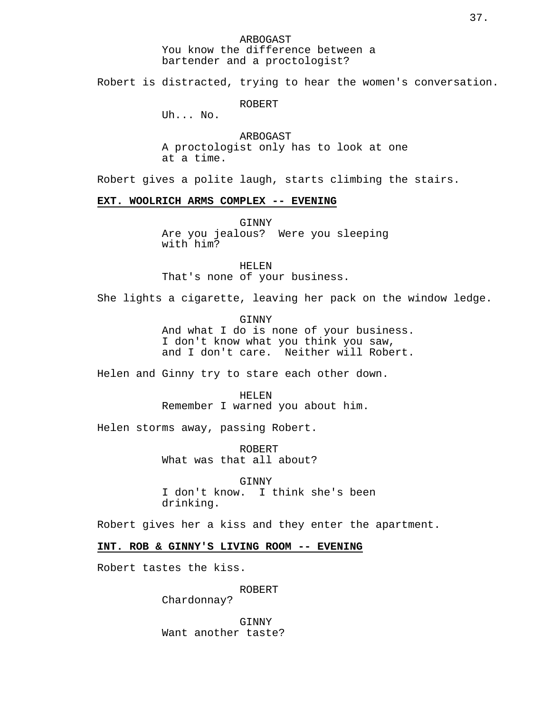ARBOGAST You know the difference between a bartender and a proctologist?

Robert is distracted, trying to hear the women's conversation.

ROBERT

Uh... No.

ARBOGAST A proctologist only has to look at one at a time.

Robert gives a polite laugh, starts climbing the stairs.

### **EXT. WOOLRICH ARMS COMPLEX -- EVENING**

GINNY Are you jealous? Were you sleeping with him?

HELEN That's none of your business.

She lights a cigarette, leaving her pack on the window ledge.

GINNY And what I do is none of your business. I don't know what you think you saw, and I don't care. Neither will Robert.

Helen and Ginny try to stare each other down.

HELEN

Remember I warned you about him.

Helen storms away, passing Robert.

ROBERT What was that all about?

GINNY I don't know. I think she's been drinking.

Robert gives her a kiss and they enter the apartment.

**INT. ROB & GINNY'S LIVING ROOM -- EVENING**

Robert tastes the kiss.

ROBERT

Chardonnay?

GINNY Want another taste?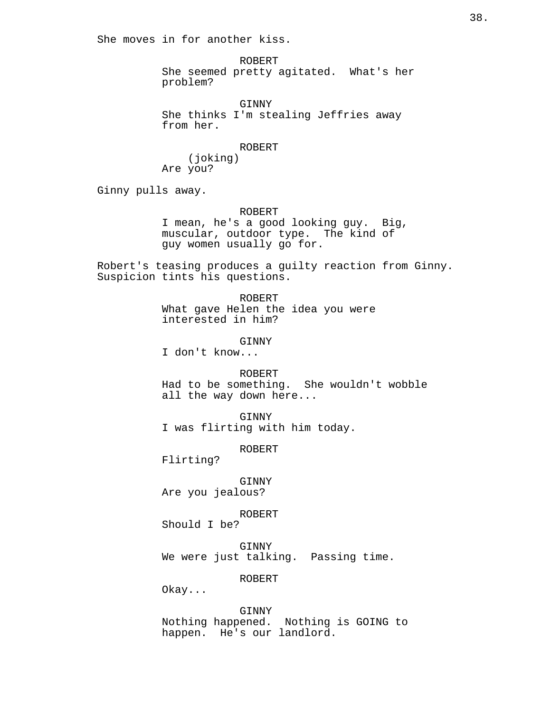She moves in for another kiss.

ROBERT She seemed pretty agitated. What's her problem?

GINNY She thinks I'm stealing Jeffries away from her.

ROBERT

(joking) Are you?

Ginny pulls away.

ROBERT

I mean, he's a good looking guy. Big, muscular, outdoor type. The kind of guy women usually go for.

Robert's teasing produces a guilty reaction from Ginny. Suspicion tints his questions.

> ROBERT What gave Helen the idea you were interested in him?

> > GINNY

I don't know...

ROBERT Had to be something. She wouldn't wobble all the way down here...

GINNY I was flirting with him today.

ROBERT

Flirting?

GINNY Are you jealous?

ROBERT

Should I be?

GINNY We were just talking. Passing time.

ROBERT

Okay...

GINNY Nothing happened. Nothing is GOING to happen. He's our landlord.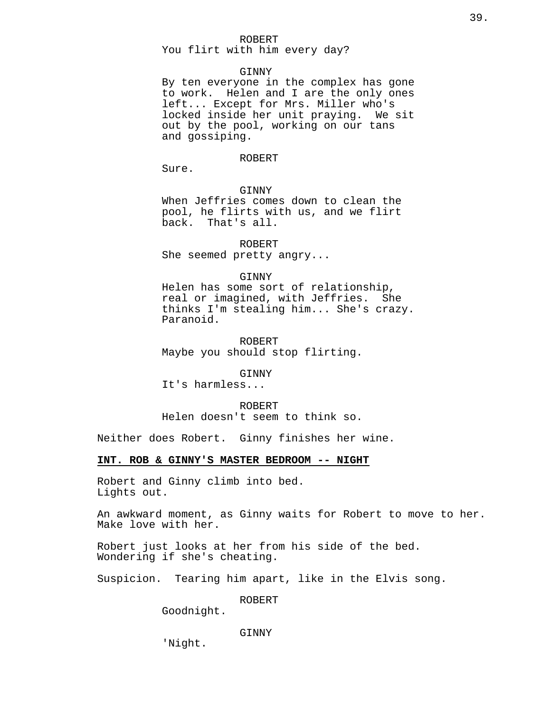#### ROBERT

You flirt with him every day?

## GINNY

By ten everyone in the complex has gone to work. Helen and I are the only ones left... Except for Mrs. Miller who's locked inside her unit praying. We sit out by the pool, working on our tans and gossiping.

#### ROBERT

Sure.

**GINNY** 

When Jeffries comes down to clean the pool, he flirts with us, and we flirt back. That's all.

ROBERT She seemed pretty angry...

#### GINNY

Helen has some sort of relationship, real or imagined, with Jeffries. She thinks I'm stealing him... She's crazy. Paranoid.

ROBERT Maybe you should stop flirting.

**GINNY** 

It's harmless...

ROBERT Helen doesn't seem to think so.

Neither does Robert. Ginny finishes her wine.

### **INT. ROB & GINNY'S MASTER BEDROOM -- NIGHT**

Robert and Ginny climb into bed. Lights out.

An awkward moment, as Ginny waits for Robert to move to her. Make love with her.

Robert just looks at her from his side of the bed. Wondering if she's cheating.

Suspicion. Tearing him apart, like in the Elvis song.

ROBERT

Goodnight.

### GINNY

'Night.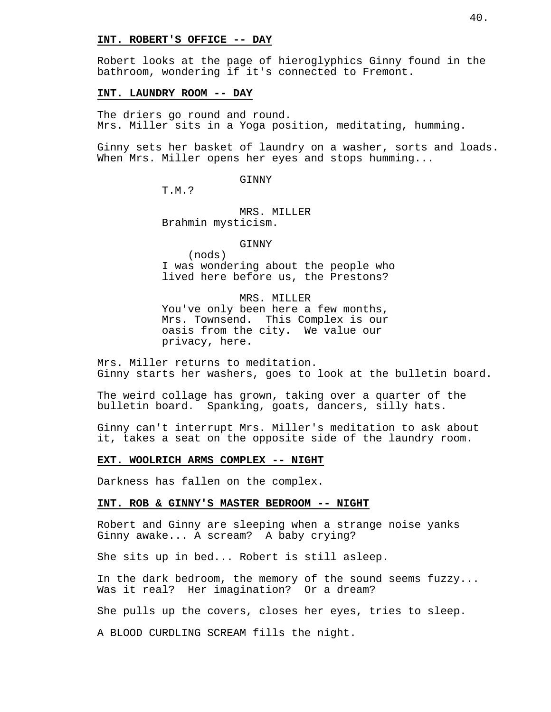#### **INT. ROBERT'S OFFICE -- DAY**

Robert looks at the page of hieroglyphics Ginny found in the bathroom, wondering if it's connected to Fremont.

### **INT. LAUNDRY ROOM -- DAY**

The driers go round and round. Mrs. Miller sits in a Yoga position, meditating, humming.

Ginny sets her basket of laundry on a washer, sorts and loads. When Mrs. Miller opens her eyes and stops humming...

#### GINNY

T.M.?

MRS. MILLER Brahmin mysticism.

#### GINNY

(nods) I was wondering about the people who lived here before us, the Prestons?

## MRS. MILLER

You've only been here a few months, Mrs. Townsend. This Complex is our oasis from the city. We value our privacy, here.

Mrs. Miller returns to meditation. Ginny starts her washers, goes to look at the bulletin board.

The weird collage has grown, taking over a quarter of the bulletin board. Spanking, goats, dancers, silly hats.

Ginny can't interrupt Mrs. Miller's meditation to ask about it, takes a seat on the opposite side of the laundry room.

#### **EXT. WOOLRICH ARMS COMPLEX -- NIGHT**

Darkness has fallen on the complex.

### **INT. ROB & GINNY'S MASTER BEDROOM -- NIGHT**

Robert and Ginny are sleeping when a strange noise yanks Ginny awake... A scream? A baby crying?

She sits up in bed... Robert is still asleep.

In the dark bedroom, the memory of the sound seems fuzzy... Was it real? Her imagination? Or a dream?

She pulls up the covers, closes her eyes, tries to sleep.

A BLOOD CURDLING SCREAM fills the night.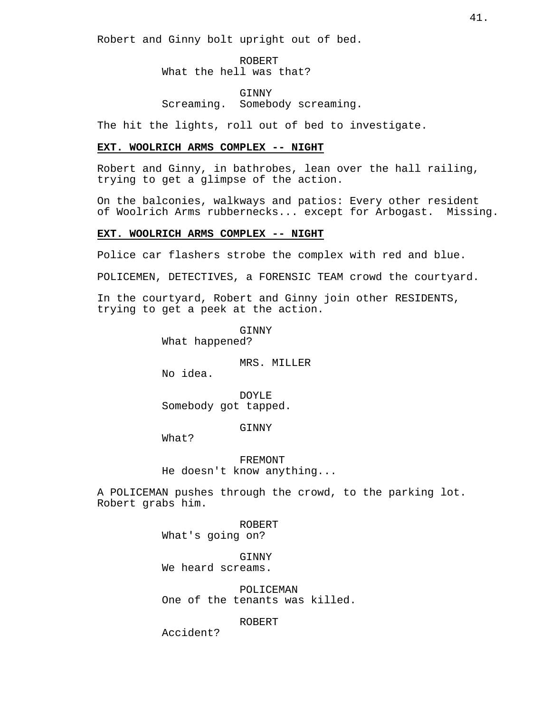Robert and Ginny bolt upright out of bed.

ROBERT What the hell was that?

GINNY Screaming. Somebody screaming.

The hit the lights, roll out of bed to investigate.

## **EXT. WOOLRICH ARMS COMPLEX -- NIGHT**

Robert and Ginny, in bathrobes, lean over the hall railing, trying to get a glimpse of the action.

On the balconies, walkways and patios: Every other resident of Woolrich Arms rubbernecks... except for Arbogast. Missing.

### **EXT. WOOLRICH ARMS COMPLEX -- NIGHT**

Police car flashers strobe the complex with red and blue.

POLICEMEN, DETECTIVES, a FORENSIC TEAM crowd the courtyard.

In the courtyard, Robert and Ginny join other RESIDENTS, trying to get a peek at the action.

> GINNY What happened?

> > MRS. MILLER

No idea.

DOYLE Somebody got tapped.

GINNY

What?

FREMONT He doesn't know anything...

A POLICEMAN pushes through the crowd, to the parking lot. Robert grabs him.

> ROBERT What's going on?

GINNY We heard screams.

POLICEMAN One of the tenants was killed.

ROBERT

Accident?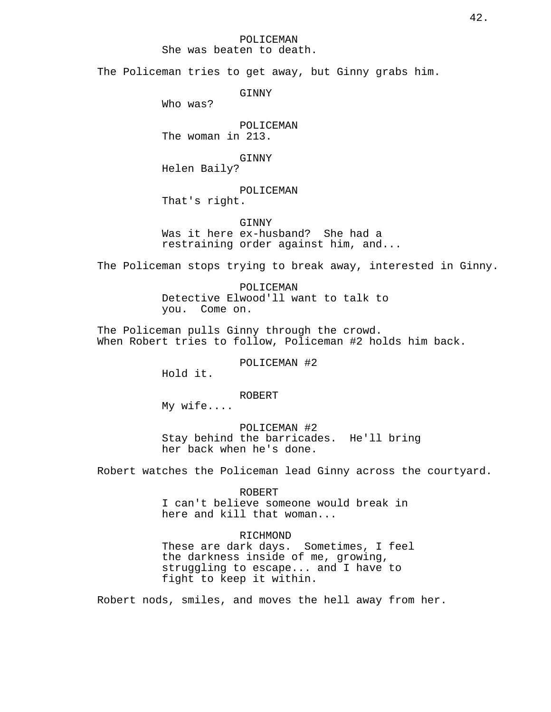POLICEMAN

She was beaten to death.

The Policeman tries to get away, but Ginny grabs him.

GINNY

Who was?

POLICEMAN The woman in 213.

GINNY

Helen Baily?

# POLICEMAN

That's right.

GINNY Was it here ex-husband? She had a restraining order against him, and...

The Policeman stops trying to break away, interested in Ginny.

POLICEMAN Detective Elwood'll want to talk to you. Come on.

The Policeman pulls Ginny through the crowd. When Robert tries to follow, Policeman #2 holds him back.

POLICEMAN #2

Hold it.

ROBERT

My wife....

POLICEMAN #2 Stay behind the barricades. He'll bring her back when he's done.

Robert watches the Policeman lead Ginny across the courtyard.

## ROBERT I can't believe someone would break in here and kill that woman...

## RICHMOND

These are dark days. Sometimes, I feel the darkness inside of me, growing, struggling to escape... and I have to fight to keep it within.

Robert nods, smiles, and moves the hell away from her.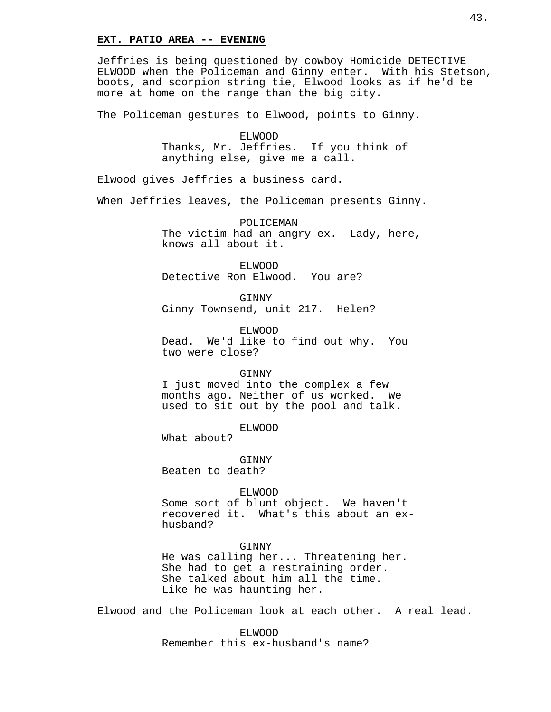#### **EXT. PATIO AREA -- EVENING**

Jeffries is being questioned by cowboy Homicide DETECTIVE ELWOOD when the Policeman and Ginny enter. With his Stetson, boots, and scorpion string tie, Elwood looks as if he'd be more at home on the range than the big city.

The Policeman gestures to Elwood, points to Ginny.

ELWOOD Thanks, Mr. Jeffries. If you think of anything else, give me a call.

Elwood gives Jeffries a business card.

When Jeffries leaves, the Policeman presents Ginny.

POLICEMAN The victim had an angry ex. Lady, here, knows all about it.

ELWOOD Detective Ron Elwood. You are?

GINNY Ginny Townsend, unit 217. Helen?

ELWOOD Dead. We'd like to find out why. You two were close?

GINNY

I just moved into the complex a few months ago. Neither of us worked. We used to sit out by the pool and talk.

ELWOOD

What about?

GINNY Beaten to death?

ELWOOD

Some sort of blunt object. We haven't recovered it. What's this about an exhusband?

GINNY

He was calling her... Threatening her. She had to get a restraining order. She talked about him all the time. Like he was haunting her.

Elwood and the Policeman look at each other. A real lead.

ELWOOD Remember this ex-husband's name?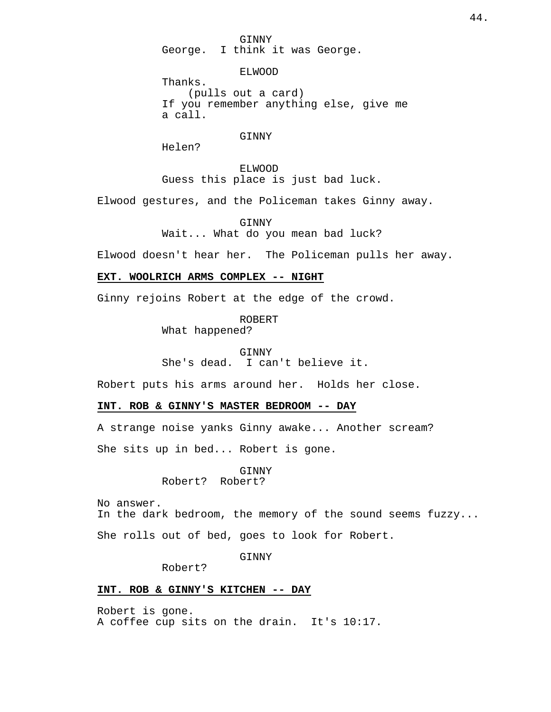GINNY George. I think it was George.

ELWOOD

Thanks. (pulls out a card) If you remember anything else, give me a call.

### GINNY

Helen?

ELWOOD Guess this place is just bad luck.

Elwood gestures, and the Policeman takes Ginny away.

GINNY Wait... What do you mean bad luck?

Elwood doesn't hear her. The Policeman pulls her away.

## **EXT. WOOLRICH ARMS COMPLEX -- NIGHT**

Ginny rejoins Robert at the edge of the crowd.

ROBERT

What happened?

GINNY She's dead. I can't believe it.

Robert puts his arms around her. Holds her close.

### **INT. ROB & GINNY'S MASTER BEDROOM -- DAY**

A strange noise yanks Ginny awake... Another scream?

She sits up in bed... Robert is gone.

GINNY Robert? Robert?

No answer. In the dark bedroom, the memory of the sound seems fuzzy...

She rolls out of bed, goes to look for Robert.

GINNY

Robert?

### **INT. ROB & GINNY'S KITCHEN -- DAY**

Robert is gone. A coffee cup sits on the drain. It's 10:17.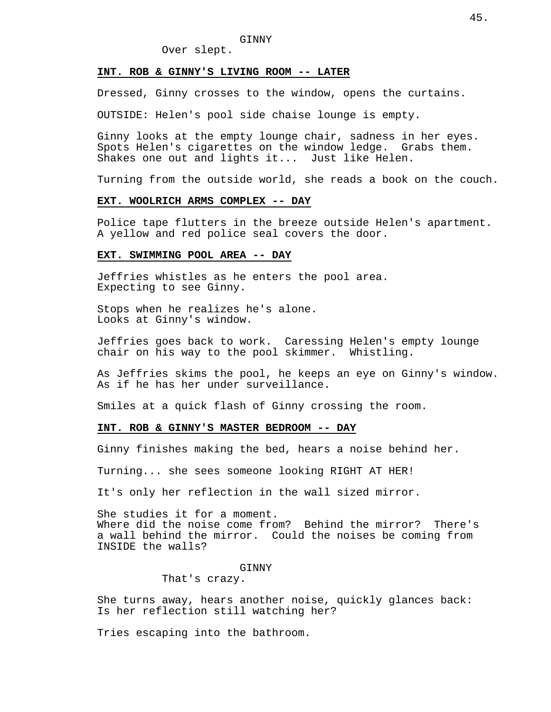## Over slept.

### **INT. ROB & GINNY'S LIVING ROOM -- LATER**

Dressed, Ginny crosses to the window, opens the curtains.

OUTSIDE: Helen's pool side chaise lounge is empty.

Ginny looks at the empty lounge chair, sadness in her eyes. Spots Helen's cigarettes on the window ledge. Grabs them. Shakes one out and lights it... Just like Helen.

Turning from the outside world, she reads a book on the couch.

#### **EXT. WOOLRICH ARMS COMPLEX -- DAY**

Police tape flutters in the breeze outside Helen's apartment. A yellow and red police seal covers the door.

### **EXT. SWIMMING POOL AREA -- DAY**

Jeffries whistles as he enters the pool area. Expecting to see Ginny.

Stops when he realizes he's alone. Looks at Ginny's window.

Jeffries goes back to work. Caressing Helen's empty lounge chair on his way to the pool skimmer. Whistling.

As Jeffries skims the pool, he keeps an eye on Ginny's window. As if he has her under surveillance.

Smiles at a quick flash of Ginny crossing the room.

### **INT. ROB & GINNY'S MASTER BEDROOM -- DAY**

Ginny finishes making the bed, hears a noise behind her.

Turning... she sees someone looking RIGHT AT HER!

It's only her reflection in the wall sized mirror.

She studies it for a moment. Where did the noise come from? Behind the mirror? There's a wall behind the mirror. Could the noises be coming from INSIDE the walls?

#### **GINNY**

That's crazy.

She turns away, hears another noise, quickly glances back: Is her reflection still watching her?

Tries escaping into the bathroom.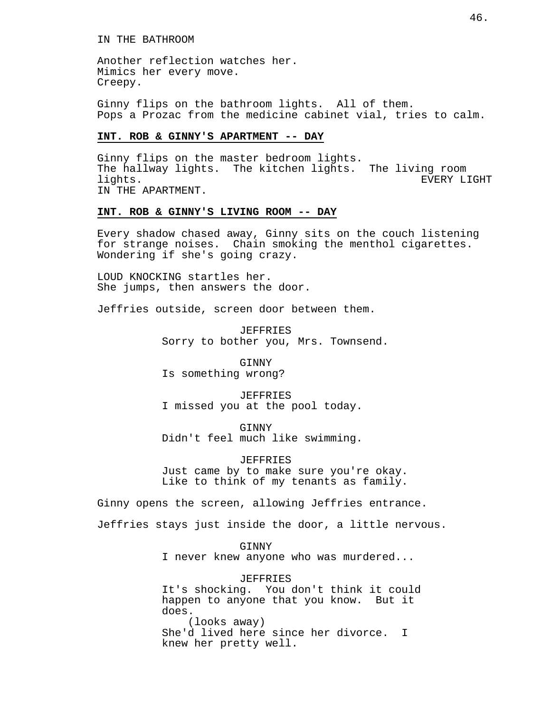Another reflection watches her. Mimics her every move. Creepy.

Ginny flips on the bathroom lights. All of them. Pops a Prozac from the medicine cabinet vial, tries to calm.

## **INT. ROB & GINNY'S APARTMENT -- DAY**

Ginny flips on the master bedroom lights. The hallway lights. The kitchen lights. The living room lights. EVERY LIGHT IN THE APARTMENT.

## **INT. ROB & GINNY'S LIVING ROOM -- DAY**

Every shadow chased away, Ginny sits on the couch listening for strange noises. Chain smoking the menthol cigarettes. Wondering if she's going crazy.

LOUD KNOCKING startles her. She jumps, then answers the door.

Jeffries outside, screen door between them.

JEFFRIES Sorry to bother you, Mrs. Townsend.

**GINNY** Is something wrong?

JEFFRIES I missed you at the pool today.

GINNY Didn't feel much like swimming.

JEFFRIES Just came by to make sure you're okay. Like to think of my tenants as family.

Ginny opens the screen, allowing Jeffries entrance.

Jeffries stays just inside the door, a little nervous.

**GINNY** 

I never knew anyone who was murdered...

JEFFRIES

It's shocking. You don't think it could happen to anyone that you know. But it does. (looks away)

She'd lived here since her divorce. I knew her pretty well.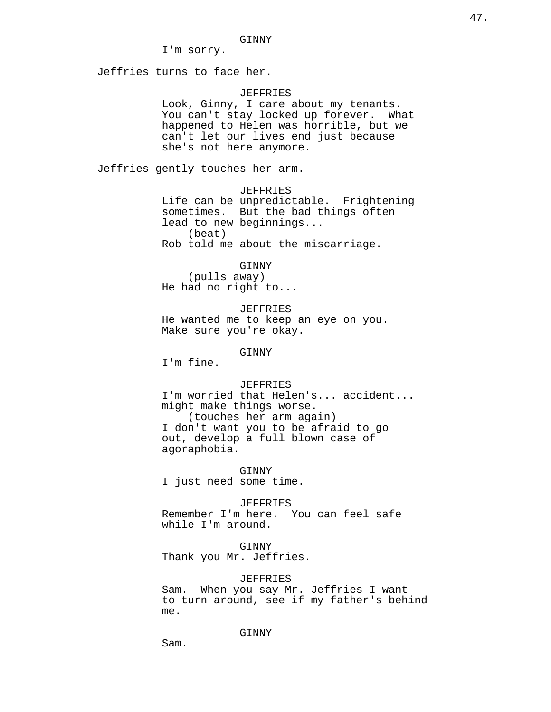I'm sorry.

Jeffries turns to face her.

#### JEFFRIES

Look, Ginny, I care about my tenants. You can't stay locked up forever. What happened to Helen was horrible, but we can't let our lives end just because she's not here anymore.

Jeffries gently touches her arm.

#### JEFFRIES

Life can be unpredictable. Frightening sometimes. But the bad things often lead to new beginnings... (beat) Rob told me about the miscarriage.

GINNY

(pulls away) He had no right to...

JEFFRIES He wanted me to keep an eye on you. Make sure you're okay.

GINNY

I'm fine.

#### JEFFRIES

I'm worried that Helen's... accident... might make things worse. (touches her arm again) I don't want you to be afraid to go out, develop a full blown case of agoraphobia.

GINNY I just need some time.

JEFFRIES Remember I'm here. You can feel safe while I'm around.

GINNY Thank you Mr. Jeffries.

### JEFFRIES

Sam. When you say Mr. Jeffries I want to turn around, see if my father's behind me.

### GINNY

Sam.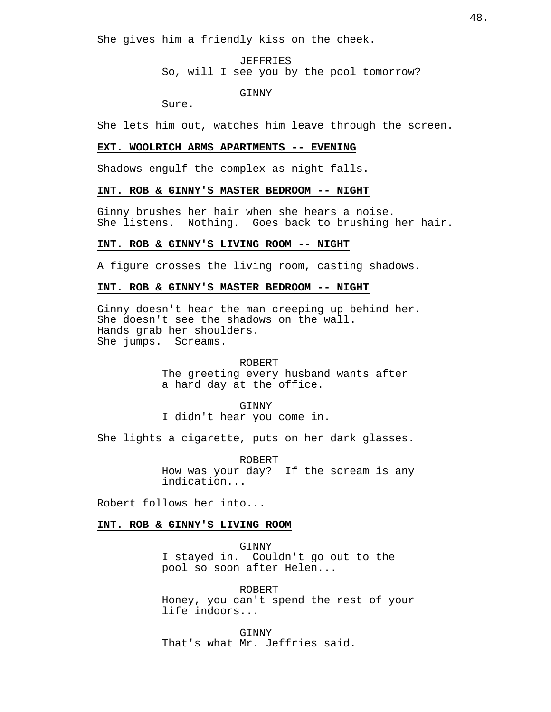She gives him a friendly kiss on the cheek.

JEFFRIES So, will I see you by the pool tomorrow?

GINNY

Sure.

She lets him out, watches him leave through the screen.

## **EXT. WOOLRICH ARMS APARTMENTS -- EVENING**

Shadows engulf the complex as night falls.

## **INT. ROB & GINNY'S MASTER BEDROOM -- NIGHT**

Ginny brushes her hair when she hears a noise. She listens. Nothing. Goes back to brushing her hair.

#### **INT. ROB & GINNY'S LIVING ROOM -- NIGHT**

A figure crosses the living room, casting shadows.

## **INT. ROB & GINNY'S MASTER BEDROOM -- NIGHT**

Ginny doesn't hear the man creeping up behind her. She doesn't see the shadows on the wall. Hands grab her shoulders. She jumps. Screams.

#### ROBERT

The greeting every husband wants after a hard day at the office.

#### GINNY

I didn't hear you come in.

She lights a cigarette, puts on her dark glasses.

ROBERT How was your day? If the scream is any indication...

Robert follows her into...

## **INT. ROB & GINNY'S LIVING ROOM**

GINNY I stayed in. Couldn't go out to the pool so soon after Helen...

ROBERT Honey, you can't spend the rest of your life indoors...

GINNY That's what Mr. Jeffries said.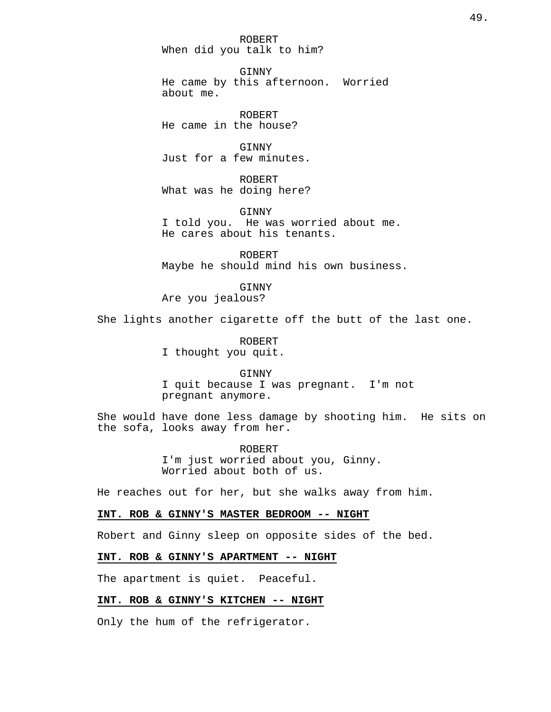ROBERT When did you talk to him?

GINNY He came by this afternoon. Worried about me.

ROBERT He came in the house?

GINNY Just for a few minutes.

ROBERT What was he doing here?

GINNY I told you. He was worried about me. He cares about his tenants.

ROBERT Maybe he should mind his own business.

GINNY Are you jealous?

She lights another cigarette off the butt of the last one.

ROBERT I thought you quit.

GINNY I quit because I was pregnant. I'm not pregnant anymore.

She would have done less damage by shooting him. He sits on the sofa, looks away from her.

> ROBERT I'm just worried about you, Ginny. Worried about both of us.

He reaches out for her, but she walks away from him.

## **INT. ROB & GINNY'S MASTER BEDROOM -- NIGHT**

Robert and Ginny sleep on opposite sides of the bed.

#### **INT. ROB & GINNY'S APARTMENT -- NIGHT**

The apartment is quiet. Peaceful.

### **INT. ROB & GINNY'S KITCHEN -- NIGHT**

Only the hum of the refrigerator.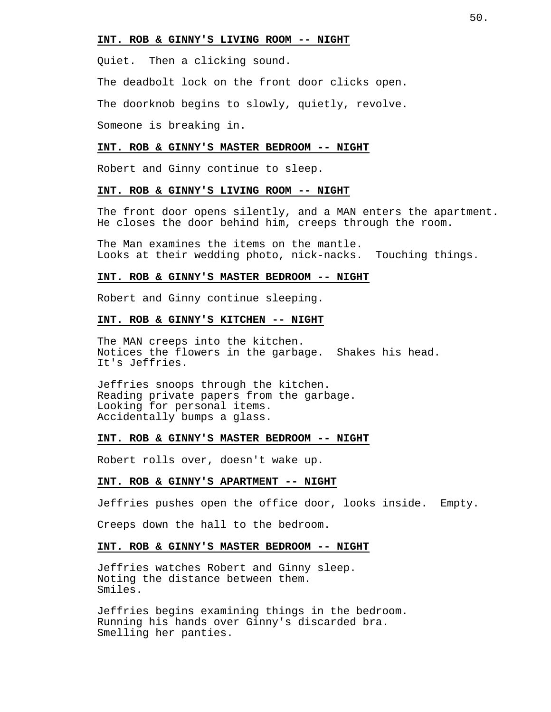#### **INT. ROB & GINNY'S LIVING ROOM -- NIGHT**

Quiet. Then a clicking sound.

The deadbolt lock on the front door clicks open.

The doorknob begins to slowly, quietly, revolve.

Someone is breaking in.

#### **INT. ROB & GINNY'S MASTER BEDROOM -- NIGHT**

Robert and Ginny continue to sleep.

## **INT. ROB & GINNY'S LIVING ROOM -- NIGHT**

The front door opens silently, and a MAN enters the apartment. He closes the door behind him, creeps through the room.

The Man examines the items on the mantle. Looks at their wedding photo, nick-nacks. Touching things.

#### **INT. ROB & GINNY'S MASTER BEDROOM -- NIGHT**

Robert and Ginny continue sleeping.

#### **INT. ROB & GINNY'S KITCHEN -- NIGHT**

The MAN creeps into the kitchen. Notices the flowers in the garbage. Shakes his head. It's Jeffries.

Jeffries snoops through the kitchen. Reading private papers from the garbage. Looking for personal items. Accidentally bumps a glass.

#### **INT. ROB & GINNY'S MASTER BEDROOM -- NIGHT**

Robert rolls over, doesn't wake up.

#### **INT. ROB & GINNY'S APARTMENT -- NIGHT**

Jeffries pushes open the office door, looks inside. Empty.

Creeps down the hall to the bedroom.

#### **INT. ROB & GINNY'S MASTER BEDROOM -- NIGHT**

Jeffries watches Robert and Ginny sleep. Noting the distance between them. Smiles.

Jeffries begins examining things in the bedroom. Running his hands over Ginny's discarded bra. Smelling her panties.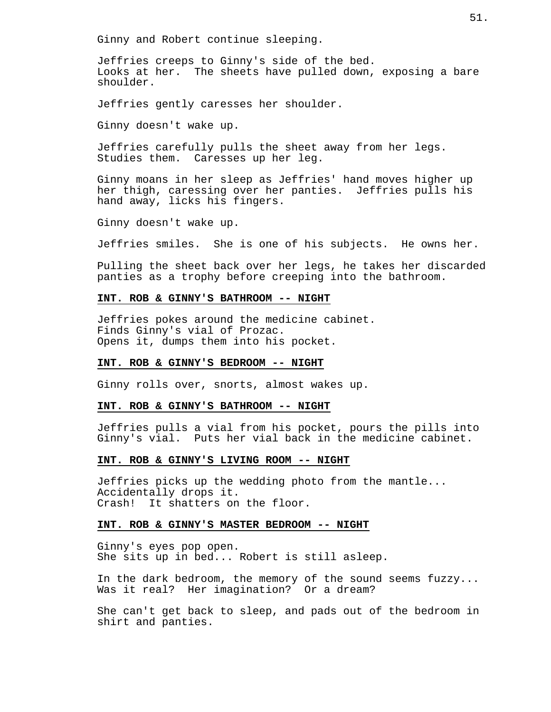Ginny and Robert continue sleeping.

Jeffries creeps to Ginny's side of the bed. Looks at her. The sheets have pulled down, exposing a bare shoulder.

Jeffries gently caresses her shoulder.

Ginny doesn't wake up.

Jeffries carefully pulls the sheet away from her legs. Studies them. Caresses up her leg.

Ginny moans in her sleep as Jeffries' hand moves higher up her thigh, caressing over her panties. Jeffries pulls his hand away, licks his fingers.

Ginny doesn't wake up.

Jeffries smiles. She is one of his subjects. He owns her.

Pulling the sheet back over her legs, he takes her discarded panties as a trophy before creeping into the bathroom.

## **INT. ROB & GINNY'S BATHROOM -- NIGHT**

Jeffries pokes around the medicine cabinet. Finds Ginny's vial of Prozac. Opens it, dumps them into his pocket.

#### **INT. ROB & GINNY'S BEDROOM -- NIGHT**

Ginny rolls over, snorts, almost wakes up.

### **INT. ROB & GINNY'S BATHROOM -- NIGHT**

Jeffries pulls a vial from his pocket, pours the pills into Ginny's vial. Puts her vial back in the medicine cabinet.

### **INT. ROB & GINNY'S LIVING ROOM -- NIGHT**

Jeffries picks up the wedding photo from the mantle... Accidentally drops it. Crash! It shatters on the floor.

## **INT. ROB & GINNY'S MASTER BEDROOM -- NIGHT**

Ginny's eyes pop open. She sits up in bed... Robert is still asleep.

In the dark bedroom, the memory of the sound seems fuzzy... Was it real? Her imagination? Or a dream?

She can't get back to sleep, and pads out of the bedroom in shirt and panties.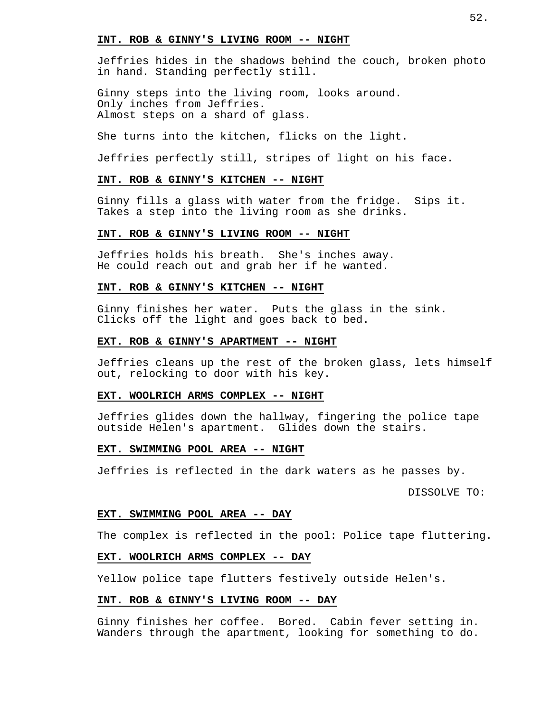#### **INT. ROB & GINNY'S LIVING ROOM -- NIGHT**

Jeffries hides in the shadows behind the couch, broken photo in hand. Standing perfectly still.

Ginny steps into the living room, looks around. Only inches from Jeffries. Almost steps on a shard of glass.

She turns into the kitchen, flicks on the light.

Jeffries perfectly still, stripes of light on his face.

## **INT. ROB & GINNY'S KITCHEN -- NIGHT**

Ginny fills a glass with water from the fridge. Sips it. Takes a step into the living room as she drinks.

## **INT. ROB & GINNY'S LIVING ROOM -- NIGHT**

Jeffries holds his breath. She's inches away. He could reach out and grab her if he wanted.

## **INT. ROB & GINNY'S KITCHEN -- NIGHT**

Ginny finishes her water. Puts the glass in the sink. Clicks off the light and goes back to bed.

### **EXT. ROB & GINNY'S APARTMENT -- NIGHT**

Jeffries cleans up the rest of the broken glass, lets himself out, relocking to door with his key.

#### **EXT. WOOLRICH ARMS COMPLEX -- NIGHT**

Jeffries glides down the hallway, fingering the police tape outside Helen's apartment. Glides down the stairs.

### **EXT. SWIMMING POOL AREA -- NIGHT**

Jeffries is reflected in the dark waters as he passes by.

DISSOLVE TO:

## **EXT. SWIMMING POOL AREA -- DAY**

The complex is reflected in the pool: Police tape fluttering.

#### **EXT. WOOLRICH ARMS COMPLEX -- DAY**

Yellow police tape flutters festively outside Helen's.

#### **INT. ROB & GINNY'S LIVING ROOM -- DAY**

Ginny finishes her coffee. Bored. Cabin fever setting in. Wanders through the apartment, looking for something to do.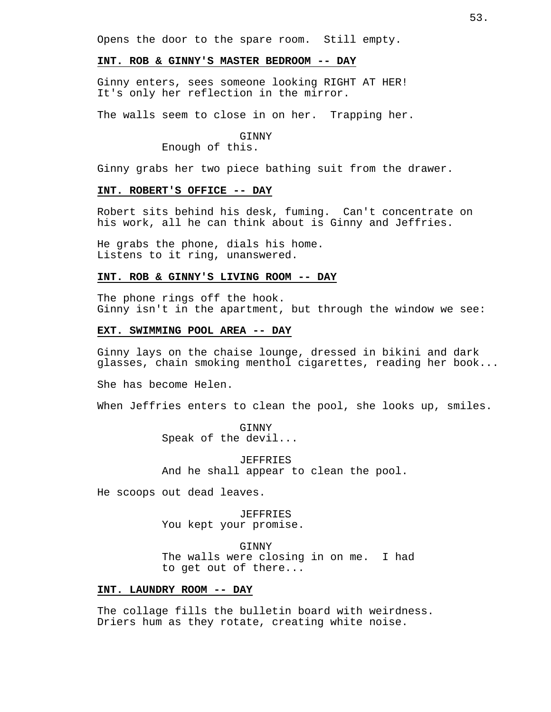Opens the door to the spare room. Still empty.

## **INT. ROB & GINNY'S MASTER BEDROOM -- DAY**

Ginny enters, sees someone looking RIGHT AT HER! It's only her reflection in the mirror.

The walls seem to close in on her. Trapping her.

#### **GTNNY**

Enough of this.

Ginny grabs her two piece bathing suit from the drawer.

## **INT. ROBERT'S OFFICE -- DAY**

Robert sits behind his desk, fuming. Can't concentrate on his work, all he can think about is Ginny and Jeffries.

He grabs the phone, dials his home. Listens to it ring, unanswered.

## **INT. ROB & GINNY'S LIVING ROOM -- DAY**

The phone rings off the hook. Ginny isn't in the apartment, but through the window we see:

### **EXT. SWIMMING POOL AREA -- DAY**

Ginny lays on the chaise lounge, dressed in bikini and dark glasses, chain smoking menthol cigarettes, reading her book...

She has become Helen.

When Jeffries enters to clean the pool, she looks up, smiles.

**GINNY** Speak of the devil...

JEFFRIES And he shall appear to clean the pool.

He scoops out dead leaves.

JEFFRIES You kept your promise.

GINNY

The walls were closing in on me. I had to get out of there...

#### **INT. LAUNDRY ROOM -- DAY**

The collage fills the bulletin board with weirdness. Driers hum as they rotate, creating white noise.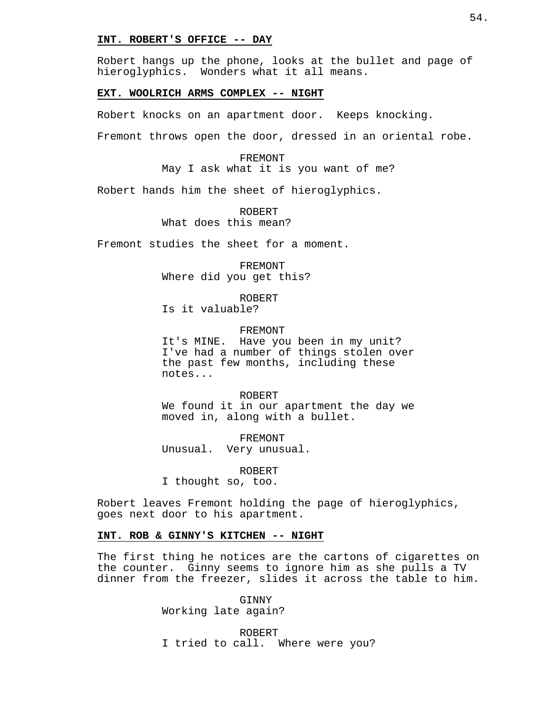### **INT. ROBERT'S OFFICE -- DAY**

Robert hangs up the phone, looks at the bullet and page of hieroglyphics. Wonders what it all means.

### **EXT. WOOLRICH ARMS COMPLEX -- NIGHT**

Robert knocks on an apartment door. Keeps knocking.

Fremont throws open the door, dressed in an oriental robe.

FREMONT May I ask what it is you want of me?

Robert hands him the sheet of hieroglyphics.

ROBERT What does this mean?

Fremont studies the sheet for a moment.

FREMONT Where did you get this?

ROBERT Is it valuable?

FREMONT

It's MINE. Have you been in my unit? I've had a number of things stolen over the past few months, including these notes...

ROBERT We found it in our apartment the day we

moved in, along with a bullet.

FREMONT Unusual. Very unusual.

ROBERT I thought so, too.

Robert leaves Fremont holding the page of hieroglyphics, goes next door to his apartment.

#### **INT. ROB & GINNY'S KITCHEN -- NIGHT**

The first thing he notices are the cartons of cigarettes on the counter. Ginny seems to ignore him as she pulls a TV dinner from the freezer, slides it across the table to him.

> **GINNY** Working late again?

ROBERT I tried to call. Where were you?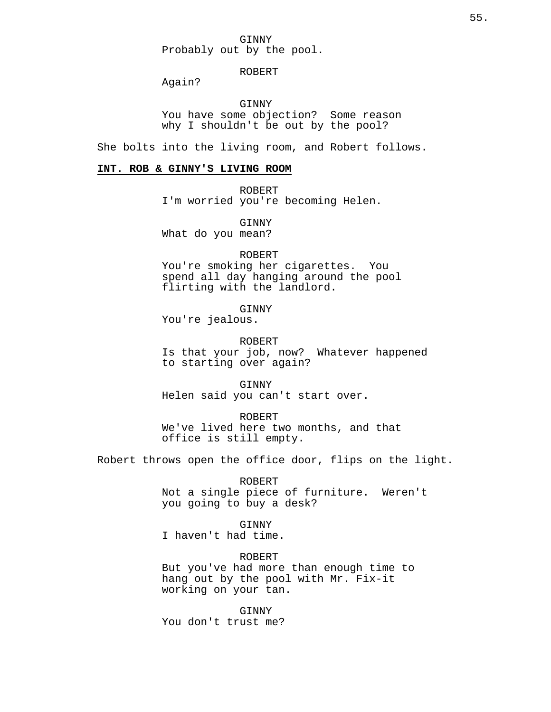GINNY Probably out by the pool.

## ROBERT

Again?

GINNY You have some objection? Some reason why I shouldn't be out by the pool?

She bolts into the living room, and Robert follows.

## **INT. ROB & GINNY'S LIVING ROOM**

ROBERT I'm worried you're becoming Helen.

GINNY What do you mean?

ROBERT You're smoking her cigarettes. You

spend all day hanging around the pool flirting with the landlord.

GINNY

You're jealous.

ROBERT

Is that your job, now? Whatever happened to starting over again?

GINNY Helen said you can't start over.

ROBERT We've lived here two months, and that office is still empty.

Robert throws open the office door, flips on the light.

ROBERT

Not a single piece of furniture. Weren't you going to buy a desk?

GINNY

I haven't had time.

ROBERT

But you've had more than enough time to hang out by the pool with Mr. Fix-it working on your tan.

**GINNY** You don't trust me?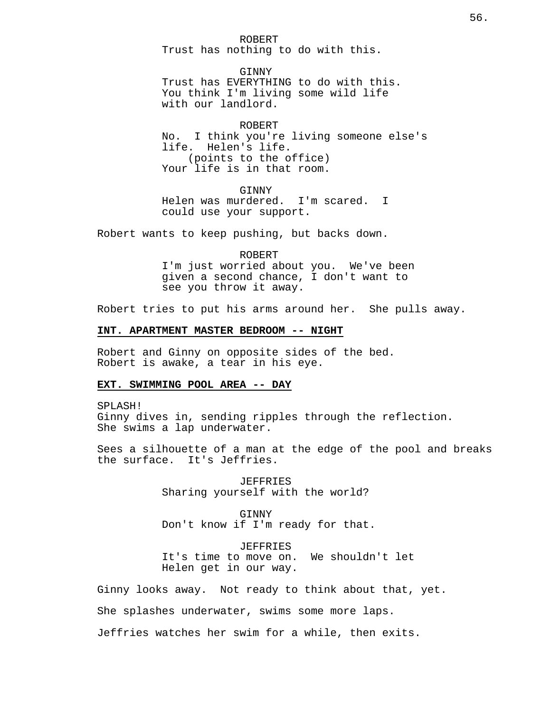ROBERT Trust has nothing to do with this.

GINNY Trust has EVERYTHING to do with this. You think I'm living some wild life with our landlord.

ROBERT No. I think you're living someone else's life. Helen's life. (points to the office) Your life is in that room.

**GINNY** Helen was murdered. I'm scared. I could use your support.

Robert wants to keep pushing, but backs down.

ROBERT I'm just worried about you. We've been given a second chance, I don't want to see you throw it away.

Robert tries to put his arms around her. She pulls away.

### **INT. APARTMENT MASTER BEDROOM -- NIGHT**

Robert and Ginny on opposite sides of the bed. Robert is awake, a tear in his eye.

## **EXT. SWIMMING POOL AREA -- DAY**

SPLASH! Ginny dives in, sending ripples through the reflection. She swims a lap underwater.

Sees a silhouette of a man at the edge of the pool and breaks the surface. It's Jeffries.

> JEFFRIES Sharing yourself with the world?

GINNY Don't know if I'm ready for that.

JEFFRIES It's time to move on. We shouldn't let Helen get in our way.

Ginny looks away. Not ready to think about that, yet. She splashes underwater, swims some more laps. Jeffries watches her swim for a while, then exits.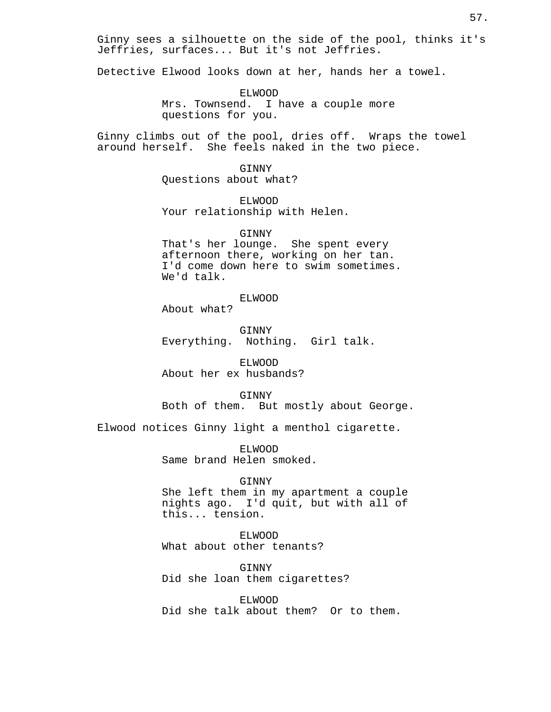Ginny sees a silhouette on the side of the pool, thinks it's Jeffries, surfaces... But it's not Jeffries.

Detective Elwood looks down at her, hands her a towel.

ELWOOD Mrs. Townsend. I have a couple more questions for you.

Ginny climbs out of the pool, dries off. Wraps the towel around herself. She feels naked in the two piece.

> GINNY Questions about what?

ELWOOD Your relationship with Helen.

GINNY

That's her lounge. She spent every afternoon there, working on her tan. I'd come down here to swim sometimes. We'd talk.

ELWOOD

About what?

GINNY Everything. Nothing. Girl talk.

ELWOOD About her ex husbands?

GINNY Both of them. But mostly about George.

Elwood notices Ginny light a menthol cigarette.

ELWOOD Same brand Helen smoked.

#### GINNY

She left them in my apartment a couple nights ago. I'd quit, but with all of this... tension.

ELWOOD What about other tenants?

GINNY Did she loan them cigarettes?

ELWOOD Did she talk about them? Or to them.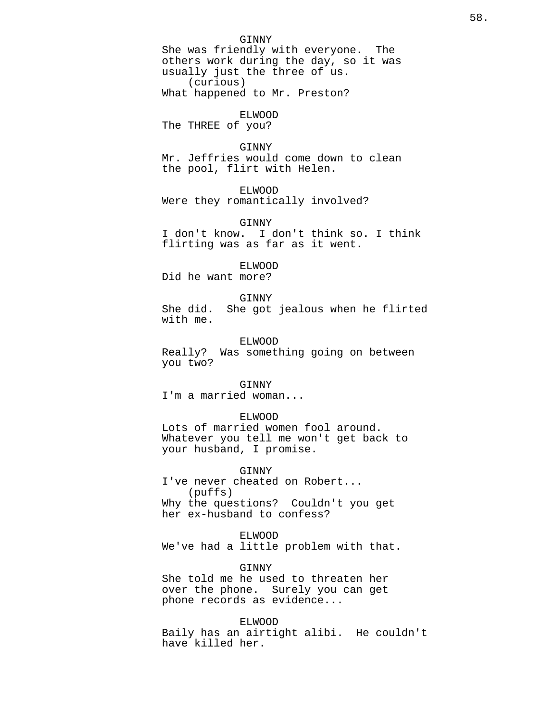GINNY She was friendly with everyone. The others work during the day, so it was usually just the three of us. (curious) What happened to Mr. Preston?

ELWOOD The THREE of you?

## GINNY

Mr. Jeffries would come down to clean the pool, flirt with Helen.

### ELWOOD

Were they romantically involved?

#### GINNY

I don't know. I don't think so. I think flirting was as far as it went.

#### ELWOOD

Did he want more?

### GINNY

She did. She got jealous when he flirted with me.

#### ELWOOD

Really? Was something going on between you two?

## GINNY

I'm a married woman...

#### ELWOOD

Lots of married women fool around. Whatever you tell me won't get back to your husband, I promise.

### GINNY

I've never cheated on Robert... (puffs) Why the questions? Couldn't you get her ex-husband to confess?

#### ELWOOD

We've had a little problem with that.

#### **GINNY**

She told me he used to threaten her over the phone. Surely you can get phone records as evidence...

## ELWOOD

Baily has an airtight alibi. He couldn't have killed her.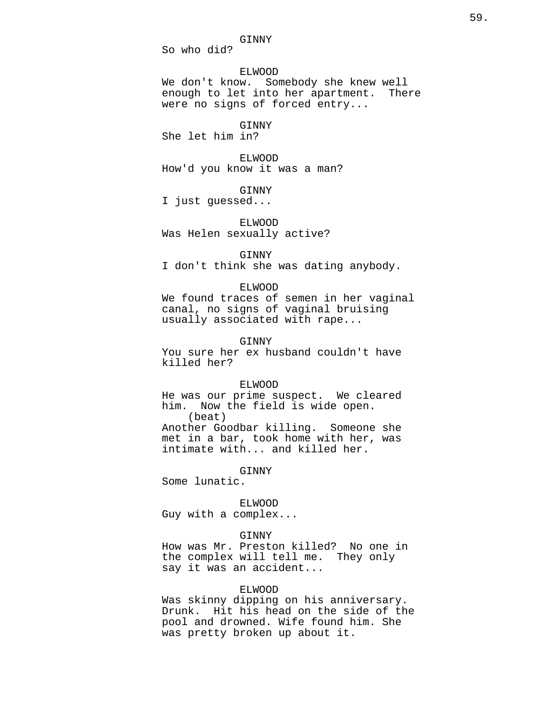GINNY

So who did?

ELWOOD

We don't know. Somebody she knew well<br>enough to let into her apartment. There enough to let into her apartment. were no signs of forced entry...

GINNY

She let him in?

ELWOOD How'd you know it was a man?

GINNY I just guessed...

ELWOOD Was Helen sexually active?

GINNY

I don't think she was dating anybody.

## ELWOOD

We found traces of semen in her vaginal canal, no signs of vaginal bruising usually associated with rape...

#### GINNY

You sure her ex husband couldn't have killed her?

#### ELWOOD

He was our prime suspect. We cleared him. Now the field is wide open. (beat) Another Goodbar killing. Someone she met in a bar, took home with her, was intimate with... and killed her.

GINNY

Some lunatic.

ELWOOD Guy with a complex...

### GINNY

How was Mr. Preston killed? No one in the complex will tell me. They only say it was an accident...

## ELWOOD

Was skinny dipping on his anniversary. Drunk. Hit his head on the side of the pool and drowned. Wife found him. She was pretty broken up about it.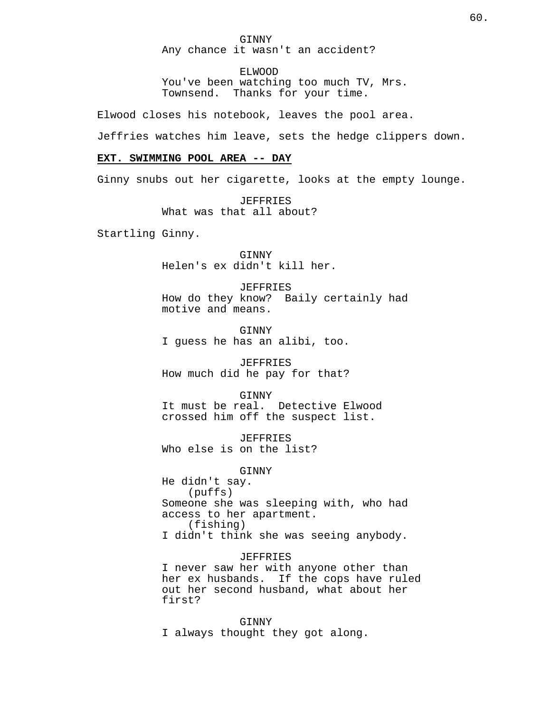GINNY Any chance it wasn't an accident?

ELWOOD

You've been watching too much TV, Mrs. Townsend. Thanks for your time.

Elwood closes his notebook, leaves the pool area.

Jeffries watches him leave, sets the hedge clippers down.

## **EXT. SWIMMING POOL AREA -- DAY**

Ginny snubs out her cigarette, looks at the empty lounge.

JEFFRIES What was that all about?

Startling Ginny.

GINNY Helen's ex didn't kill her.

**JEFFRIES** How do they know? Baily certainly had motive and means.

GINNY I guess he has an alibi, too.

JEFFRIES How much did he pay for that?

#### GINNY

It must be real. Detective Elwood crossed him off the suspect list.

JEFFRIES Who else is on the list?

GINNY

He didn't say. (puffs) Someone she was sleeping with, who had access to her apartment. (fishing) I didn't think she was seeing anybody.

#### JEFFRIES

I never saw her with anyone other than her ex husbands. If the cops have ruled out her second husband, what about her first?

GINNY I always thought they got along.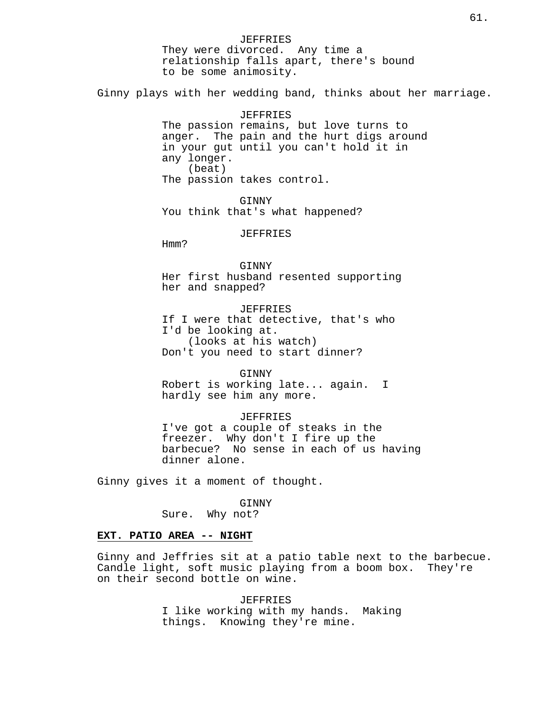JEFFRIES They were divorced. Any time a relationship falls apart, there's bound to be some animosity. Ginny plays with her wedding band, thinks about her marriage. JEFFRIES The passion remains, but love turns to anger. The pain and the hurt digs around in your gut until you can't hold it in any longer. (beat) The passion takes control. GINNY You think that's what happened? JEFFRIES Hmm? GINNY Her first husband resented supporting her and snapped? **JEFFRIES** If I were that detective, that's who I'd be looking at. (looks at his watch) Don't you need to start dinner? GINNY Robert is working late... again. I hardly see him any more. JEFFRIES I've got a couple of steaks in the freezer. Why don't I fire up the barbecue? No sense in each of us having dinner alone. Ginny gives it a moment of thought. GINNY Sure. Why not?

## **EXT. PATIO AREA -- NIGHT**

Ginny and Jeffries sit at a patio table next to the barbecue. Candle light, soft music playing from a boom box. They're on their second bottle on wine.

> JEFFRIES I like working with my hands. Making things. Knowing they're mine.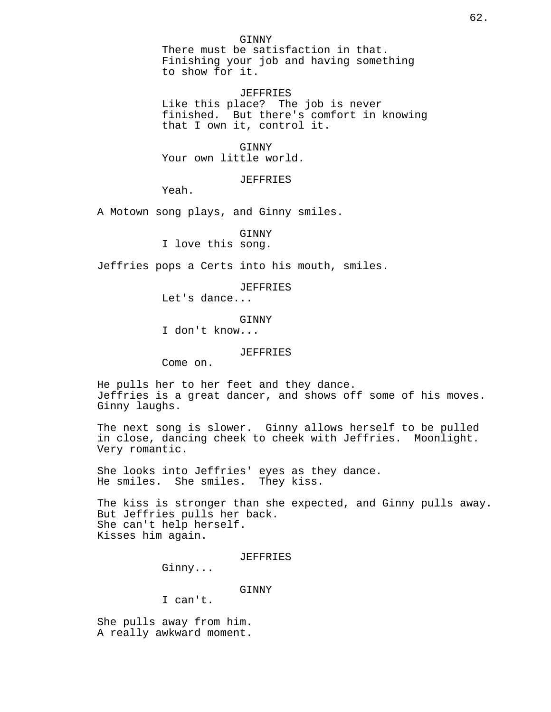JEFFRIES Like this place? The job is never finished. But there's comfort in knowing that I own it, control it.

GINNY Your own little world.

JEFFRIES

Yeah.

A Motown song plays, and Ginny smiles.

GINNY

I love this song.

Jeffries pops a Certs into his mouth, smiles.

JEFFRIES

Let's dance...

GINNY

I don't know...

JEFFRIES

Come on.

He pulls her to her feet and they dance. Jeffries is a great dancer, and shows off some of his moves. Ginny laughs.

The next song is slower. Ginny allows herself to be pulled in close, dancing cheek to cheek with Jeffries. Moonlight. Very romantic.

She looks into Jeffries' eyes as they dance. He smiles. She smiles. They kiss.

The kiss is stronger than she expected, and Ginny pulls away. But Jeffries pulls her back. She can't help herself. Kisses him again.

JEFFRIES

Ginny...

GINNY

I can't.

She pulls away from him. A really awkward moment.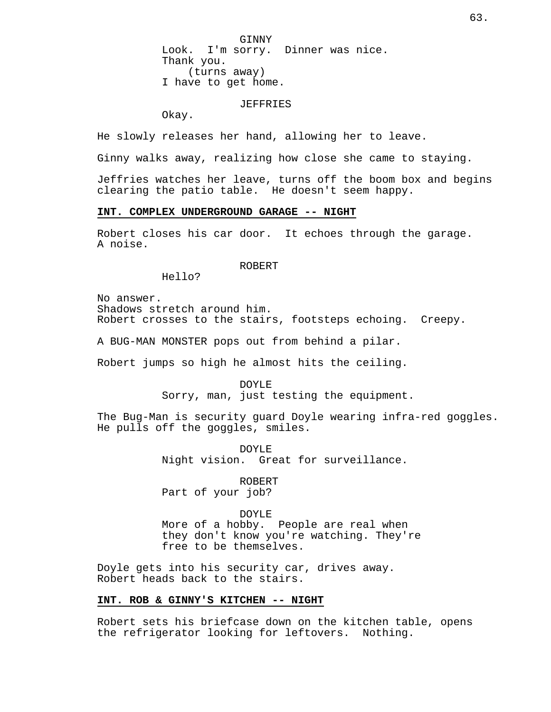GINNY Look. I'm sorry. Dinner was nice. Thank you. (turns away) I have to get home.

### JEFFRIES

Okay.

He slowly releases her hand, allowing her to leave.

Ginny walks away, realizing how close she came to staying.

Jeffries watches her leave, turns off the boom box and begins clearing the patio table. He doesn't seem happy.

### **INT. COMPLEX UNDERGROUND GARAGE -- NIGHT**

Robert closes his car door. It echoes through the garage. A noise.

## ROBERT

Hello?

No answer. Shadows stretch around him. Robert crosses to the stairs, footsteps echoing. Creepy.

A BUG-MAN MONSTER pops out from behind a pilar.

Robert jumps so high he almost hits the ceiling.

DOYLE Sorry, man, just testing the equipment.

The Bug-Man is security guard Doyle wearing infra-red goggles. He pulls off the goggles, smiles.

> DOYLE Night vision. Great for surveillance.

ROBERT Part of your job?

## DOYLE

More of a hobby. People are real when they don't know you're watching. They're free to be themselves.

Doyle gets into his security car, drives away. Robert heads back to the stairs.

#### **INT. ROB & GINNY'S KITCHEN -- NIGHT**

Robert sets his briefcase down on the kitchen table, opens the refrigerator looking for leftovers. Nothing.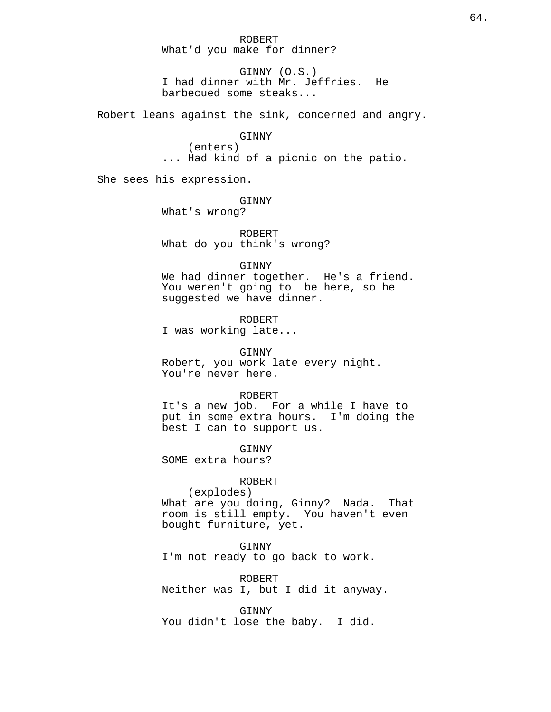ROBERT What'd you make for dinner?

GINNY (O.S.) I had dinner with Mr. Jeffries. He barbecued some steaks...

Robert leans against the sink, concerned and angry.

### GINNY

(enters) ... Had kind of a picnic on the patio.

She sees his expression.

#### GINNY

What's wrong?

ROBERT What do you think's wrong?

## GINNY

We had dinner together. He's a friend. You weren't going to be here, so he suggested we have dinner.

ROBERT I was working late...

GINNY Robert, you work late every night. You're never here.

#### ROBERT

It's a new job. For a while I have to put in some extra hours. I'm doing the best I can to support us.

GINNY

SOME extra hours?

#### ROBERT

(explodes) What are you doing, Ginny? Nada. That room is still empty. You haven't even bought furniture, yet.

#### GINNY

I'm not ready to go back to work.

ROBERT Neither was I, but I did it anyway.

GINNY You didn't lose the baby. I did.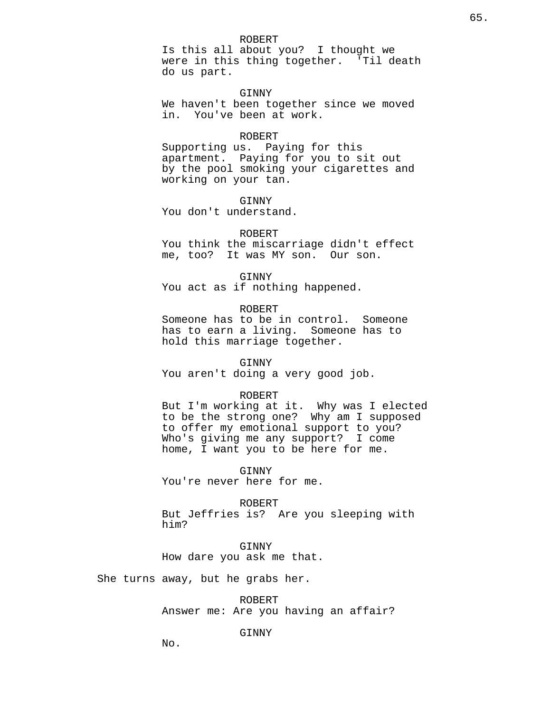#### ROBERT

Is this all about you? I thought we were in this thing together. 'Til death do us part.

GINNY

We haven't been together since we moved in. You've been at work.

### ROBERT

Supporting us. Paying for this apartment. Paying for you to sit out by the pool smoking your cigarettes and working on your tan.

GINNY

You don't understand.

ROBERT

You think the miscarriage didn't effect me, too? It was MY son. Our son.

GINNY

You act as if nothing happened.

## ROBERT

Someone has to be in control. Someone has to earn a living. Someone has to hold this marriage together.

#### GINNY

You aren't doing a very good job.

### ROBERT

But I'm working at it. Why was I elected to be the strong one? Why am I supposed to offer my emotional support to you? Who's giving me any support? I come home, I want you to be here for me.

GINNY

You're never here for me.

ROBERT

But Jeffries is? Are you sleeping with him?

GINNY How dare you ask me that.

She turns away, but he grabs her.

ROBERT Answer me: Are you having an affair?

### GINNY

No.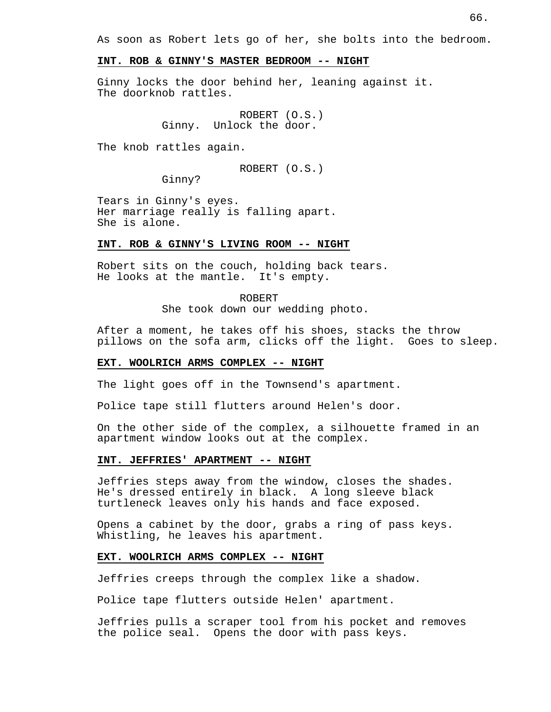As soon as Robert lets go of her, she bolts into the bedroom.

#### **INT. ROB & GINNY'S MASTER BEDROOM -- NIGHT**

Ginny locks the door behind her, leaning against it. The doorknob rattles.

> ROBERT (O.S.) Ginny. Unlock the door.

The knob rattles again.

ROBERT (O.S.)

Ginny?

Tears in Ginny's eyes. Her marriage really is falling apart. She is alone.

#### **INT. ROB & GINNY'S LIVING ROOM -- NIGHT**

Robert sits on the couch, holding back tears. He looks at the mantle. It's empty.

> ROBERT She took down our wedding photo.

After a moment, he takes off his shoes, stacks the throw pillows on the sofa arm, clicks off the light. Goes to sleep.

#### **EXT. WOOLRICH ARMS COMPLEX -- NIGHT**

The light goes off in the Townsend's apartment.

Police tape still flutters around Helen's door.

On the other side of the complex, a silhouette framed in an apartment window looks out at the complex.

## **INT. JEFFRIES' APARTMENT -- NIGHT**

Jeffries steps away from the window, closes the shades. He's dressed entirely in black. A long sleeve black turtleneck leaves only his hands and face exposed.

Opens a cabinet by the door, grabs a ring of pass keys. Whistling, he leaves his apartment.

#### **EXT. WOOLRICH ARMS COMPLEX -- NIGHT**

Jeffries creeps through the complex like a shadow.

Police tape flutters outside Helen' apartment.

Jeffries pulls a scraper tool from his pocket and removes the police seal. Opens the door with pass keys.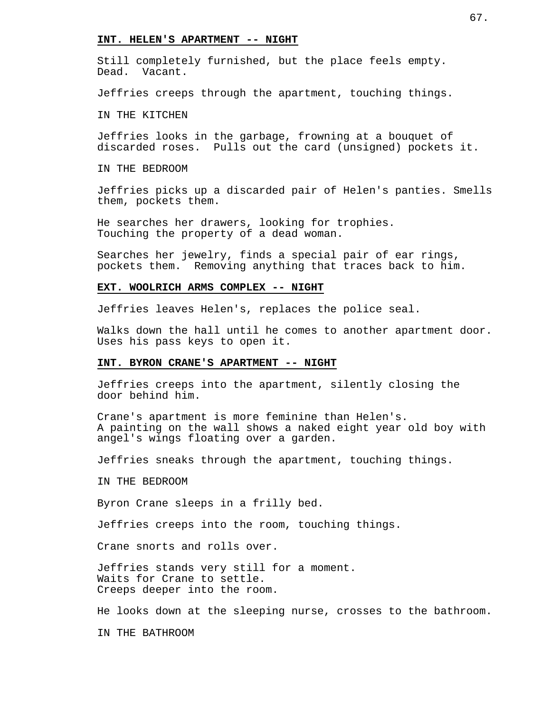#### **INT. HELEN'S APARTMENT -- NIGHT**

Still completely furnished, but the place feels empty. Dead. Vacant.

Jeffries creeps through the apartment, touching things.

IN THE KITCHEN

Jeffries looks in the garbage, frowning at a bouquet of discarded roses. Pulls out the card (unsigned) pockets it.

IN THE BEDROOM

Jeffries picks up a discarded pair of Helen's panties. Smells them, pockets them.

He searches her drawers, looking for trophies. Touching the property of a dead woman.

Searches her jewelry, finds a special pair of ear rings, pockets them. Removing anything that traces back to him.

## **EXT. WOOLRICH ARMS COMPLEX -- NIGHT**

Jeffries leaves Helen's, replaces the police seal.

Walks down the hall until he comes to another apartment door. Uses his pass keys to open it.

#### **INT. BYRON CRANE'S APARTMENT -- NIGHT**

Jeffries creeps into the apartment, silently closing the door behind him.

Crane's apartment is more feminine than Helen's. A painting on the wall shows a naked eight year old boy with angel's wings floating over a garden.

Jeffries sneaks through the apartment, touching things.

IN THE BEDROOM

Byron Crane sleeps in a frilly bed.

Jeffries creeps into the room, touching things.

Crane snorts and rolls over.

Jeffries stands very still for a moment. Waits for Crane to settle. Creeps deeper into the room.

He looks down at the sleeping nurse, crosses to the bathroom.

IN THE BATHROOM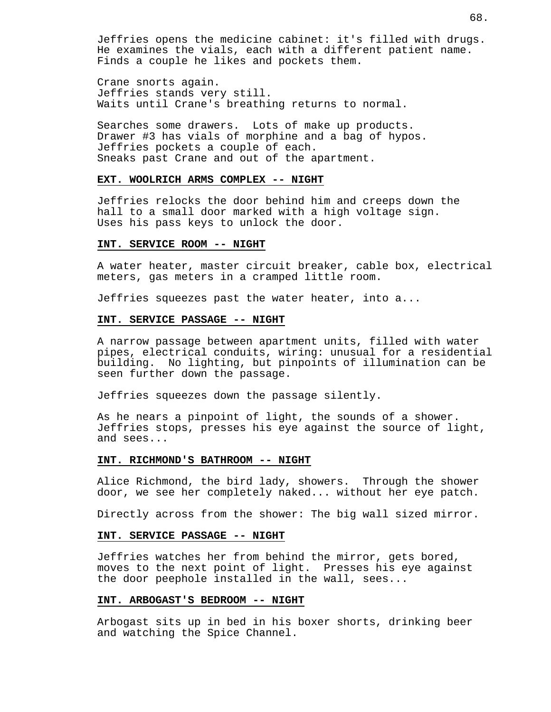Jeffries opens the medicine cabinet: it's filled with drugs. He examines the vials, each with a different patient name. Finds a couple he likes and pockets them.

Crane snorts again. Jeffries stands very still. Waits until Crane's breathing returns to normal.

Searches some drawers. Lots of make up products. Drawer #3 has vials of morphine and a bag of hypos. Jeffries pockets a couple of each. Sneaks past Crane and out of the apartment.

## **EXT. WOOLRICH ARMS COMPLEX -- NIGHT**

Jeffries relocks the door behind him and creeps down the hall to a small door marked with a high voltage sign. Uses his pass keys to unlock the door.

#### **INT. SERVICE ROOM -- NIGHT**

A water heater, master circuit breaker, cable box, electrical meters, gas meters in a cramped little room.

Jeffries squeezes past the water heater, into a...

#### **INT. SERVICE PASSAGE -- NIGHT**

A narrow passage between apartment units, filled with water pipes, electrical conduits, wiring: unusual for a residential building. No lighting, but pinpoints of illumination can be seen further down the passage.

Jeffries squeezes down the passage silently.

As he nears a pinpoint of light, the sounds of a shower. Jeffries stops, presses his eye against the source of light, and sees...

#### **INT. RICHMOND'S BATHROOM -- NIGHT**

Alice Richmond, the bird lady, showers. Through the shower door, we see her completely naked... without her eye patch.

Directly across from the shower: The big wall sized mirror.

#### **INT. SERVICE PASSAGE -- NIGHT**

Jeffries watches her from behind the mirror, gets bored, moves to the next point of light. Presses his eye against the door peephole installed in the wall, sees...

#### **INT. ARBOGAST'S BEDROOM -- NIGHT**

Arbogast sits up in bed in his boxer shorts, drinking beer and watching the Spice Channel.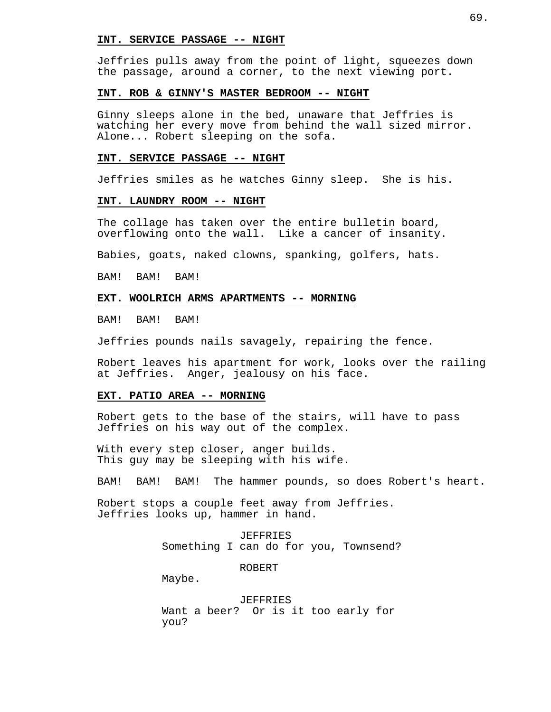#### **INT. SERVICE PASSAGE -- NIGHT**

Jeffries pulls away from the point of light, squeezes down the passage, around a corner, to the next viewing port.

#### **INT. ROB & GINNY'S MASTER BEDROOM -- NIGHT**

Ginny sleeps alone in the bed, unaware that Jeffries is watching her every move from behind the wall sized mirror. Alone... Robert sleeping on the sofa.

#### **INT. SERVICE PASSAGE -- NIGHT**

Jeffries smiles as he watches Ginny sleep. She is his.

#### **INT. LAUNDRY ROOM -- NIGHT**

The collage has taken over the entire bulletin board, overflowing onto the wall. Like a cancer of insanity.

Babies, goats, naked clowns, spanking, golfers, hats.

BAM! BAM! BAM!

## **EXT. WOOLRICH ARMS APARTMENTS -- MORNING**

BAM! BAM! BAM!

Jeffries pounds nails savagely, repairing the fence.

Robert leaves his apartment for work, looks over the railing at Jeffries. Anger, jealousy on his face.

#### **EXT. PATIO AREA -- MORNING**

Robert gets to the base of the stairs, will have to pass Jeffries on his way out of the complex.

With every step closer, anger builds. This guy may be sleeping with his wife.

BAM! BAM! BAM! The hammer pounds, so does Robert's heart.

Robert stops a couple feet away from Jeffries. Jeffries looks up, hammer in hand.

> JEFFRIES Something I can do for you, Townsend?

> > ROBERT

Maybe.

JEFFRIES Want a beer? Or is it too early for you?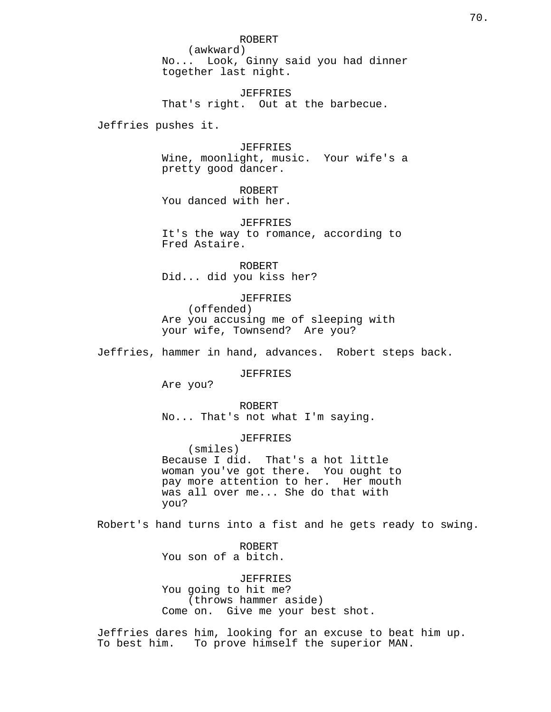ROBERT (awkward) No... Look, Ginny said you had dinner together last night.

JEFFRIES That's right. Out at the barbecue.

Jeffries pushes it.

JEFFRIES

Wine, moonlight, music. Your wife's a pretty good dancer.

ROBERT

You danced with her.

JEFFRIES It's the way to romance, according to Fred Astaire.

ROBERT Did... did you kiss her?

JEFFRIES (offended) Are you accusing me of sleeping with your wife, Townsend? Are you?

Jeffries, hammer in hand, advances. Robert steps back.

JEFFRIES

Are you?

ROBERT No... That's not what I'm saying.

JEFFRIES

(smiles) Because I did. That's a hot little woman you've got there. You ought to pay more attention to her. Her mouth was all over me... She do that with you?

Robert's hand turns into a fist and he gets ready to swing.

ROBERT You son of a bitch.

JEFFRIES

You going to hit me? (throws hammer aside) Come on. Give me your best shot.

Jeffries dares him, looking for an excuse to beat him up. To best him. To prove himself the superior MAN.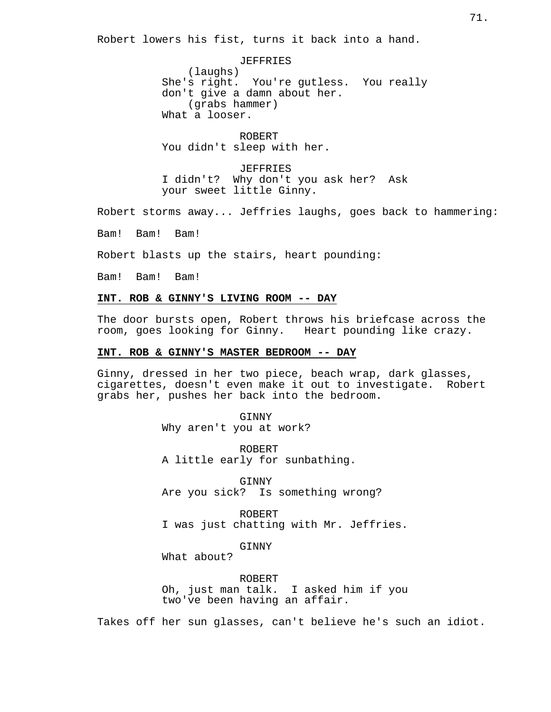Robert lowers his fist, turns it back into a hand.

JEFFRIES (laughs) She's right. You're gutless. You really don't give a damn about her. (grabs hammer) What a looser.

ROBERT You didn't sleep with her.

**JEFFRIES** I didn't? Why don't you ask her? Ask your sweet little Ginny.

Robert storms away... Jeffries laughs, goes back to hammering:

Bam! Bam! Bam!

Robert blasts up the stairs, heart pounding:

Bam! Bam! Bam!

## **INT. ROB & GINNY'S LIVING ROOM -- DAY**

The door bursts open, Robert throws his briefcase across the room, goes looking for Ginny. Heart pounding like crazy.

#### **INT. ROB & GINNY'S MASTER BEDROOM -- DAY**

Ginny, dressed in her two piece, beach wrap, dark glasses, cigarettes, doesn't even make it out to investigate. Robert grabs her, pushes her back into the bedroom.

> GINNY Why aren't you at work?

ROBERT A little early for sunbathing.

GINNY Are you sick? Is something wrong?

ROBERT I was just chatting with Mr. Jeffries.

GINNY

What about?

ROBERT Oh, just man talk. I asked him if you two've been having an affair.

Takes off her sun glasses, can't believe he's such an idiot.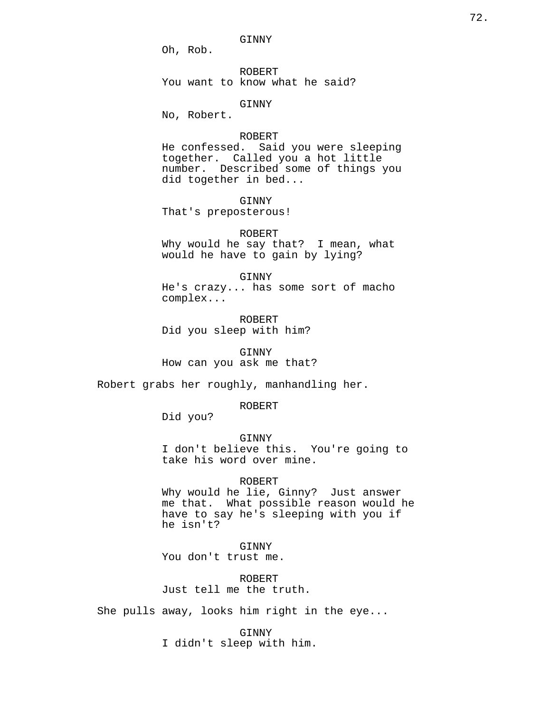GINNY

Oh, Rob.

ROBERT You want to know what he said?

## GINNY

No, Robert.

# ROBERT

He confessed. Said you were sleeping together. Called you a hot little number. Described some of things you did together in bed...

GINNY

That's preposterous!

ROBERT Why would he say that? I mean, what would he have to gain by lying?

GINNY He's crazy... has some sort of macho complex...

ROBERT Did you sleep with him?

GINNY How can you ask me that?

Robert grabs her roughly, manhandling her.

ROBERT

Did you?

GINNY I don't believe this. You're going to take his word over mine.

#### ROBERT

Why would he lie, Ginny? Just answer me that. What possible reason would he have to say he's sleeping with you if he isn't?

**GINNY** You don't trust me.

ROBERT Just tell me the truth.

She pulls away, looks him right in the eye...

GINNY I didn't sleep with him.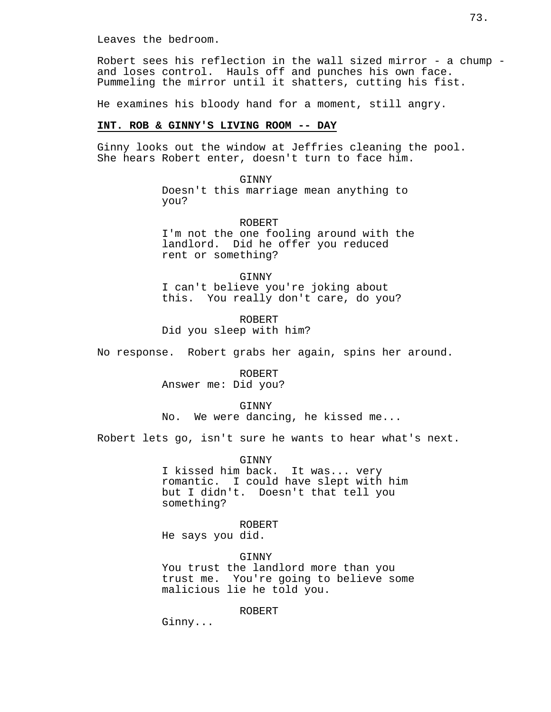Leaves the bedroom.

Robert sees his reflection in the wall sized mirror - a chump and loses control. Hauls off and punches his own face. Pummeling the mirror until it shatters, cutting his fist.

He examines his bloody hand for a moment, still angry.

#### **INT. ROB & GINNY'S LIVING ROOM -- DAY**

Ginny looks out the window at Jeffries cleaning the pool. She hears Robert enter, doesn't turn to face him.

> GINNY Doesn't this marriage mean anything to you?

ROBERT I'm not the one fooling around with the landlord. Did he offer you reduced rent or something?

GINNY I can't believe you're joking about this. You really don't care, do you?

ROBERT Did you sleep with him?

No response. Robert grabs her again, spins her around.

ROBERT Answer me: Did you?

GINNY

No. We were dancing, he kissed me...

Robert lets go, isn't sure he wants to hear what's next.

GINNY

I kissed him back. It was... very romantic. I could have slept with him but I didn't. Doesn't that tell you something?

ROBERT He says you did.

GINNY You trust the landlord more than you trust me. You're going to believe some malicious lie he told you.

ROBERT

Ginny...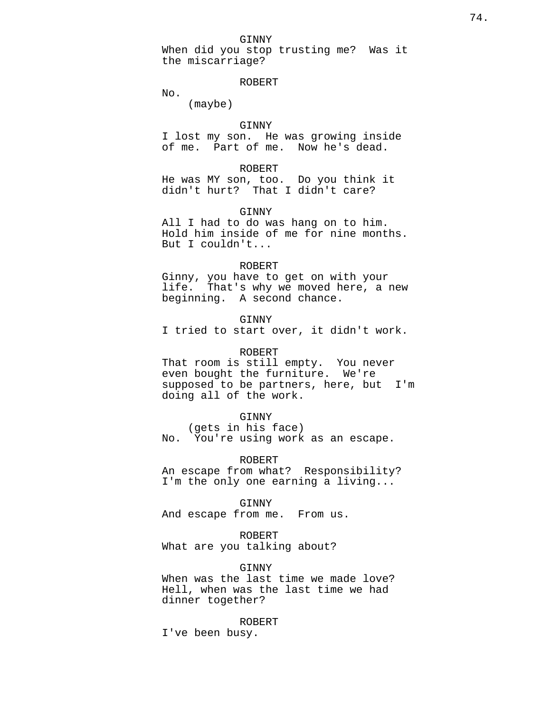When did you stop trusting me? Was it the miscarriage?

ROBERT

No.

(maybe)

## GINNY

I lost my son. He was growing inside of me. Part of me. Now he's dead.

## ROBERT

He was MY son, too. Do you think it didn't hurt? That I didn't care?

GINNY

All I had to do was hang on to him. Hold him inside of me for nine months. But I couldn't...

#### ROBERT

Ginny, you have to get on with your life. That's why we moved here, a new beginning. A second chance.

GINNY

I tried to start over, it didn't work.

# ROBERT

That room is still empty. You never even bought the furniture. We're supposed to be partners, here, but I'm doing all of the work.

#### GINNY

(gets in his face) No. You're using work as an escape.

## ROBERT

An escape from what? Responsibility? I'm the only one earning a living...

#### GINNY

And escape from me. From us.

#### ROBERT

What are you talking about?

#### GINNY

When was the last time we made love? Hell, when was the last time we had dinner together?

ROBERT

I've been busy.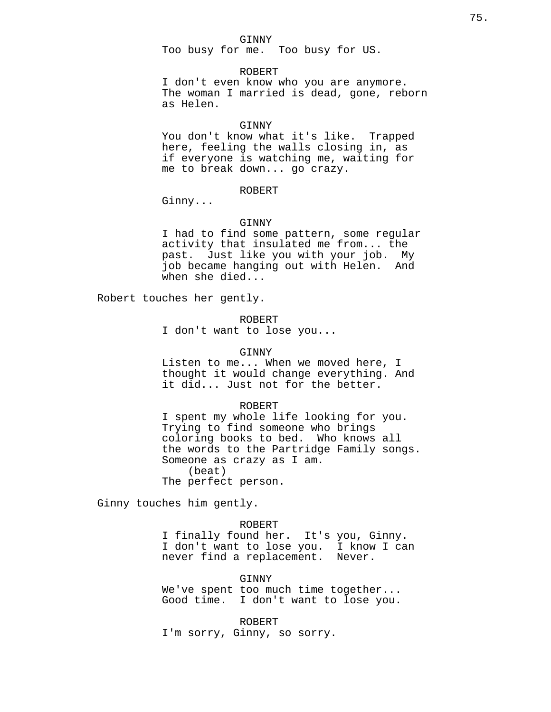#### GINNY

Too busy for me. Too busy for US.

#### ROBERT

I don't even know who you are anymore. The woman I married is dead, gone, reborn as Helen.

#### **GINNY**

You don't know what it's like. Trapped here, feeling the walls closing in, as if everyone is watching me, waiting for me to break down... go crazy.

## ROBERT

Ginny...

#### GINNY

I had to find some pattern, some regular activity that insulated me from... the past. Just like you with your job. My job became hanging out with Helen. And when she died...

Robert touches her gently.

ROBERT

I don't want to lose you...

#### GINNY

Listen to me... When we moved here, I thought it would change everything. And it did... Just not for the better.

#### ROBERT

I spent my whole life looking for you. Trying to find someone who brings coloring books to bed. Who knows all the words to the Partridge Family songs. Someone as crazy as I am. (beat) The perfect person.

Ginny touches him gently.

## ROBERT

I finally found her. It's you, Ginny. I don't want to lose you. I know I can never find a replacement. Never.

#### GINNY

We've spent too much time together... Good time. I don't want to lose you.

ROBERT I'm sorry, Ginny, so sorry.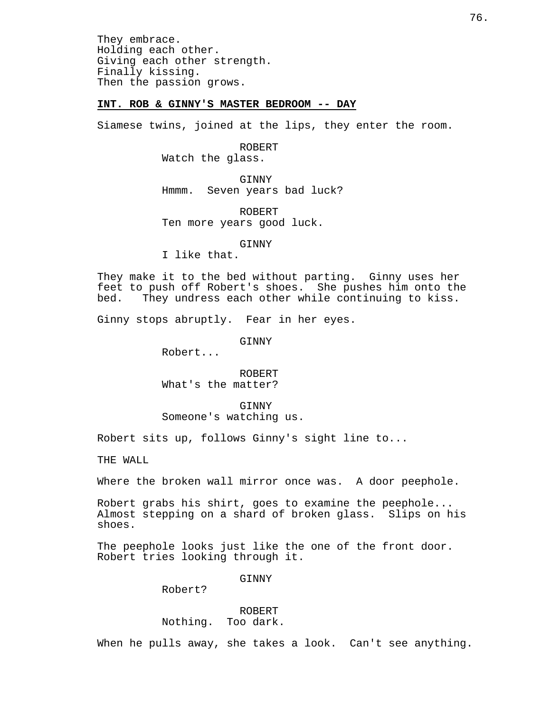They embrace. Holding each other. Giving each other strength. Finally kissing. Then the passion grows.

# **INT. ROB & GINNY'S MASTER BEDROOM -- DAY**

Siamese twins, joined at the lips, they enter the room.

ROBERT Watch the glass.

GINNY Hmmm. Seven years bad luck?

ROBERT Ten more years good luck.

GINNY

I like that.

They make it to the bed without parting. Ginny uses her feet to push off Robert's shoes. She pushes him onto the bed. They undress each other while continuing to kiss.

Ginny stops abruptly. Fear in her eyes.

GINNY

Robert...

ROBERT What's the matter?

GINNY Someone's watching us.

Robert sits up, follows Ginny's sight line to...

THE WALL

Where the broken wall mirror once was. A door peephole.

Robert grabs his shirt, goes to examine the peephole... Almost stepping on a shard of broken glass. Slips on his shoes.

The peephole looks just like the one of the front door. Robert tries looking through it.

GINNY

Robert?

ROBERT Nothing. Too dark.

When he pulls away, she takes a look. Can't see anything.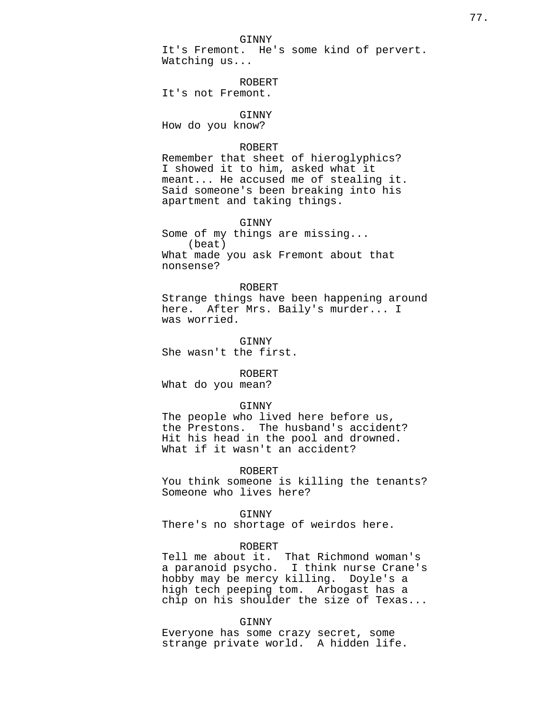GINNY It's Fremont. He's some kind of pervert. Watching us...

ROBERT It's not Fremont.

GINNY How do you know?

# ROBERT

Remember that sheet of hieroglyphics? I showed it to him, asked what it meant... He accused me of stealing it. Said someone's been breaking into his apartment and taking things.

GINNY Some of my things are missing... (beat) What made you ask Fremont about that nonsense?

## ROBERT

Strange things have been happening around here. After Mrs. Baily's murder... I was worried.

GINNY She wasn't the first.

# ROBERT

What do you mean?

#### GINNY

The people who lived here before us, the Prestons. The husband's accident? Hit his head in the pool and drowned. What if it wasn't an accident?

## ROBERT

You think someone is killing the tenants? Someone who lives here?

#### GINNY

There's no shortage of weirdos here.

## ROBERT

Tell me about it. That Richmond woman's a paranoid psycho. I think nurse Crane's hobby may be mercy killing. Doyle's a high tech peeping tom. Arbogast has a chip on his shoulder the size of Texas...

#### GINNY

Everyone has some crazy secret, some strange private world. A hidden life.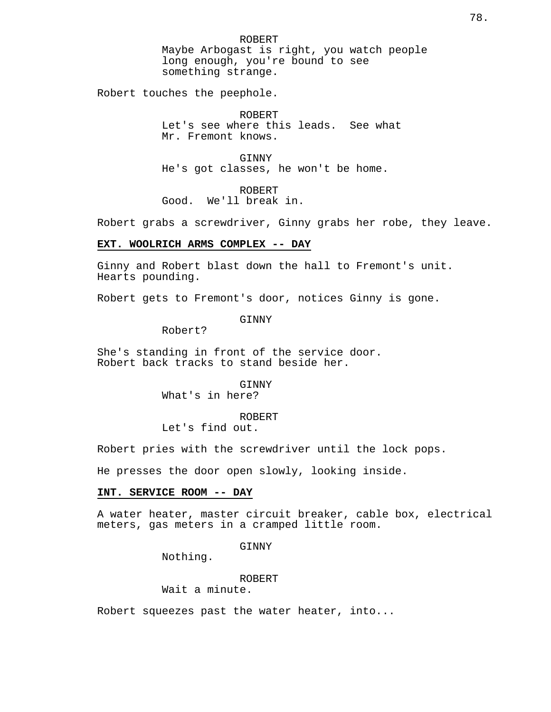ROBERT Maybe Arbogast is right, you watch people long enough, you're bound to see something strange.

Robert touches the peephole.

ROBERT Let's see where this leads. See what Mr. Fremont knows.

**GINNY** He's got classes, he won't be home.

ROBERT Good. We'll break in.

Robert grabs a screwdriver, Ginny grabs her robe, they leave.

#### **EXT. WOOLRICH ARMS COMPLEX -- DAY**

Ginny and Robert blast down the hall to Fremont's unit. Hearts pounding.

Robert gets to Fremont's door, notices Ginny is gone.

GINNY

Robert?

She's standing in front of the service door. Robert back tracks to stand beside her.

> GINNY What's in here?

ROBERT Let's find out.

Robert pries with the screwdriver until the lock pops.

He presses the door open slowly, looking inside.

# **INT. SERVICE ROOM -- DAY**

A water heater, master circuit breaker, cable box, electrical meters, gas meters in a cramped little room.

GINNY

Nothing.

## ROBERT

Wait a minute.

Robert squeezes past the water heater, into...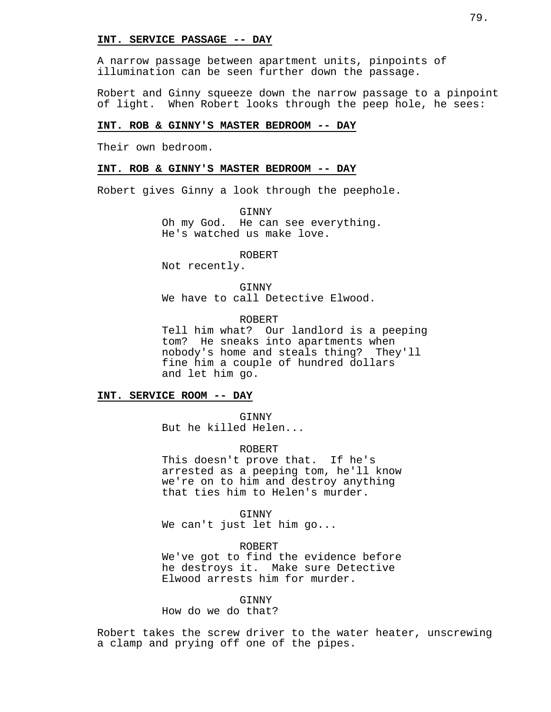## **INT. SERVICE PASSAGE -- DAY**

A narrow passage between apartment units, pinpoints of illumination can be seen further down the passage.

Robert and Ginny squeeze down the narrow passage to a pinpoint of light. When Robert looks through the peep hole, he sees:

#### **INT. ROB & GINNY'S MASTER BEDROOM -- DAY**

Their own bedroom.

## **INT. ROB & GINNY'S MASTER BEDROOM -- DAY**

Robert gives Ginny a look through the peephole.

GINNY Oh my God. He can see everything. He's watched us make love.

ROBERT

Not recently.

GINNY We have to call Detective Elwood.

ROBERT

Tell him what? Our landlord is a peeping tom? He sneaks into apartments when nobody's home and steals thing? They'll fine him a couple of hundred dollars and let him go.

#### **INT. SERVICE ROOM -- DAY**

GINNY But he killed Helen...

ROBERT

This doesn't prove that. If he's arrested as a peeping tom, he'll know we're on to him and destroy anything that ties him to Helen's murder.

GINNY

We can't just let him go...

ROBERT

We've got to find the evidence before he destroys it. Make sure Detective Elwood arrests him for murder.

**GINNY** 

How do we do that?

Robert takes the screw driver to the water heater, unscrewing a clamp and prying off one of the pipes.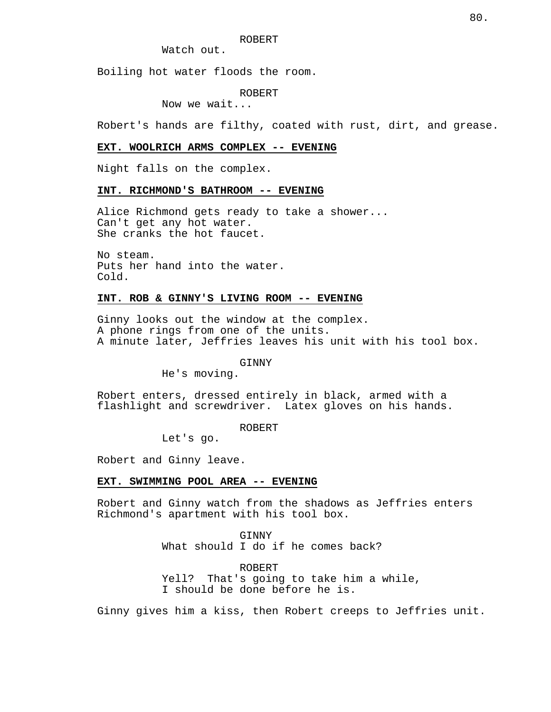Watch out.

Boiling hot water floods the room.

ROBERT

Now we wait...

Robert's hands are filthy, coated with rust, dirt, and grease.

# **EXT. WOOLRICH ARMS COMPLEX -- EVENING**

Night falls on the complex.

## **INT. RICHMOND'S BATHROOM -- EVENING**

Alice Richmond gets ready to take a shower... Can't get any hot water. She cranks the hot faucet.

No steam. Puts her hand into the water. Cold.

# **INT. ROB & GINNY'S LIVING ROOM -- EVENING**

Ginny looks out the window at the complex. A phone rings from one of the units. A minute later, Jeffries leaves his unit with his tool box.

#### **GINNY**

He's moving.

Robert enters, dressed entirely in black, armed with a flashlight and screwdriver. Latex gloves on his hands.

#### ROBERT

Let's go.

Robert and Ginny leave.

#### **EXT. SWIMMING POOL AREA -- EVENING**

Robert and Ginny watch from the shadows as Jeffries enters Richmond's apartment with his tool box.

> GINNY What should I do if he comes back?

ROBERT Yell? That's going to take him a while, I should be done before he is.

Ginny gives him a kiss, then Robert creeps to Jeffries unit.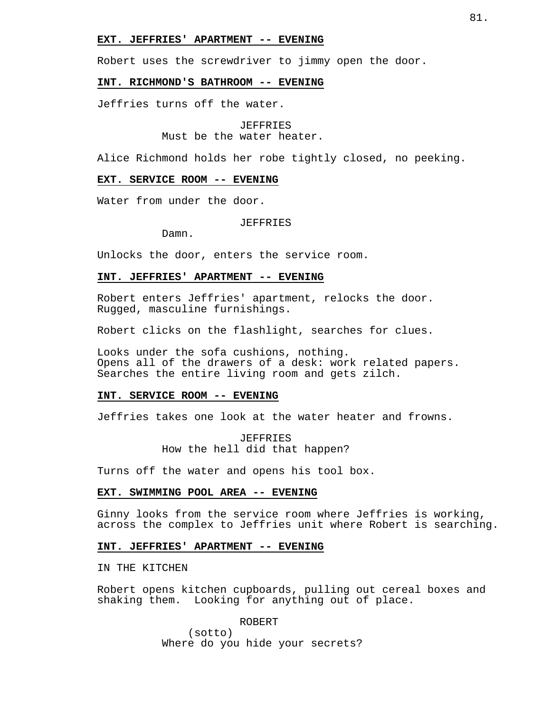#### **EXT. JEFFRIES' APARTMENT -- EVENING**

Robert uses the screwdriver to jimmy open the door.

#### **INT. RICHMOND'S BATHROOM -- EVENING**

Jeffries turns off the water.

#### JEFFRIES

Must be the water heater.

Alice Richmond holds her robe tightly closed, no peeking.

# **EXT. SERVICE ROOM -- EVENING**

Water from under the door.

## JEFFRIES

Damn.

Unlocks the door, enters the service room.

## **INT. JEFFRIES' APARTMENT -- EVENING**

Robert enters Jeffries' apartment, relocks the door. Rugged, masculine furnishings.

Robert clicks on the flashlight, searches for clues.

Looks under the sofa cushions, nothing. Opens all of the drawers of a desk: work related papers. Searches the entire living room and gets zilch.

# **INT. SERVICE ROOM -- EVENING**

Jeffries takes one look at the water heater and frowns.

JEFFRIES How the hell did that happen?

Turns off the water and opens his tool box.

# **EXT. SWIMMING POOL AREA -- EVENING**

Ginny looks from the service room where Jeffries is working, across the complex to Jeffries unit where Robert is searching.

#### **INT. JEFFRIES' APARTMENT -- EVENING**

IN THE KITCHEN

Robert opens kitchen cupboards, pulling out cereal boxes and shaking them. Looking for anything out of place.

ROBERT

(sotto) Where do you hide your secrets?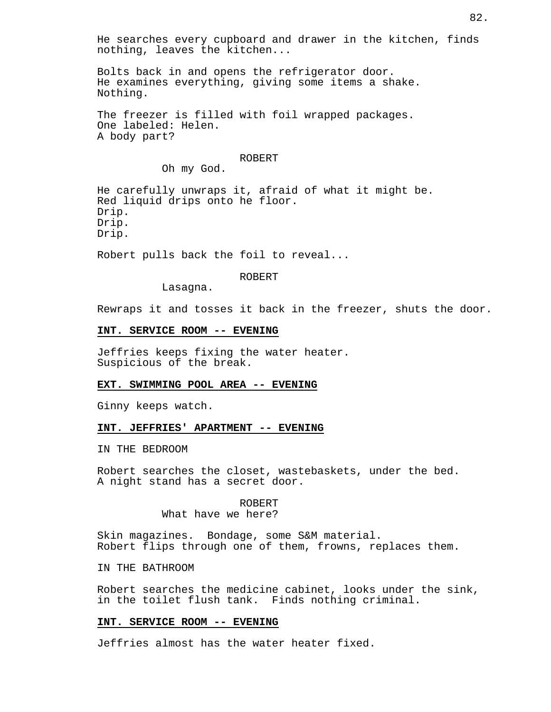He searches every cupboard and drawer in the kitchen, finds nothing, leaves the kitchen...

Bolts back in and opens the refrigerator door. He examines everything, giving some items a shake. Nothing.

The freezer is filled with foil wrapped packages. One labeled: Helen. A body part?

## ROBERT

Oh my God.

He carefully unwraps it, afraid of what it might be. Red liquid drips onto he floor. Drip. Drip. Drip.

Robert pulls back the foil to reveal...

#### ROBERT

Lasagna.

Rewraps it and tosses it back in the freezer, shuts the door.

# **INT. SERVICE ROOM -- EVENING**

Jeffries keeps fixing the water heater. Suspicious of the break.

# **EXT. SWIMMING POOL AREA -- EVENING**

Ginny keeps watch.

#### **INT. JEFFRIES' APARTMENT -- EVENING**

IN THE BEDROOM

Robert searches the closet, wastebaskets, under the bed. A night stand has a secret door.

> ROBERT What have we here?

Skin magazines. Bondage, some S&M material. Robert flips through one of them, frowns, replaces them.

IN THE BATHROOM

Robert searches the medicine cabinet, looks under the sink, in the toilet flush tank. Finds nothing criminal.

# **INT. SERVICE ROOM -- EVENING**

Jeffries almost has the water heater fixed.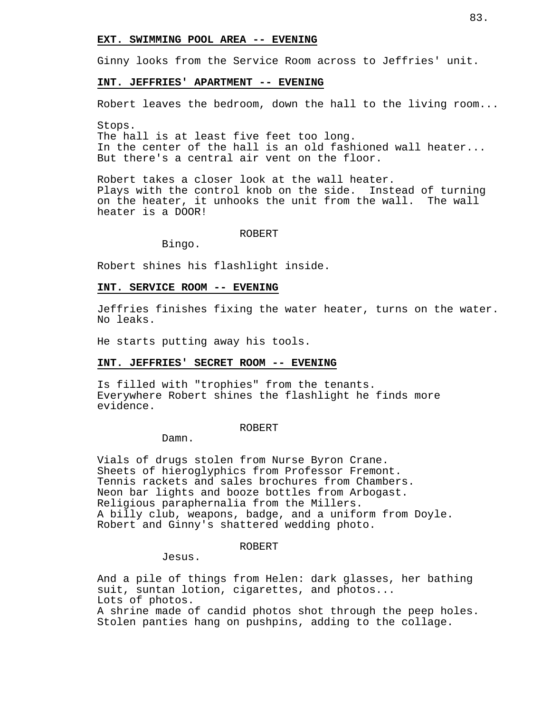## **EXT. SWIMMING POOL AREA -- EVENING**

Ginny looks from the Service Room across to Jeffries' unit.

#### **INT. JEFFRIES' APARTMENT -- EVENING**

Robert leaves the bedroom, down the hall to the living room...

Stops. The hall is at least five feet too long. In the center of the hall is an old fashioned wall heater... But there's a central air vent on the floor.

Robert takes a closer look at the wall heater. Plays with the control knob on the side. Instead of turning on the heater, it unhooks the unit from the wall. The wall heater is a DOOR!

#### ROBERT

Bingo.

Robert shines his flashlight inside.

#### **INT. SERVICE ROOM -- EVENING**

Jeffries finishes fixing the water heater, turns on the water. No leaks.

He starts putting away his tools.

#### **INT. JEFFRIES' SECRET ROOM -- EVENING**

Is filled with "trophies" from the tenants. Everywhere Robert shines the flashlight he finds more evidence.

ROBERT

Damn.

Vials of drugs stolen from Nurse Byron Crane. Sheets of hieroglyphics from Professor Fremont. Tennis rackets and sales brochures from Chambers. Neon bar lights and booze bottles from Arbogast. Religious paraphernalia from the Millers. A billy club, weapons, badge, and a uniform from Doyle. Robert and Ginny's shattered wedding photo.

#### ROBERT

Jesus.

And a pile of things from Helen: dark glasses, her bathing suit, suntan lotion, cigarettes, and photos... Lots of photos.

A shrine made of candid photos shot through the peep holes. Stolen panties hang on pushpins, adding to the collage.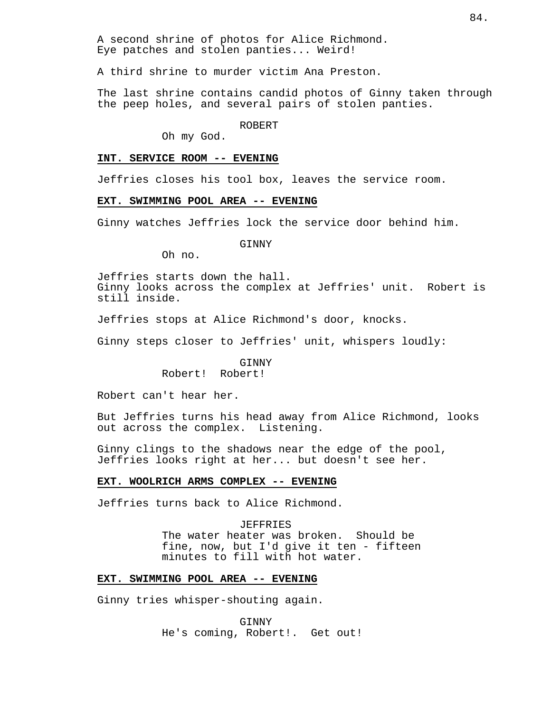A second shrine of photos for Alice Richmond. Eye patches and stolen panties... Weird!

A third shrine to murder victim Ana Preston.

The last shrine contains candid photos of Ginny taken through the peep holes, and several pairs of stolen panties.

#### ROBERT

Oh my God.

# **INT. SERVICE ROOM -- EVENING**

Jeffries closes his tool box, leaves the service room.

#### **EXT. SWIMMING POOL AREA -- EVENING**

Ginny watches Jeffries lock the service door behind him.

#### GINNY

Oh no.

Jeffries starts down the hall. Ginny looks across the complex at Jeffries' unit. Robert is still inside.

Jeffries stops at Alice Richmond's door, knocks.

Ginny steps closer to Jeffries' unit, whispers loudly:

# **GINNY**

Robert! Robert!

Robert can't hear her.

But Jeffries turns his head away from Alice Richmond, looks out across the complex. Listening.

Ginny clings to the shadows near the edge of the pool, Jeffries looks right at her... but doesn't see her.

#### **EXT. WOOLRICH ARMS COMPLEX -- EVENING**

Jeffries turns back to Alice Richmond.

JEFFRIES The water heater was broken. Should be fine, now, but I'd give it ten - fifteen minutes to fill with hot water.

# **EXT. SWIMMING POOL AREA -- EVENING**

Ginny tries whisper-shouting again.

GINNY He's coming, Robert!. Get out!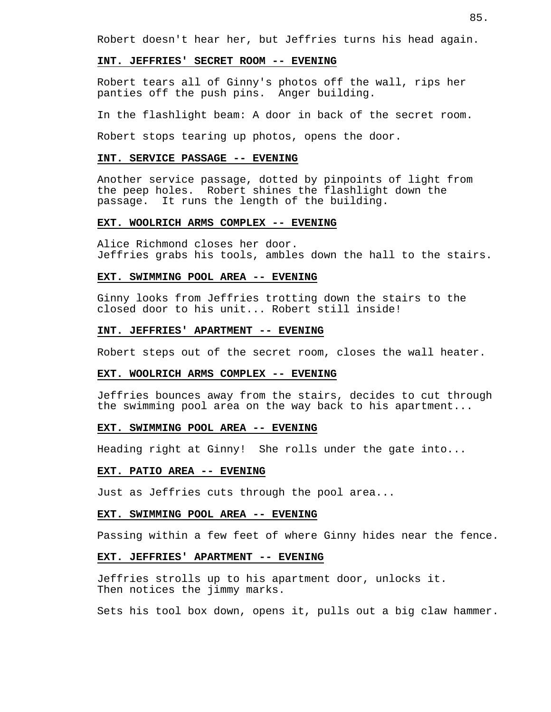Robert doesn't hear her, but Jeffries turns his head again.

## **INT. JEFFRIES' SECRET ROOM -- EVENING**

Robert tears all of Ginny's photos off the wall, rips her panties off the push pins. Anger building.

In the flashlight beam: A door in back of the secret room.

Robert stops tearing up photos, opens the door.

# **INT. SERVICE PASSAGE -- EVENING**

Another service passage, dotted by pinpoints of light from the peep holes. Robert shines the flashlight down the passage. It runs the length of the building.

## **EXT. WOOLRICH ARMS COMPLEX -- EVENING**

Alice Richmond closes her door. Jeffries grabs his tools, ambles down the hall to the stairs.

## **EXT. SWIMMING POOL AREA -- EVENING**

Ginny looks from Jeffries trotting down the stairs to the closed door to his unit... Robert still inside!

## **INT. JEFFRIES' APARTMENT -- EVENING**

Robert steps out of the secret room, closes the wall heater.

## **EXT. WOOLRICH ARMS COMPLEX -- EVENING**

Jeffries bounces away from the stairs, decides to cut through the swimming pool area on the way back to his apartment...

# **EXT. SWIMMING POOL AREA -- EVENING**

Heading right at Ginny! She rolls under the gate into...

## **EXT. PATIO AREA -- EVENING**

Just as Jeffries cuts through the pool area...

## **EXT. SWIMMING POOL AREA -- EVENING**

Passing within a few feet of where Ginny hides near the fence.

#### **EXT. JEFFRIES' APARTMENT -- EVENING**

Jeffries strolls up to his apartment door, unlocks it. Then notices the jimmy marks.

Sets his tool box down, opens it, pulls out a big claw hammer.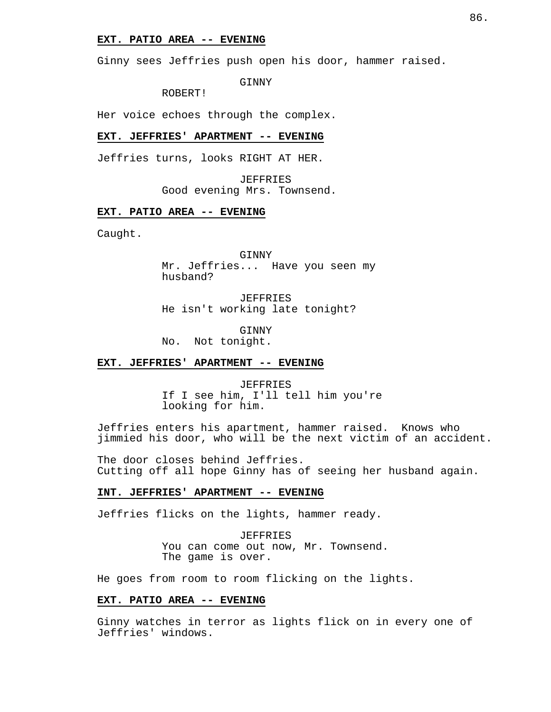## **EXT. PATIO AREA -- EVENING**

Ginny sees Jeffries push open his door, hammer raised.

GINNY

ROBERT!

Her voice echoes through the complex.

# **EXT. JEFFRIES' APARTMENT -- EVENING**

Jeffries turns, looks RIGHT AT HER.

JEFFRIES Good evening Mrs. Townsend.

# **EXT. PATIO AREA -- EVENING**

Caught.

GINNY Mr. Jeffries... Have you seen my husband?

JEFFRIES He isn't working late tonight?

GINNY No. Not tonight.

## **EXT. JEFFRIES' APARTMENT -- EVENING**

JEFFRIES If I see him, I'll tell him you're looking for him.

Jeffries enters his apartment, hammer raised. Knows who jimmied his door, who will be the next victim of an accident.

The door closes behind Jeffries. Cutting off all hope Ginny has of seeing her husband again.

## **INT. JEFFRIES' APARTMENT -- EVENING**

Jeffries flicks on the lights, hammer ready.

JEFFRIES You can come out now, Mr. Townsend. The game is over.

He goes from room to room flicking on the lights.

## **EXT. PATIO AREA -- EVENING**

Ginny watches in terror as lights flick on in every one of Jeffries' windows.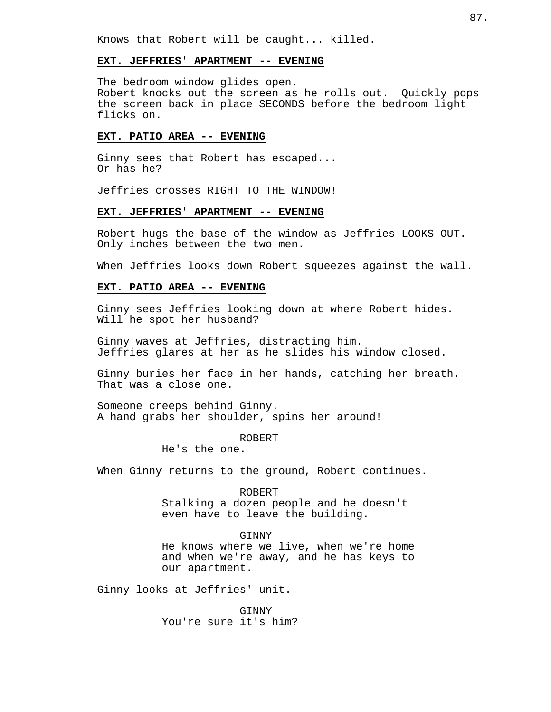Knows that Robert will be caught... killed.

## **EXT. JEFFRIES' APARTMENT -- EVENING**

The bedroom window glides open. Robert knocks out the screen as he rolls out. Quickly pops the screen back in place SECONDS before the bedroom light flicks on.

# **EXT. PATIO AREA -- EVENING**

Ginny sees that Robert has escaped... Or has he?

Jeffries crosses RIGHT TO THE WINDOW!

## **EXT. JEFFRIES' APARTMENT -- EVENING**

Robert hugs the base of the window as Jeffries LOOKS OUT. Only inches between the two men.

When Jeffries looks down Robert squeezes against the wall.

# **EXT. PATIO AREA -- EVENING**

Ginny sees Jeffries looking down at where Robert hides. Will he spot her husband?

Ginny waves at Jeffries, distracting him. Jeffries glares at her as he slides his window closed.

Ginny buries her face in her hands, catching her breath. That was a close one.

Someone creeps behind Ginny. A hand grabs her shoulder, spins her around!

ROBERT

He's the one.

When Ginny returns to the ground, Robert continues.

ROBERT Stalking a dozen people and he doesn't even have to leave the building.

#### GINNY

He knows where we live, when we're home and when we're away, and he has keys to our apartment.

Ginny looks at Jeffries' unit.

**GINNY** You're sure it's him?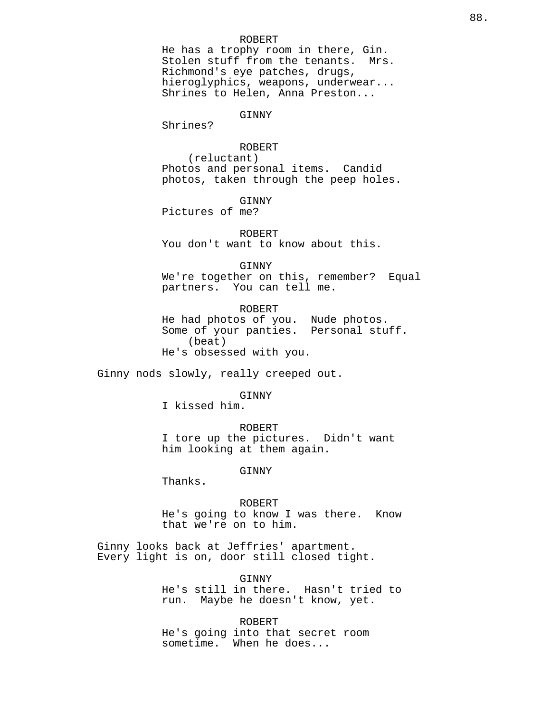#### ROBERT

He has a trophy room in there, Gin. Stolen stuff from the tenants. Mrs. Richmond's eye patches, drugs, hieroglyphics, weapons, underwear... Shrines to Helen, Anna Preston...

#### GINNY

Shrines?

ROBERT (reluctant) Photos and personal items. Candid photos, taken through the peep holes.

GINNY

Pictures of me?

ROBERT You don't want to know about this.

GINNY

We're together on this, remember? Equal partners. You can tell me.

ROBERT He had photos of you. Nude photos. Some of your panties. Personal stuff. (beat) He's obsessed with you.

Ginny nods slowly, really creeped out.

# GINNY

I kissed him.

ROBERT

I tore up the pictures. Didn't want him looking at them again.

GINNY

Thanks.

#### ROBERT

He's going to know I was there. Know that we're on to him.

Ginny looks back at Jeffries' apartment. Every light is on, door still closed tight.

#### GINNY

He's still in there. Hasn't tried to run. Maybe he doesn't know, yet.

ROBERT

He's going into that secret room sometime. When he does...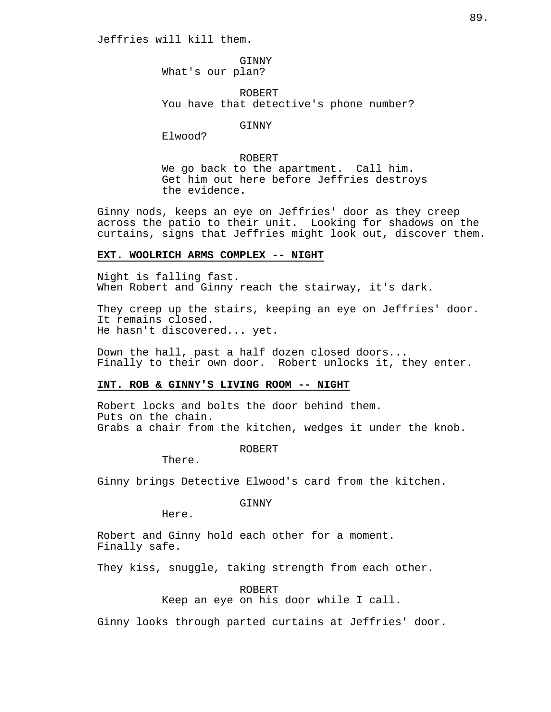Jeffries will kill them.

GINNY What's our plan?

ROBERT You have that detective's phone number?

**GINNY** 

Elwood?

ROBERT We go back to the apartment. Call him. Get him out here before Jeffries destroys the evidence.

Ginny nods, keeps an eye on Jeffries' door as they creep across the patio to their unit. Looking for shadows on the curtains, signs that Jeffries might look out, discover them.

# **EXT. WOOLRICH ARMS COMPLEX -- NIGHT**

Night is falling fast. When Robert and Ginny reach the stairway, it's dark.

They creep up the stairs, keeping an eye on Jeffries' door. It remains closed. He hasn't discovered... yet.

Down the hall, past a half dozen closed doors... Finally to their own door. Robert unlocks it, they enter.

# **INT. ROB & GINNY'S LIVING ROOM -- NIGHT**

Robert locks and bolts the door behind them. Puts on the chain. Grabs a chair from the kitchen, wedges it under the knob.

ROBERT

There.

Ginny brings Detective Elwood's card from the kitchen.

GINNY

Here.

Robert and Ginny hold each other for a moment. Finally safe.

They kiss, snuggle, taking strength from each other.

ROBERT

Keep an eye on his door while I call.

Ginny looks through parted curtains at Jeffries' door.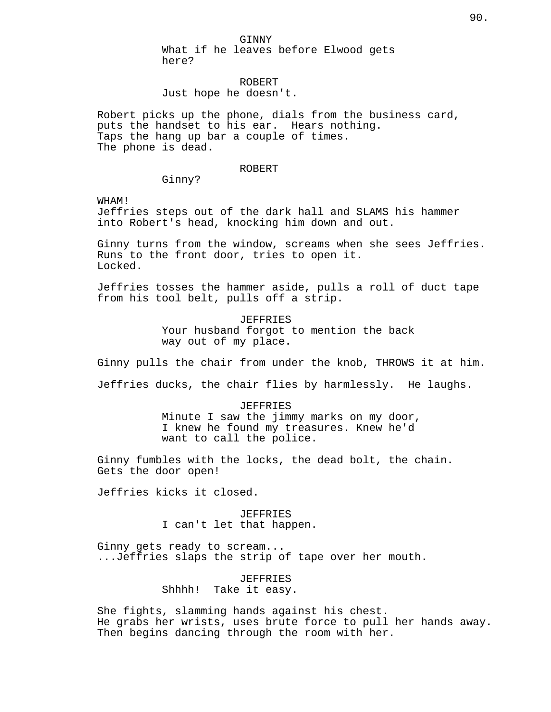GINNY What if he leaves before Elwood gets here?

ROBERT Just hope he doesn't.

Robert picks up the phone, dials from the business card, puts the handset to his ear. Hears nothing. Taps the hang up bar a couple of times. The phone is dead.

ROBERT

Ginny?

WHAM!

Jeffries steps out of the dark hall and SLAMS his hammer into Robert's head, knocking him down and out.

Ginny turns from the window, screams when she sees Jeffries. Runs to the front door, tries to open it. Locked.

Jeffries tosses the hammer aside, pulls a roll of duct tape from his tool belt, pulls off a strip.

> JEFFRIES Your husband forgot to mention the back way out of my place.

Ginny pulls the chair from under the knob, THROWS it at him.

Jeffries ducks, the chair flies by harmlessly. He laughs.

JEFFRIES Minute I saw the jimmy marks on my door, I knew he found my treasures. Knew he'd want to call the police.

Ginny fumbles with the locks, the dead bolt, the chain. Gets the door open!

Jeffries kicks it closed.

JEFFRIES I can't let that happen.

Ginny gets ready to scream... ...Jeffries slaps the strip of tape over her mouth.

JEFFRIES

Shhhh! Take it easy.

She fights, slamming hands against his chest. He grabs her wrists, uses brute force to pull her hands away. Then begins dancing through the room with her.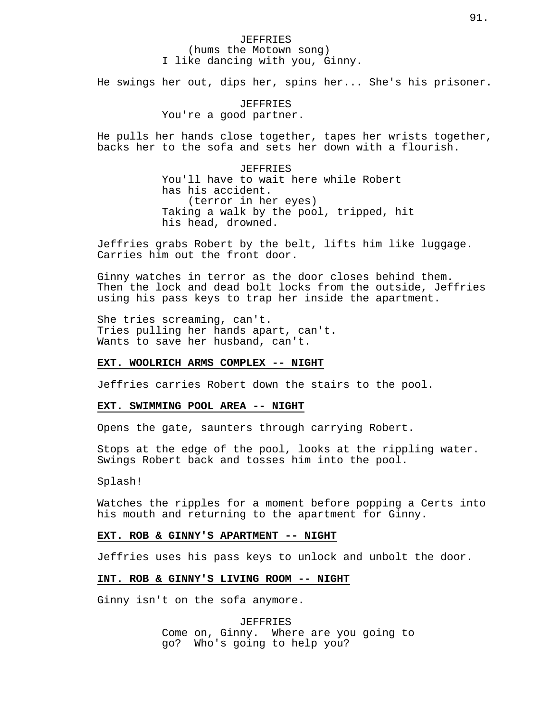# JEFFRIES (hums the Motown song) I like dancing with you, Ginny.

He swings her out, dips her, spins her... She's his prisoner.

# JEFFRIES You're a good partner.

He pulls her hands close together, tapes her wrists together, backs her to the sofa and sets her down with a flourish.

> **JEFFRIES** You'll have to wait here while Robert has his accident. (terror in her eyes) Taking a walk by the pool, tripped, hit his head, drowned.

Jeffries grabs Robert by the belt, lifts him like luggage. Carries him out the front door.

Ginny watches in terror as the door closes behind them. Then the lock and dead bolt locks from the outside, Jeffries using his pass keys to trap her inside the apartment.

She tries screaming, can't. Tries pulling her hands apart, can't. Wants to save her husband, can't.

#### **EXT. WOOLRICH ARMS COMPLEX -- NIGHT**

Jeffries carries Robert down the stairs to the pool.

# **EXT. SWIMMING POOL AREA -- NIGHT**

Opens the gate, saunters through carrying Robert.

Stops at the edge of the pool, looks at the rippling water. Swings Robert back and tosses him into the pool.

Splash!

Watches the ripples for a moment before popping a Certs into his mouth and returning to the apartment for Ginny.

# **EXT. ROB & GINNY'S APARTMENT -- NIGHT**

Jeffries uses his pass keys to unlock and unbolt the door.

# **INT. ROB & GINNY'S LIVING ROOM -- NIGHT**

Ginny isn't on the sofa anymore.

JEFFRIES Come on, Ginny. Where are you going to go? Who's going to help you?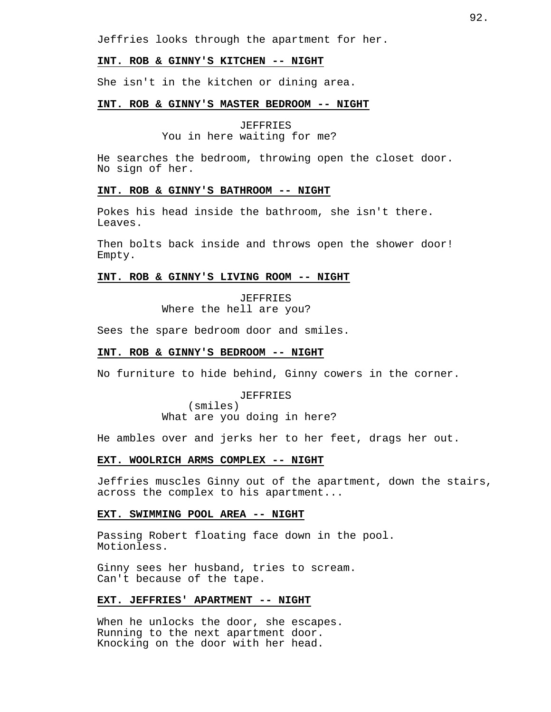Jeffries looks through the apartment for her.

## **INT. ROB & GINNY'S KITCHEN -- NIGHT**

She isn't in the kitchen or dining area.

# **INT. ROB & GINNY'S MASTER BEDROOM -- NIGHT**

JEFFRIES

You in here waiting for me?

He searches the bedroom, throwing open the closet door. No sign of her.

# **INT. ROB & GINNY'S BATHROOM -- NIGHT**

Pokes his head inside the bathroom, she isn't there. Leaves.

Then bolts back inside and throws open the shower door! Empty.

# **INT. ROB & GINNY'S LIVING ROOM -- NIGHT**

JEFFRIES Where the hell are you?

Sees the spare bedroom door and smiles.

# **INT. ROB & GINNY'S BEDROOM -- NIGHT**

No furniture to hide behind, Ginny cowers in the corner.

JEFFRIES (smiles)

What are you doing in here?

He ambles over and jerks her to her feet, drags her out.

# **EXT. WOOLRICH ARMS COMPLEX -- NIGHT**

Jeffries muscles Ginny out of the apartment, down the stairs, across the complex to his apartment...

# **EXT. SWIMMING POOL AREA -- NIGHT**

Passing Robert floating face down in the pool. Motionless.

Ginny sees her husband, tries to scream. Can't because of the tape.

## **EXT. JEFFRIES' APARTMENT -- NIGHT**

When he unlocks the door, she escapes. Running to the next apartment door. Knocking on the door with her head.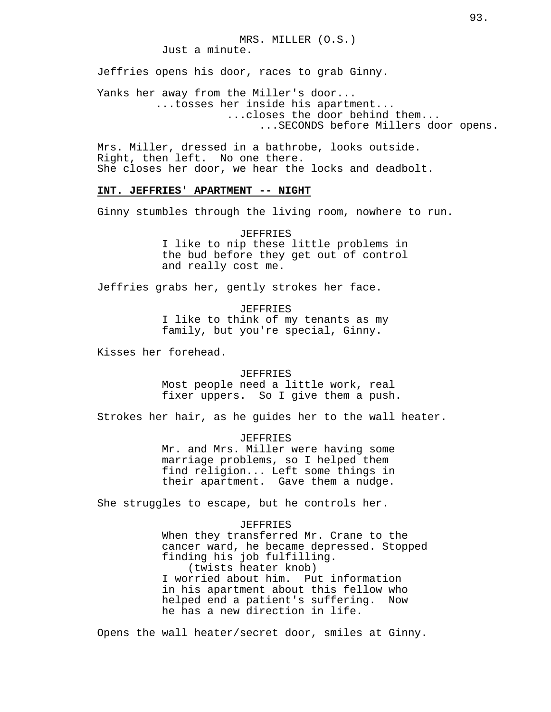Just a minute.

Jeffries opens his door, races to grab Ginny.

Yanks her away from the Miller's door... ...tosses her inside his apartment... ...closes the door behind them... ...SECONDS before Millers door opens.

Mrs. Miller, dressed in a bathrobe, looks outside. Right, then left. No one there. She closes her door, we hear the locks and deadbolt.

# **INT. JEFFRIES' APARTMENT -- NIGHT**

Ginny stumbles through the living room, nowhere to run.

JEFFRIES I like to nip these little problems in the bud before they get out of control and really cost me.

Jeffries grabs her, gently strokes her face.

JEFFRIES I like to think of my tenants as my family, but you're special, Ginny.

Kisses her forehead.

JEFFRIES Most people need a little work, real fixer uppers. So I give them a push.

Strokes her hair, as he guides her to the wall heater.

JEFFRIES Mr. and Mrs. Miller were having some marriage problems, so I helped them find religion... Left some things in their apartment. Gave them a nudge.

She struggles to escape, but he controls her.

**JEFFRIES** When they transferred Mr. Crane to the cancer ward, he became depressed. Stopped finding his job fulfilling. (twists heater knob) I worried about him. Put information in his apartment about this fellow who helped end a patient's suffering. Now he has a new direction in life.

Opens the wall heater/secret door, smiles at Ginny.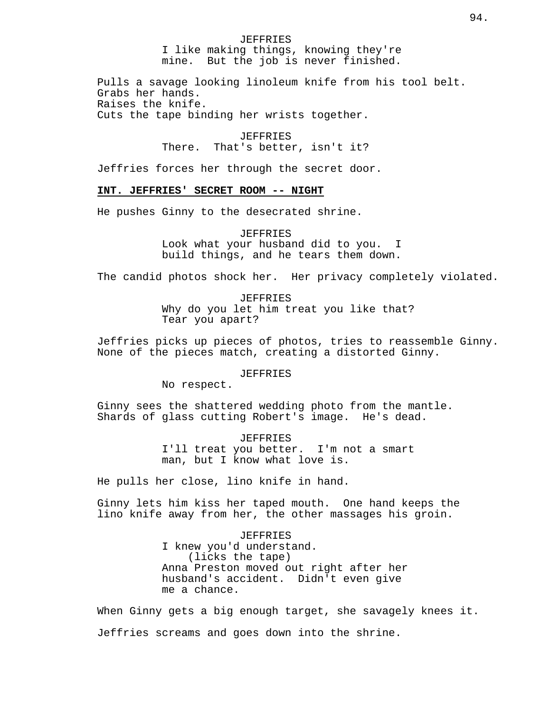#### JEFFRIES

I like making things, knowing they're mine. But the job is never finished.

Pulls a savage looking linoleum knife from his tool belt. Grabs her hands. Raises the knife. Cuts the tape binding her wrists together.

> JEFFRIES There. That's better, isn't it?

Jeffries forces her through the secret door.

# **INT. JEFFRIES' SECRET ROOM -- NIGHT**

He pushes Ginny to the desecrated shrine.

JEFFRIES

Look what your husband did to you. I build things, and he tears them down.

The candid photos shock her. Her privacy completely violated.

JEFFRIES Why do you let him treat you like that? Tear you apart?

Jeffries picks up pieces of photos, tries to reassemble Ginny. None of the pieces match, creating a distorted Ginny.

## JEFFRIES

No respect.

Ginny sees the shattered wedding photo from the mantle. Shards of glass cutting Robert's image. He's dead.

> JEFFRIES I'll treat you better. I'm not a smart man, but I know what love is.

He pulls her close, lino knife in hand.

Ginny lets him kiss her taped mouth. One hand keeps the lino knife away from her, the other massages his groin.

> JEFFRIES I knew you'd understand. (licks the tape) Anna Preston moved out right after her husband's accident. Didn't even give me a chance.

When Ginny gets a big enough target, she savagely knees it. Jeffries screams and goes down into the shrine.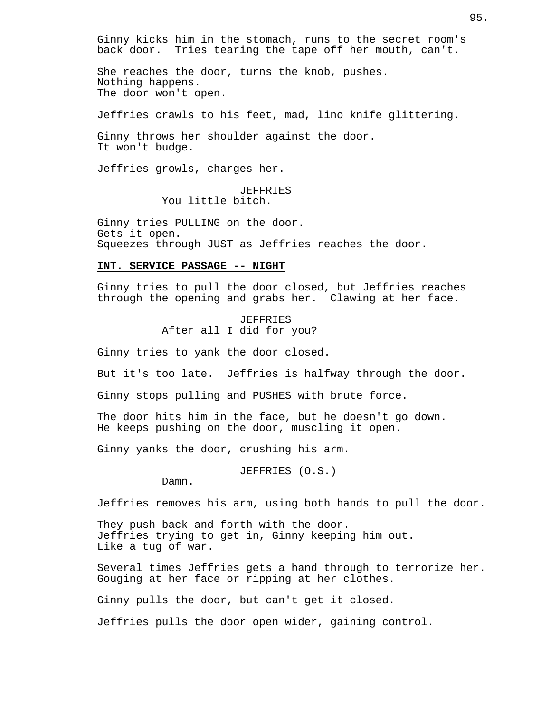Ginny kicks him in the stomach, runs to the secret room's back door. Tries tearing the tape off her mouth, can't.

She reaches the door, turns the knob, pushes. Nothing happens. The door won't open.

Jeffries crawls to his feet, mad, lino knife glittering.

Ginny throws her shoulder against the door. It won't budge.

Jeffries growls, charges her.

JEFFRIES You little bitch.

Ginny tries PULLING on the door. Gets it open. Squeezes through JUST as Jeffries reaches the door.

## **INT. SERVICE PASSAGE -- NIGHT**

Ginny tries to pull the door closed, but Jeffries reaches through the opening and grabs her. Clawing at her face.

> JEFFRIES After all I did for you?

Ginny tries to yank the door closed.

But it's too late. Jeffries is halfway through the door.

Ginny stops pulling and PUSHES with brute force.

The door hits him in the face, but he doesn't go down. He keeps pushing on the door, muscling it open.

Ginny yanks the door, crushing his arm.

JEFFRIES (O.S.)

Damn.

Jeffries removes his arm, using both hands to pull the door.

They push back and forth with the door. Jeffries trying to get in, Ginny keeping him out. Like a tug of war.

Several times Jeffries gets a hand through to terrorize her. Gouging at her face or ripping at her clothes.

Ginny pulls the door, but can't get it closed.

Jeffries pulls the door open wider, gaining control.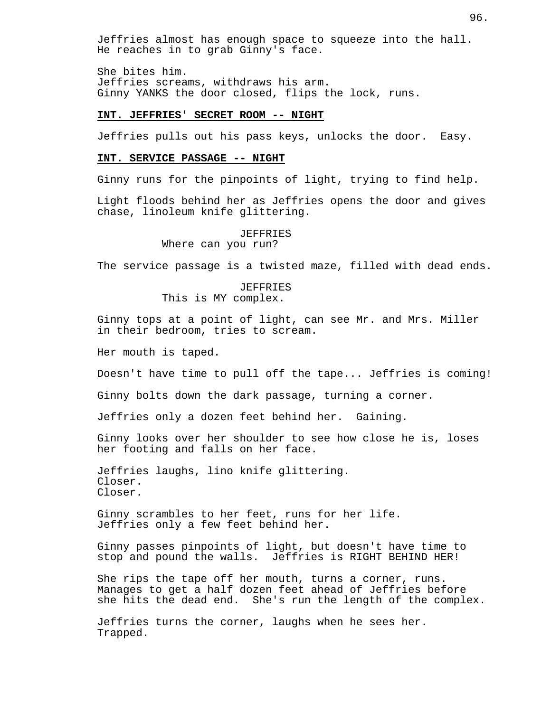Jeffries almost has enough space to squeeze into the hall. He reaches in to grab Ginny's face.

She bites him. Jeffries screams, withdraws his arm. Ginny YANKS the door closed, flips the lock, runs.

# **INT. JEFFRIES' SECRET ROOM -- NIGHT**

Jeffries pulls out his pass keys, unlocks the door. Easy.

# **INT. SERVICE PASSAGE -- NIGHT**

Ginny runs for the pinpoints of light, trying to find help.

Light floods behind her as Jeffries opens the door and gives chase, linoleum knife glittering.

JEFFRIES

Where can you run?

The service passage is a twisted maze, filled with dead ends.

JEFFRIES This is MY complex.

Ginny tops at a point of light, can see Mr. and Mrs. Miller in their bedroom, tries to scream.

Her mouth is taped.

Doesn't have time to pull off the tape... Jeffries is coming!

Ginny bolts down the dark passage, turning a corner.

Jeffries only a dozen feet behind her. Gaining.

Ginny looks over her shoulder to see how close he is, loses her footing and falls on her face.

Jeffries laughs, lino knife glittering. Closer. Closer.

Ginny scrambles to her feet, runs for her life. Jeffries only a few feet behind her.

Ginny passes pinpoints of light, but doesn't have time to stop and pound the walls. Jeffries is RIGHT BEHIND HER!

She rips the tape off her mouth, turns a corner, runs. Manages to get a half dozen feet ahead of Jeffries before she hits the dead end. She's run the length of the complex.

Jeffries turns the corner, laughs when he sees her. Trapped.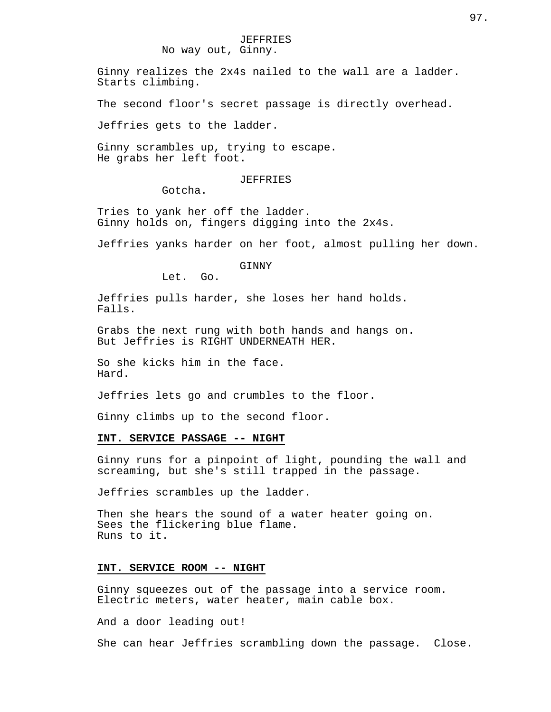Ginny realizes the 2x4s nailed to the wall are a ladder. Starts climbing.

The second floor's secret passage is directly overhead.

Jeffries gets to the ladder.

Ginny scrambles up, trying to escape. He grabs her left foot.

#### JEFFRIES

Gotcha.

Tries to yank her off the ladder. Ginny holds on, fingers digging into the 2x4s.

Jeffries yanks harder on her foot, almost pulling her down.

GINNY

Let. Go.

Jeffries pulls harder, she loses her hand holds. Falls.

Grabs the next rung with both hands and hangs on. But Jeffries is RIGHT UNDERNEATH HER.

So she kicks him in the face. Hard.

Jeffries lets go and crumbles to the floor.

Ginny climbs up to the second floor.

# **INT. SERVICE PASSAGE -- NIGHT**

Ginny runs for a pinpoint of light, pounding the wall and screaming, but she's still trapped in the passage.

Jeffries scrambles up the ladder.

Then she hears the sound of a water heater going on. Sees the flickering blue flame. Runs to it.

# **INT. SERVICE ROOM -- NIGHT**

Ginny squeezes out of the passage into a service room. Electric meters, water heater, main cable box.

And a door leading out!

She can hear Jeffries scrambling down the passage. Close.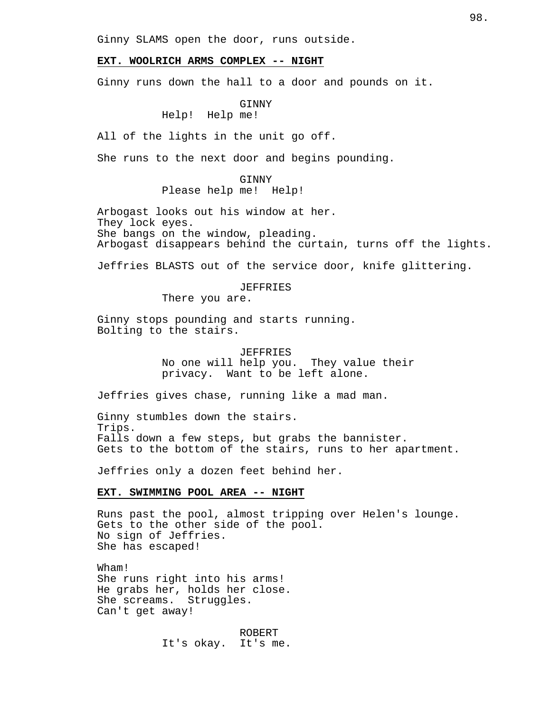Ginny SLAMS open the door, runs outside.

# **EXT. WOOLRICH ARMS COMPLEX -- NIGHT**

Ginny runs down the hall to a door and pounds on it.

# GINNY

Help! Help me!

All of the lights in the unit go off.

She runs to the next door and begins pounding.

GINNY Please help me! Help!

Arbogast looks out his window at her. They lock eyes. She bangs on the window, pleading. Arbogast disappears behind the curtain, turns off the lights.

Jeffries BLASTS out of the service door, knife glittering.

JEFFRIES

There you are.

Ginny stops pounding and starts running. Bolting to the stairs.

> JEFFRIES No one will help you. They value their privacy. Want to be left alone.

Jeffries gives chase, running like a mad man.

Ginny stumbles down the stairs. Trips. Falls down a few steps, but grabs the bannister. Gets to the bottom of the stairs, runs to her apartment.

Jeffries only a dozen feet behind her.

# **EXT. SWIMMING POOL AREA -- NIGHT**

Runs past the pool, almost tripping over Helen's lounge. Gets to the other side of the pool. No sign of Jeffries. She has escaped!

Wham! She runs right into his arms! He grabs her, holds her close. She screams. Struggles. Can't get away!

> ROBERT It's okay. It's me.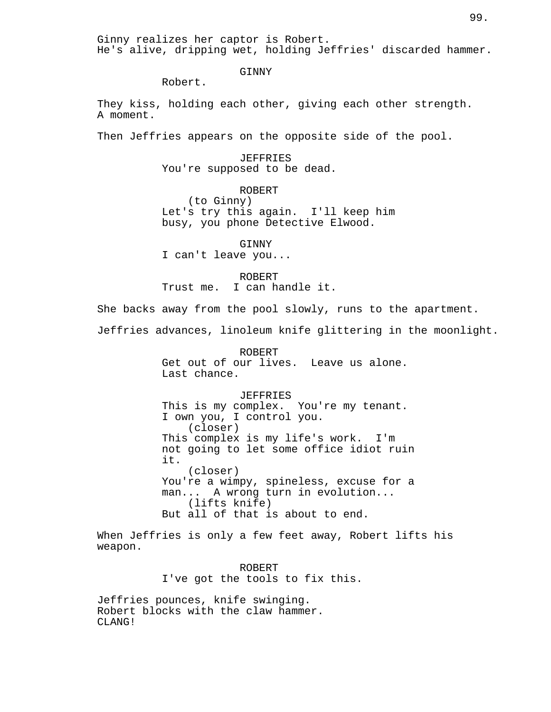Ginny realizes her captor is Robert. He's alive, dripping wet, holding Jeffries' discarded hammer.

GINNY

Robert.

They kiss, holding each other, giving each other strength. A moment.

Then Jeffries appears on the opposite side of the pool.

JEFFRIES You're supposed to be dead.

ROBERT (to Ginny) Let's try this again. I'll keep him busy, you phone Detective Elwood.

GINNY I can't leave you...

ROBERT Trust me. I can handle it.

She backs away from the pool slowly, runs to the apartment.

Jeffries advances, linoleum knife glittering in the moonlight.

ROBERT Get out of our lives. Leave us alone. Last chance.

#### JEFFRIES

This is my complex. You're my tenant. I own you, I control you. (closer) This complex is my life's work. I'm not going to let some office idiot ruin it. (closer) You're a wimpy, spineless, excuse for a man... A wrong turn in evolution... (lifts knife) But all of that is about to end.

When Jeffries is only a few feet away, Robert lifts his weapon.

> ROBERT I've got the tools to fix this.

Jeffries pounces, knife swinging. Robert blocks with the claw hammer. CLANG!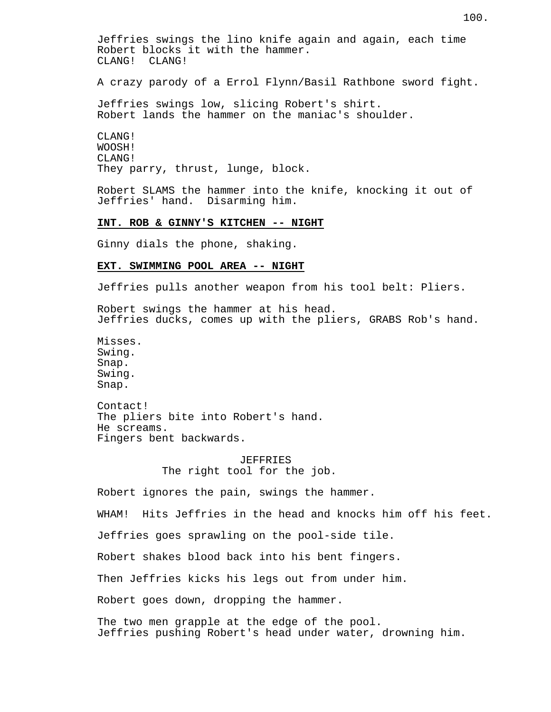Jeffries swings the lino knife again and again, each time Robert blocks it with the hammer. CLANG! CLANG!

A crazy parody of a Errol Flynn/Basil Rathbone sword fight.

Jeffries swings low, slicing Robert's shirt. Robert lands the hammer on the maniac's shoulder.

CLANG! WOOSH! CLANG! They parry, thrust, lunge, block.

Robert SLAMS the hammer into the knife, knocking it out of Jeffries' hand. Disarming him.

# **INT. ROB & GINNY'S KITCHEN -- NIGHT**

Ginny dials the phone, shaking.

# **EXT. SWIMMING POOL AREA -- NIGHT**

Jeffries pulls another weapon from his tool belt: Pliers.

Robert swings the hammer at his head. Jeffries ducks, comes up with the pliers, GRABS Rob's hand.

Misses. Swing. Snap. Swing. Snap.

Contact! The pliers bite into Robert's hand. He screams. Fingers bent backwards.

> JEFFRIES The right tool for the job.

Robert ignores the pain, swings the hammer.

WHAM! Hits Jeffries in the head and knocks him off his feet.

Jeffries goes sprawling on the pool-side tile.

Robert shakes blood back into his bent fingers.

Then Jeffries kicks his legs out from under him.

Robert goes down, dropping the hammer.

The two men grapple at the edge of the pool. Jeffries pushing Robert's head under water, drowning him.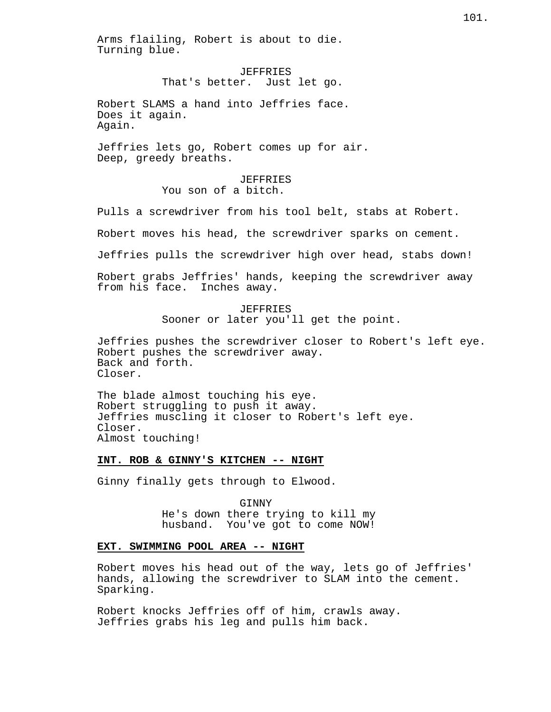Arms flailing, Robert is about to die. Turning blue.

> JEFFRIES That's better. Just let go.

Robert SLAMS a hand into Jeffries face. Does it again. Again.

Jeffries lets go, Robert comes up for air. Deep, greedy breaths.

> JEFFRIES You son of a bitch.

Pulls a screwdriver from his tool belt, stabs at Robert.

Robert moves his head, the screwdriver sparks on cement.

Jeffries pulls the screwdriver high over head, stabs down!

Robert grabs Jeffries' hands, keeping the screwdriver away from his face. Inches away.

> JEFFRIES Sooner or later you'll get the point.

Jeffries pushes the screwdriver closer to Robert's left eye. Robert pushes the screwdriver away. Back and forth. Closer.

The blade almost touching his eye. Robert struggling to push it away. Jeffries muscling it closer to Robert's left eye. Closer. Almost touching!

**INT. ROB & GINNY'S KITCHEN -- NIGHT**

Ginny finally gets through to Elwood.

GINNY He's down there trying to kill my husband. You've got to come NOW!

## **EXT. SWIMMING POOL AREA -- NIGHT**

Robert moves his head out of the way, lets go of Jeffries' hands, allowing the screwdriver to SLAM into the cement. Sparking.

Robert knocks Jeffries off of him, crawls away. Jeffries grabs his leg and pulls him back.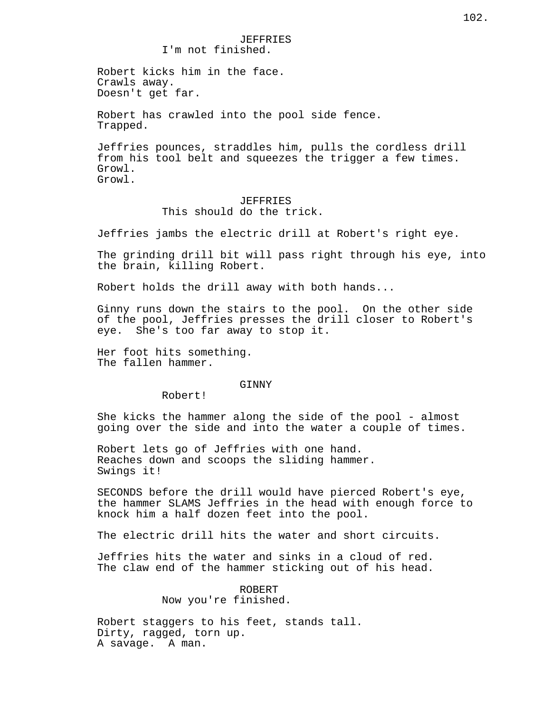# JEFFRIES I'm not finished.

Robert kicks him in the face. Crawls away. Doesn't get far.

Robert has crawled into the pool side fence. Trapped.

Jeffries pounces, straddles him, pulls the cordless drill from his tool belt and squeezes the trigger a few times. Growl. Growl.

# JEFFRIES This should do the trick.

Jeffries jambs the electric drill at Robert's right eye.

The grinding drill bit will pass right through his eye, into the brain, killing Robert.

Robert holds the drill away with both hands...

Ginny runs down the stairs to the pool. On the other side of the pool, Jeffries presses the drill closer to Robert's eye. She's too far away to stop it.

Her foot hits something. The fallen hammer.

# GINNY

Robert!

She kicks the hammer along the side of the pool - almost going over the side and into the water a couple of times.

Robert lets go of Jeffries with one hand. Reaches down and scoops the sliding hammer. Swings it!

SECONDS before the drill would have pierced Robert's eye, the hammer SLAMS Jeffries in the head with enough force to knock him a half dozen feet into the pool.

The electric drill hits the water and short circuits.

Jeffries hits the water and sinks in a cloud of red. The claw end of the hammer sticking out of his head.

> ROBERT Now you're finished.

Robert staggers to his feet, stands tall. Dirty, ragged, torn up. A savage. A man.